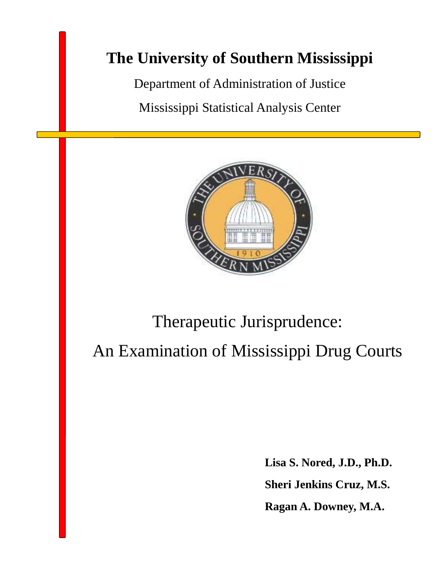# **The University of Southern Mississippi**

Department of Administration of Justice Mississippi Statistical Analysis Center



# Therapeutic Jurisprudence:

An Examination of Mississippi Drug Courts

**Lisa S. Nored, J.D., Ph.D. Sheri Jenkins Cruz, M.S. Ragan A. Downey, M.A.**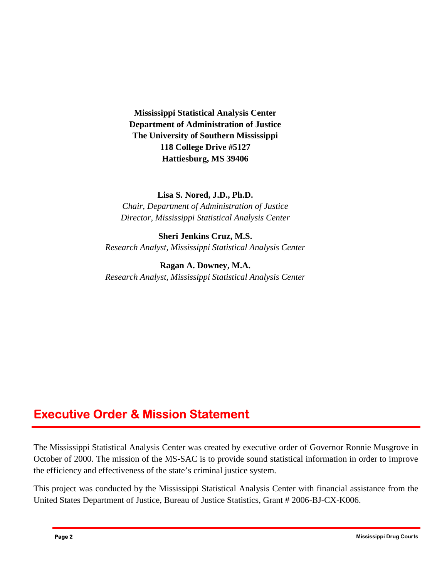**Mississippi Statistical Analysis Center Department of Administration of Justice The University of Southern Mississippi 118 College Drive #5127 Hattiesburg, MS 39406** 

#### **Lisa S. Nored, J.D., Ph.D.**

*Chair, Department of Administration of Justice Director, Mississippi Statistical Analysis Center* 

#### **Sheri Jenkins Cruz, M.S.**  *Research Analyst, Mississippi Statistical Analysis Center*

**Ragan A. Downey, M.A.**  *Research Analyst, Mississippi Statistical Analysis Center* 

### **Executive Order & Mission Statement**

The Mississippi Statistical Analysis Center was created by executive order of Governor Ronnie Musgrove in October of 2000. The mission of the MS-SAC is to provide sound statistical information in order to improve the efficiency and effectiveness of the state's criminal justice system.

This project was conducted by the Mississippi Statistical Analysis Center with financial assistance from the United States Department of Justice, Bureau of Justice Statistics, Grant # 2006-BJ-CX-K006.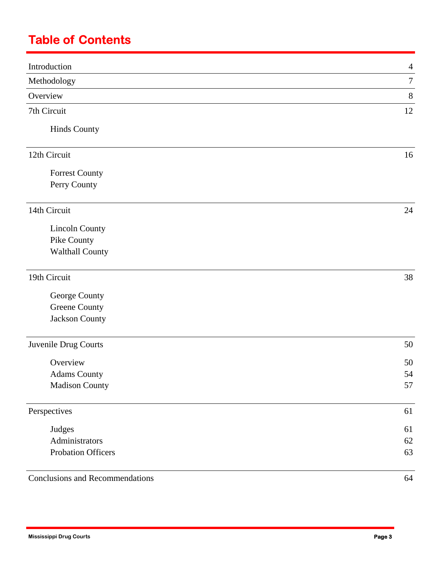# **Table of Contents**

| Introduction                           | $\overline{4}$ |
|----------------------------------------|----------------|
| Methodology                            | $\tau$         |
| Overview                               | $8\,$          |
| 7th Circuit                            | 12             |
| <b>Hinds County</b>                    |                |
| 12th Circuit                           | 16             |
|                                        |                |
| <b>Forrest County</b>                  |                |
| Perry County                           |                |
| 14th Circuit                           | 24             |
| <b>Lincoln County</b>                  |                |
| Pike County                            |                |
| <b>Walthall County</b>                 |                |
| 19th Circuit                           | 38             |
| George County                          |                |
| Greene County                          |                |
| Jackson County                         |                |
| Juvenile Drug Courts                   | 50             |
| Overview                               | 50             |
| <b>Adams County</b>                    | 54             |
| <b>Madison County</b>                  | 57             |
| Perspectives                           | 61             |
| Judges                                 | 61             |
| Administrators                         | 62             |
| Probation Officers                     | 63             |
| <b>Conclusions and Recommendations</b> | 64             |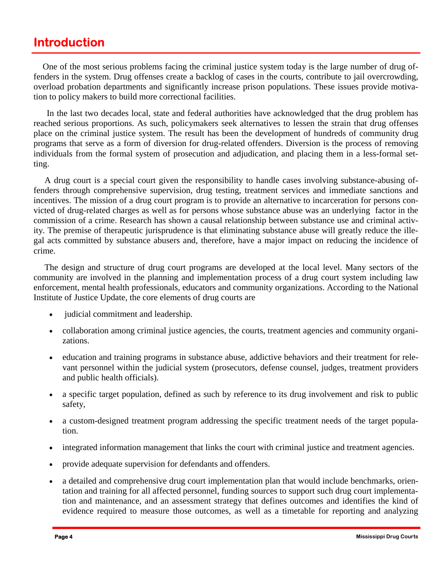### **Introduction**

One of the most serious problems facing the criminal justice system today is the large number of drug offenders in the system. Drug offenses create a backlog of cases in the courts, contribute to jail overcrowding, overload probation departments and significantly increase prison populations. These issues provide motivation to policy makers to build more correctional facilities.

In the last two decades local, state and federal authorities have acknowledged that the drug problem has reached serious proportions. As such, policymakers seek alternatives to lessen the strain that drug offenses place on the criminal justice system. The result has been the development of hundreds of community drug programs that serve as a form of diversion for drug-related offenders. Diversion is the process of removing individuals from the formal system of prosecution and adjudication, and placing them in a less-formal setting.

 A drug court is a special court given the responsibility to handle cases involving substance-abusing offenders through comprehensive supervision, drug testing, treatment services and immediate sanctions and incentives. The mission of a drug court program is to provide an alternative to incarceration for persons convicted of drug-related charges as well as for persons whose substance abuse was an underlying factor in the commission of a crime. Research has shown a causal relationship between substance use and criminal activity. The premise of therapeutic jurisprudence is that eliminating substance abuse will greatly reduce the illegal acts committed by substance abusers and, therefore, have a major impact on reducing the incidence of crime.

 The design and structure of drug court programs are developed at the local level. Many sectors of the community are involved in the planning and implementation process of a drug court system including law enforcement, mental health professionals, educators and community organizations. According to the National Institute of Justice Update, the core elements of drug courts are

- judicial commitment and leadership.
- collaboration among criminal justice agencies, the courts, treatment agencies and community organizations.
- education and training programs in substance abuse, addictive behaviors and their treatment for relevant personnel within the judicial system (prosecutors, defense counsel, judges, treatment providers and public health officials).
- a specific target population, defined as such by reference to its drug involvement and risk to public safety,
- a custom-designed treatment program addressing the specific treatment needs of the target population.
- integrated information management that links the court with criminal justice and treatment agencies.
- provide adequate supervision for defendants and offenders.
- a detailed and comprehensive drug court implementation plan that would include benchmarks, orientation and training for all affected personnel, funding sources to support such drug court implementation and maintenance, and an assessment strategy that defines outcomes and identifies the kind of evidence required to measure those outcomes, as well as a timetable for reporting and analyzing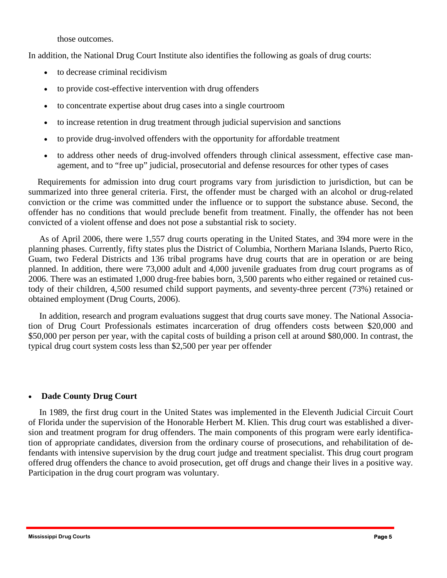those outcomes.

In addition, the National Drug Court Institute also identifies the following as goals of drug courts:

- to decrease criminal recidivism
- to provide cost-effective intervention with drug offenders
- to concentrate expertise about drug cases into a single courtroom
- to increase retention in drug treatment through judicial supervision and sanctions
- to provide drug-involved offenders with the opportunity for affordable treatment
- to address other needs of drug-involved offenders through clinical assessment, effective case management, and to "free up" judicial, prosecutorial and defense resources for other types of cases

convicted of a violent offense and does not pose a substantial risk to society. Requirements for admission into drug court programs vary from jurisdiction to jurisdiction, but can be summarized into three general criteria. First, the offender must be charged with an alcohol or drug-related conviction or the crime was committed under the influence or to support the substance abuse. Second, the offender has no conditions that would preclude benefit from treatment. Finally, the offender has not been

As of April 2006, there were 1,557 drug courts operating in the United States, and 394 more were in the planning phases. Currently, fifty states plus the District of Columbia, Northern Mariana Islands, Puerto Rico, Guam, two Federal Districts and 136 tribal programs have drug courts that are in operation or are being planned. In addition, there were 73,000 adult and 4,000 juvenile graduates from drug court programs as of 2006. There was an estimated 1,000 drug-free babies born, 3,500 parents who either regained or retained custody of their children, 4,500 resumed child support payments, and seventy-three percent (73%) retained or obtained employment (Drug Courts, 2006).

 In addition, research and program evaluations suggest that drug courts save money. The National Association of Drug Court Professionals estimates incarceration of drug offenders costs between \$20,000 and \$50,000 per person per year, with the capital costs of building a prison cell at around \$80,000. In contrast, the typical drug court system costs less than \$2,500 per year per offender

#### • **Dade County Drug Court**

In 1989, the first drug court in the United States was implemented in the Eleventh Judicial Circuit Court of Florida under the supervision of the Honorable Herbert M. Klien. This drug court was established a diversion and treatment program for drug offenders. The main components of this program were early identification of appropriate candidates, diversion from the ordinary course of prosecutions, and rehabilitation of defendants with intensive supervision by the drug court judge and treatment specialist. This drug court program offered drug offenders the chance to avoid prosecution, get off drugs and change their lives in a positive way. Participation in the drug court program was voluntary.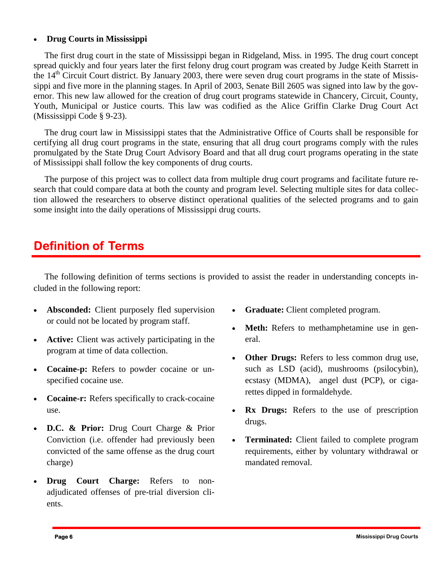#### • **Drug Courts in Mississippi**

The first drug court in the state of Mississippi began in Ridgeland, Miss. in 1995. The drug court concept spread quickly and four years later the first felony drug court program was created by Judge Keith Starrett in the 14<sup>th</sup> Circuit Court district. By January 2003, there were seven drug court programs in the state of Mississippi and five more in the planning stages. In April of 2003, Senate Bill 2605 was signed into law by the governor. This new law allowed for the creation of drug court programs statewide in Chancery, Circuit, County, Youth, Municipal or Justice courts. This law was codified as the Alice Griffin Clarke Drug Court Act (Mississippi Code § 9-23).

 The drug court law in Mississippi states that the Administrative Office of Courts shall be responsible for certifying all drug court programs in the state, ensuring that all drug court programs comply with the rules promulgated by the State Drug Court Advisory Board and that all drug court programs operating in the state of Mississippi shall follow the key components of drug courts.

The purpose of this project was to collect data from multiple drug court programs and facilitate future research that could compare data at both the county and program level. Selecting multiple sites for data collection allowed the researchers to observe distinct operational qualities of the selected programs and to gain some insight into the daily operations of Mississippi drug courts.

### **Definition of Terms**

 The following definition of terms sections is provided to assist the reader in understanding concepts included in the following report:

- or could not be located by program staff. Absconded: Client purposely fled supervision
- Active: Client was actively participating in the program at time of data collection.
- **Cocaine-p:** Refers to powder cocaine or unspecified cocaine use.
- **Cocaine-r:** Refers specifically to crack-cocaine use.
- **D.C. & Prior:** Drug Court Charge & Prior Conviction (i.e. offender had previously been convicted of the same offense as the drug court charge)
- **Drug Court Charge:** Refers to nonadjudicated offenses of pre-trial diversion clients.
- **Graduate:** Client completed program.
- **Meth:** Refers to methamphetamine use in general.
- **Other Drugs:** Refers to less common drug use, such as LSD (acid), mushrooms (psilocybin), ecstasy (MDMA), angel dust (PCP), or cigarettes dipped in formaldehyde.
- **Rx Drugs:** Refers to the use of prescription drugs.
- **Terminated:** Client failed to complete program requirements, either by voluntary withdrawal or mandated removal.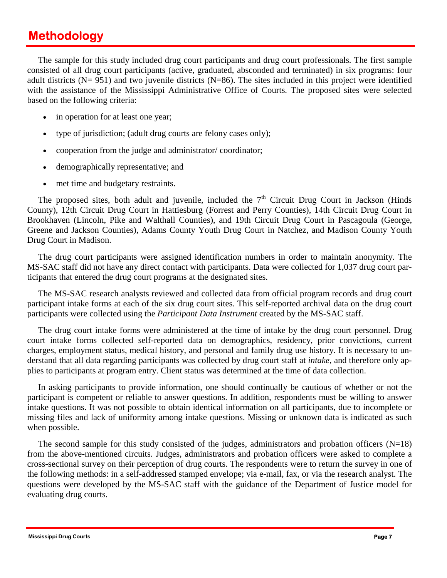# **Methodology**

The sample for this study included drug court participants and drug court professionals. The first sample consisted of all drug court participants (active, graduated, absconded and terminated) in six programs: four adult districts ( $N= 951$ ) and two juvenile districts ( $N=86$ ). The sites included in this project were identified with the assistance of the Mississippi Administrative Office of Courts. The proposed sites were selected based on the following criteria:

- in operation for at least one year;
- type of jurisdiction; (adult drug courts are felony cases only);
- cooperation from the judge and administrator/coordinator;
- demographically representative; and
- met time and budgetary restraints.

The proposed sites, both adult and juvenile, included the  $7<sup>th</sup>$  Circuit Drug Court in Jackson (Hinds County), 12th Circuit Drug Court in Hattiesburg (Forrest and Perry Counties), 14th Circuit Drug Court in Brookhaven (Lincoln, Pike and Walthall Counties), and 19th Circuit Drug Court in Pascagoula (George, Greene and Jackson Counties), Adams County Youth Drug Court in Natchez, and Madison County Youth Drug Court in Madison.

 The drug court participants were assigned identification numbers in order to maintain anonymity. The MS-SAC staff did not have any direct contact with participants. Data were collected for 1,037 drug court participants that entered the drug court programs at the designated sites.

 participants were collected using the *Participant Data Instrument* created by the MS-SAC staff. The MS-SAC research analysts reviewed and collected data from official program records and drug court participant intake forms at each of the six drug court sites. This self-reported archival data on the drug court

 The drug court intake forms were administered at the time of intake by the drug court personnel. Drug court intake forms collected self-reported data on demographics, residency, prior convictions, current charges, employment status, medical history, and personal and family drug use history. It is necessary to understand that all data regarding participants was collected by drug court staff at *intake*, and therefore only applies to participants at program entry. Client status was determined at the time of data collection.

 In asking participants to provide information, one should continually be cautious of whether or not the participant is competent or reliable to answer questions. In addition, respondents must be willing to answer intake questions. It was not possible to obtain identical information on all participants, due to incomplete or missing files and lack of uniformity among intake questions. Missing or unknown data is indicated as such when possible.

The second sample for this study consisted of the judges, administrators and probation officers  $(N=18)$ from the above-mentioned circuits. Judges, administrators and probation officers were asked to complete a cross-sectional survey on their perception of drug courts. The respondents were to return the survey in one of the following methods: in a self-addressed stamped envelope; via e-mail, fax, or via the research analyst. The questions were developed by the MS-SAC staff with the guidance of the Department of Justice model for evaluating drug courts.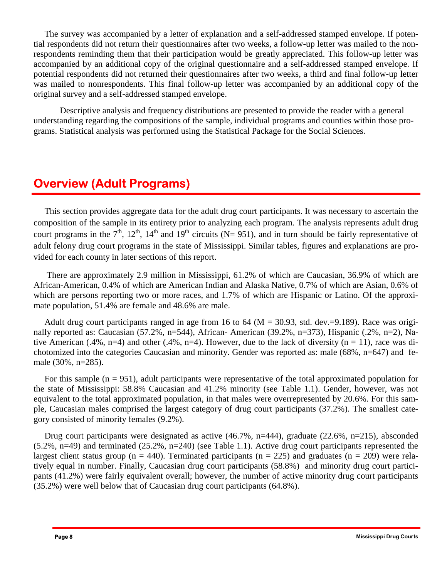The survey was accompanied by a letter of explanation and a self-addressed stamped envelope. If potential respondents did not return their questionnaires after two weeks, a follow-up letter was mailed to the nonrespondents reminding them that their participation would be greatly appreciated. This follow-up letter was accompanied by an additional copy of the original questionnaire and a self-addressed stamped envelope. If potential respondents did not returned their questionnaires after two weeks, a third and final follow-up letter was mailed to nonrespondents. This final follow-up letter was accompanied by an additional copy of the original survey and a self-addressed stamped envelope.

Descriptive analysis and frequency distributions are presented to provide the reader with a general understanding regarding the compositions of the sample, individual programs and counties within those programs. Statistical analysis was performed using the Statistical Package for the Social Sciences.

# **Overview (Adult Programs)**

court programs in the  $7<sup>th</sup>$ ,  $12<sup>th</sup>$ ,  $14<sup>th</sup>$  and  $19<sup>th</sup>$  circuits (N= 951), and in turn should be fairly representative of This section provides aggregate data for the adult drug court participants. It was necessary to ascertain the composition of the sample in its entirety prior to analyzing each program. The analysis represents adult drug adult felony drug court programs in the state of Mississippi. Similar tables, figures and explanations are provided for each county in later sections of this report.

There are approximately 2.9 million in Mississippi, 61.2% of which are Caucasian, 36.9% of which are African-American, 0.4% of which are American Indian and Alaska Native, 0.7% of which are Asian, 0.6% of which are persons reporting two or more races, and 1.7% of which are Hispanic or Latino. Of the approximate population, 51.4% are female and 48.6% are male.

Adult drug court participants ranged in age from 16 to 64 ( $M = 30.93$ , std. dev.=9.189). Race was originally reported as: Caucasian (57.2%, n=544), African- American (39.2%, n=373), Hispanic (.2%, n=2), Native American (.4%, n=4) and other (.4%, n=4). However, due to the lack of diversity (n = 11), race was dichotomized into the categories Caucasian and minority. Gender was reported as: male (68%, n=647) and female (30%, n=285).

For this sample  $(n = 951)$ , adult participants were representative of the total approximated population for the state of Mississippi: 58.8% Caucasian and 41.2% minority (see Table 1.1). Gender, however, was not equivalent to the total approximated population, in that males were overrepresented by 20.6%. For this sample, Caucasian males comprised the largest category of drug court participants (37.2%). The smallest category consisted of minority females (9.2%).

Drug court participants were designated as active (46.7%, n=444), graduate (22.6%, n=215), absconded (5.2%, n=49) and terminated (25.2%, n=240) (see Table 1.1). Active drug court participants represented the largest client status group (n = 440). Terminated participants (n = 225) and graduates (n = 209) were relatively equal in number. Finally, Caucasian drug court participants (58.8%) and minority drug court participants (41.2%) were fairly equivalent overall; however, the number of active minority drug court participants (35.2%) were well below that of Caucasian drug court participants (64.8%).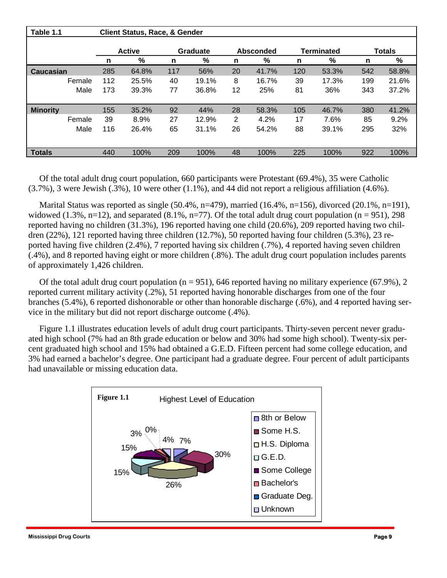| Table 1.1       |               | <b>Client Status, Race, &amp; Gender</b> |                 |       |                  |       |     |                   |               |       |
|-----------------|---------------|------------------------------------------|-----------------|-------|------------------|-------|-----|-------------------|---------------|-------|
|                 | <b>Active</b> |                                          | <b>Graduate</b> |       | <b>Absconded</b> |       |     | <b>Terminated</b> | <b>Totals</b> |       |
|                 | n             | %                                        | n               | %     | n                | %     | n   | %                 | n             | %     |
| Caucasian       | 285           | 64.8%                                    | 117             | 56%   | 20               | 41.7% | 120 | 53.3%             | 542           | 58.8% |
| Female          | 112           | 25.5%                                    | 40              | 19.1% | 8                | 16.7% | 39  | 17.3%             | 199           | 21.6% |
| Male            | 173           | 39.3%                                    | 77              | 36.8% | 12               | 25%   | 81  | 36%               | 343           | 37.2% |
|                 |               |                                          |                 |       |                  |       |     |                   |               |       |
| <b>Minority</b> | 155           | 35.2%                                    | 92              | 44%   | 28               | 58.3% | 105 | 46.7%             | 380           | 41.2% |
| Female          | 39            | 8.9%                                     | 27              | 12.9% | 2                | 4.2%  | 17  | 7.6%              | 85            | 9.2%  |
| Male            | 116           | 26.4%                                    | 65              | 31.1% | 26               | 54.2% | 88  | 39.1%             | 295           | 32%   |
|                 |               |                                          |                 |       |                  |       |     |                   |               |       |
| <b>Totals</b>   | 440           | 100%                                     | 209             | 100%  | 48               | 100%  | 225 | 100%              | 922           | 100%  |

 Of the total adult drug court population, 660 participants were Protestant (69.4%), 35 were Catholic (3.7%), 3 were Jewish (.3%), 10 were other (1.1%), and 44 did not report a religious affiliation (4.6%).

Marital Status was reported as single (50.4%, n=479), married (16.4%, n=156), divorced (20.1%, n=191), widowed  $(1.3\%, n=12)$ , and separated  $(8.1\%, n=77)$ . Of the total adult drug court population  $(n = 951)$ , 298 reported having no children (31.3%), 196 reported having one child (20.6%), 209 reported having two children (22%), 121 reported having three children (12.7%), 50 reported having four children (5.3%), 23 reported having five children (2.4%), 7 reported having six children (.7%), 4 reported having seven children (.4%), and 8 reported having eight or more children (.8%). The adult drug court population includes parents of approximately 1,426 children.

Of the total adult drug court population ( $n = 951$ ), 646 reported having no military experience (67.9%), 2 reported current military activity (.2%), 51 reported having honorable discharges from one of the four branches (5.4%), 6 reported dishonorable or other than honorable discharge (.6%), and 4 reported having service in the military but did not report discharge outcome (.4%).

 Figure 1.1 illustrates education levels of adult drug court participants. Thirty-seven percent never graduated high school (7% had an 8th grade education or below and 30% had some high school). Twenty-six percent graduated high school and 15% had obtained a G.E.D. Fifteen percent had some college education, and 3% had earned a bachelor's degree. One participant had a graduate degree. Four percent of adult participants had unavailable or missing education data.

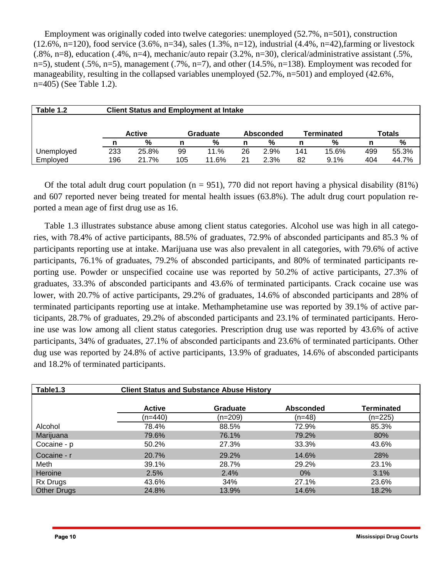Employment was originally coded into twelve categories: unemployed (52.7%, n=501), construction (12.6%, n=120), food service (3.6%, n=34), sales (1.3%, n=12), industrial (4.4%, n=42),farming or livestock (.8%, n=8), education (.4%, n=4), mechanic/auto repair (3.2%, n=30), clerical/administrative assistant (.5%, n=5), student (.5%, n=5), management (.7%, n=7), and other (14.5%, n=138). Employment was recoded for manageability, resulting in the collapsed variables unemployed (52.7%, n=501) and employed (42.6%, n=405) (See Table 1.2).

| Table 1.2  |     | <b>Client Status and Employment at Intake</b> |     |          |    |           |     |                   |               |       |  |  |
|------------|-----|-----------------------------------------------|-----|----------|----|-----------|-----|-------------------|---------------|-------|--|--|
|            |     |                                               |     |          |    |           |     |                   |               |       |  |  |
|            |     | <b>Active</b>                                 |     | Graduate |    | Absconded |     | <b>Terminated</b> | <b>Totals</b> |       |  |  |
|            |     | %                                             |     | %        | n  | %         |     | %                 | n             | %     |  |  |
| Unemployed | 233 | 25.8%                                         | 99  | 11.%     | 26 | 2.9%      | 141 | 15.6%             | 499           | 55.3% |  |  |
| Employed   | 196 | 21.7%                                         | 105 | 11.6%    | 21 | 2.3%      | 82  | 9.1%              | 404           | 44.7% |  |  |

Of the total adult drug court population ( $n = 951$ ), 770 did not report having a physical disability (81%) and 607 reported never being treated for mental health issues (63.8%). The adult drug court population reported a mean age of first drug use as 16.

 Table 1.3 illustrates substance abuse among client status categories. Alcohol use was high in all categories, with 78.4% of active participants, 88.5% of graduates, 72.9% of absconded participants and 85.3 % of participants reporting use at intake. Marijuana use was also prevalent in all categories, with 79.6% of active participants, 76.1% of graduates, 79.2% of absconded participants, and 80% of terminated participants reporting use. Powder or unspecified cocaine use was reported by 50.2% of active participants, 27.3% of graduates, 33.3% of absconded participants and 43.6% of terminated participants. Crack cocaine use was lower, with 20.7% of active participants, 29.2% of graduates, 14.6% of absconded participants and 28% of terminated participants reporting use at intake. Methamphetamine use was reported by 39.1% of active participants, 28.7% of graduates, 29.2% of absconded participants and 23.1% of terminated participants. Heroine use was low among all client status categories. Prescription drug use was reported by 43.6% of active participants, 34% of graduates, 27.1% of absconded participants and 23.6% of terminated participants. Other dug use was reported by 24.8% of active participants, 13.9% of graduates, 14.6% of absconded participants and 18.2% of terminated participants.

| Table1.3           |               | <b>Client Status and Substance Abuse History</b> |                  |                   |
|--------------------|---------------|--------------------------------------------------|------------------|-------------------|
|                    | <b>Active</b> | <b>Graduate</b>                                  | <b>Absconded</b> | <b>Terminated</b> |
|                    | (n=440)       | (n=209)                                          | (n=48)           | $(n=225)$         |
| Alcohol            | 78.4%         | 88.5%                                            | 72.9%            | 85.3%             |
| Marijuana          | 79.6%         | 76.1%                                            | 79.2%            | 80%               |
| Cocaine - p        | 50.2%         | 27.3%                                            | 33.3%            | 43.6%             |
| Cocaine - r        | 20.7%         | 29.2%                                            | 14.6%            | 28%               |
| Meth               | 39.1%         | 28.7%                                            | 29.2%            | 23.1%             |
| Heroine            | 2.5%          | 2.4%                                             | $0\%$            | 3.1%              |
| Rx Drugs           | 43.6%         | 34%                                              | 27.1%            | 23.6%             |
| <b>Other Drugs</b> | 24.8%         | 13.9%                                            | 14.6%            | 18.2%             |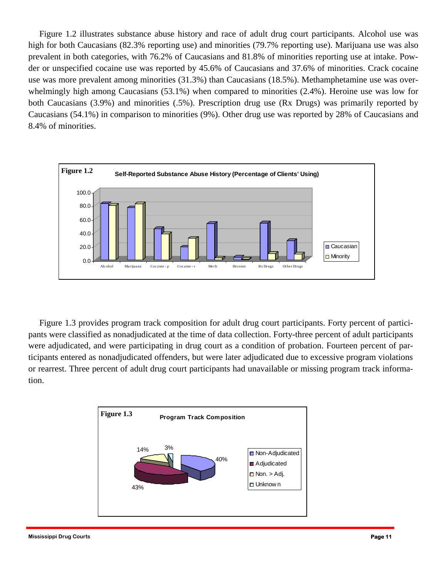Figure 1.2 illustrates substance abuse history and race of adult drug court participants. Alcohol use was high for both Caucasians (82.3% reporting use) and minorities (79.7% reporting use). Marijuana use was also prevalent in both categories, with 76.2% of Caucasians and 81.8% of minorities reporting use at intake. Powder or unspecified cocaine use was reported by 45.6% of Caucasians and 37.6% of minorities. Crack cocaine use was more prevalent among minorities (31.3%) than Caucasians (18.5%). Methamphetamine use was overwhelmingly high among Caucasians (53.1%) when compared to minorities (2.4%). Heroine use was low for both Caucasians (3.9%) and minorities (.5%). Prescription drug use (Rx Drugs) was primarily reported by Caucasians (54.1%) in comparison to minorities (9%). Other drug use was reported by 28% of Caucasians and 8.4% of minorities.



 Figure 1.3 provides program track composition for adult drug court participants. Forty percent of participants were classified as nonadjudicated at the time of data collection. Forty-three percent of adult participants were adjudicated, and were participating in drug court as a condition of probation. Fourteen percent of participants entered as nonadjudicated offenders, but were later adjudicated due to excessive program violations or rearrest. Three percent of adult drug court participants had unavailable or missing program track information.

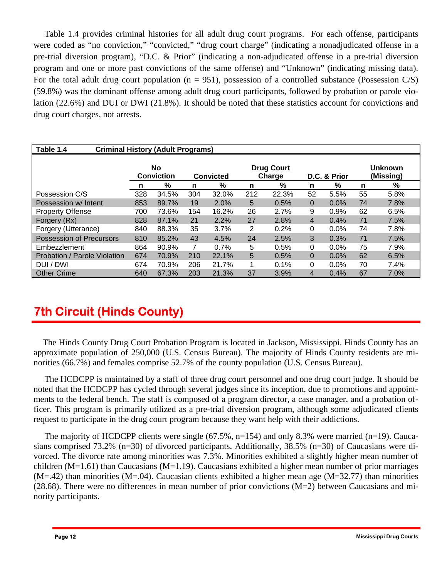Table 1.4 provides criminal histories for all adult drug court programs. For each offense, participants were coded as "no conviction," "convicted," "drug court charge" (indicating a nonadjudicated offense in a pre-trial diversion program), "D.C. & Prior" (indicating a non-adjudicated offense in a pre-trial diversion program and one or more past convictions of the same offense) and "Unknown" (indicating missing data). For the total adult drug court population ( $n = 951$ ), possession of a controlled substance (Possession C/S) (59.8%) was the dominant offense among adult drug court participants, followed by probation or parole violation (22.6%) and DUI or DWI (21.8%). It should be noted that these statistics account for convictions and drug court charges, not arrests.

| Table 1.4<br><b>Criminal History (Adult Programs)</b> |                                |       |     |                  |                             |       |          |         |    |      |
|-------------------------------------------------------|--------------------------------|-------|-----|------------------|-----------------------------|-------|----------|---------|----|------|
|                                                       | <b>No</b><br><b>Conviction</b> |       |     | <b>Convicted</b> | <b>Unknown</b><br>(Missing) |       |          |         |    |      |
|                                                       | n                              | %     | n   | %                | n                           | %     | n        | ℅       | n  | ℅    |
| Possession C/S                                        | 328                            | 34.5% | 304 | 32.0%            | 212                         | 22.3% | 52       | 5.5%    | 55 | 5.8% |
| Possession w/ Intent                                  | 853                            | 89.7% | 19  | 2.0%             | 5                           | 0.5%  | $\Omega$ | 0.0%    | 74 | 7.8% |
| <b>Property Offense</b>                               | 700                            | 73.6% | 154 | 16.2%            | 26                          | 2.7%  | 9        | 0.9%    | 62 | 6.5% |
| Forgery (Rx)                                          | 828                            | 87.1% | 21  | 2.2%             | 27                          | 2.8%  | 4        | 0.4%    | 71 | 7.5% |
| Forgery (Utterance)                                   | 840                            | 88.3% | 35  | 3.7%             | 2                           | 0.2%  | $\Omega$ | 0.0%    | 74 | 7.8% |
| Possession of Precursors                              | 810                            | 85.2% | 43  | 4.5%             | 24                          | 2.5%  | 3        | 0.3%    | 71 | 7.5% |
| Embezzlement                                          | 864                            | 90.9% | 7   | 0.7%             | 5                           | 0.5%  | $\Omega$ | $0.0\%$ | 75 | 7.9% |
| Probation / Parole Violation                          | 674                            | 70.9% | 210 | 22.1%            | 5                           | 0.5%  | $\Omega$ | $0.0\%$ | 62 | 6.5% |
| DUI / DWI                                             | 674                            | 70.9% | 206 | 21.7%            | 1                           | 0.1%  | $\Omega$ | 0.0%    | 70 | 7.4% |
| <b>Other Crime</b>                                    | 640                            | 67.3% | 203 | 21.3%            | 37                          | 3.9%  | 4        | 0.4%    | 67 | 7.0% |

# **7th Circuit (Hinds County)**

The Hinds County Drug Court Probation Program is located in Jackson, Mississippi. Hinds County has an approximate population of 250,000 (U.S. Census Bureau). The majority of Hinds County residents are minorities (66.7%) and females comprise 52.7% of the county population (U.S. Census Bureau).

 The HCDCPP is maintained by a staff of three drug court personnel and one drug court judge. It should be noted that the HCDCPP has cycled through several judges since its inception, due to promotions and appointments to the federal bench. The staff is composed of a program director, a case manager, and a probation officer. This program is primarily utilized as a pre-trial diversion program, although some adjudicated clients request to participate in the drug court program because they want help with their addictions.

The majority of HCDCPP clients were single (67.5%, n=154) and only 8.3% were married (n=19). Caucasians comprised 73.2% (n=30) of divorced participants. Additionally, 38.5% (n=30) of Caucasians were divorced. The divorce rate among minorities was 7.3%. Minorities exhibited a slightly higher mean number of children  $(M=1.61)$  than Caucasians  $(M=1.19)$ . Caucasians exhibited a higher mean number of prior marriages  $(M=.42)$  than minorities  $(M=.04)$ . Caucasian clients exhibited a higher mean age  $(M=32.77)$  than minorities  $(28.68)$ . There were no differences in mean number of prior convictions  $(M=2)$  between Caucasians and minority participants.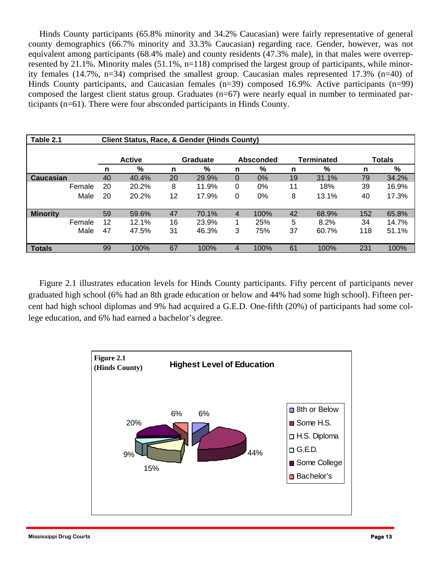Hinds County participants (65.8% minority and 34.2% Caucasian) were fairly representative of general county demographics (66.7% minority and 33.3% Caucasian) regarding race. Gender, however, was not equivalent among participants (68.4% male) and county residents (47.3% male), in that males were overrepresented by 21.1%. Minority males (51.1%, n=118) comprised the largest group of participants, while minority females (14.7%, n=34) comprised the smallest group. Caucasian males represented 17.3% (n=40) of Hinds County participants, and Caucasian females (n=39) composed 16.9%. Active participants (n=99) composed the largest client status group. Graduates (n=67) were nearly equal in number to terminated participants (n=61). There were four absconded participants in Hinds County.

| Table 2.1        |        |               | <b>Client Status, Race, &amp; Gender (Hinds County)</b> |    |          |                |                  |    |                   |     |               |
|------------------|--------|---------------|---------------------------------------------------------|----|----------|----------------|------------------|----|-------------------|-----|---------------|
|                  |        |               |                                                         |    |          |                |                  |    |                   |     |               |
|                  |        | <b>Active</b> |                                                         |    | Graduate |                | <b>Absconded</b> |    | <b>Terminated</b> |     | <b>Totals</b> |
|                  |        | n             | %                                                       | n  | %        | %<br>n         |                  | n  | %                 | n   | %             |
| <b>Caucasian</b> |        | 40            | 40.4%                                                   | 20 | 29.9%    | 0              | 0%               | 19 | 31.1%             | 79  | 34.2%         |
|                  | Female | 20            | 20.2%                                                   | 8  | 11.9%    | 0              | 0%               | 11 | 18%               | 39  | 16.9%         |
|                  | Male   | 20            | 20.2%                                                   | 12 | 17.9%    | 0              | 0%               | 8  | 13.1%             | 40  | 17.3%         |
| <b>Minority</b>  |        | 59            | 59.6%                                                   | 47 | 70.1%    | $\overline{4}$ | 100%             | 42 | 68.9%             | 152 | 65.8%         |
|                  | Female | 12            | 12.1%                                                   | 16 | 23.9%    | 1              | 25%              | 5  | 8.2%              | 34  | 14.7%         |
|                  | Male   | 47            | 47.5%                                                   | 31 | 46.3%    | 3              | 75%              | 37 | 60.7%             | 118 | 51.1%         |
| <b>Totals</b>    |        | 99            | 100%                                                    | 67 | 100%     | 4              | 100%             | 61 | 100%              | 231 | 100%          |

 Figure 2.1 illustrates education levels for Hinds County participants. Fifty percent of participants never graduated high school (6% had an 8th grade education or below and 44% had some high school). Fifteen percent had high school diplomas and 9% had acquired a G.E.D. One-fifth (20%) of participants had some college education, and 6% had earned a bachelor's degree.

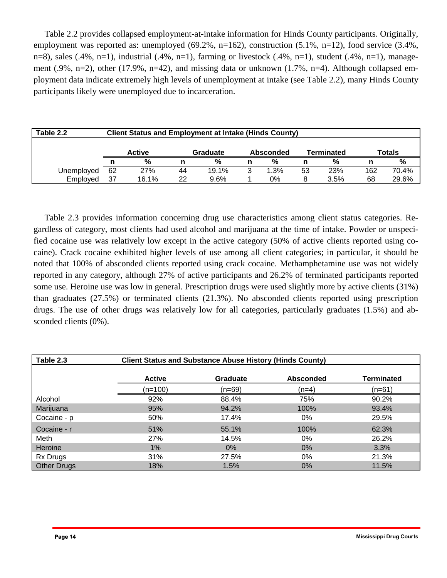Table 2.2 provides collapsed employment-at-intake information for Hinds County participants. Originally, employment was reported as: unemployed  $(69.2\%, n=162)$ , construction  $(5.1\%, n=12)$ , food service  $(3.4\%, n=162)$ n=8), sales (.4%, n=1), industrial (.4%, n=1), farming or livestock (.4%, n=1), student (.4%, n=1), management (.9%, n=2), other (17.9%, n=42), and missing data or unknown (1.7%, n=4). Although collapsed employment data indicate extremely high levels of unemployment at intake (see Table 2.2), many Hinds County participants likely were unemployed due to incarceration.

| Table 2.2  | <b>Client Status and Employment at Intake (Hinds County)</b> |               |    |          |                                |      |    |               |               |       |  |  |
|------------|--------------------------------------------------------------|---------------|----|----------|--------------------------------|------|----|---------------|---------------|-------|--|--|
|            |                                                              |               |    |          |                                |      |    |               |               |       |  |  |
|            |                                                              | <b>Active</b> |    | Graduate | <b>Terminated</b><br>Absconded |      |    |               | <b>Totals</b> |       |  |  |
|            |                                                              | %             |    | %        | n                              | %    |    | $\frac{9}{6}$ |               | %     |  |  |
| Unemployed | 62                                                           | 27%           | 44 | 19.1%    | 3                              | 1.3% | 53 | 23%           | 162           | 70.4% |  |  |
| Employed   | 37                                                           | 16.1%         | 22 | $9.6\%$  |                                | 0%   |    | 3.5%          | 68            | 29.6% |  |  |

 Table 2.3 provides information concerning drug use characteristics among client status categories. Regardless of category, most clients had used alcohol and marijuana at the time of intake. Powder or unspecified cocaine use was relatively low except in the active category (50% of active clients reported using cocaine). Crack cocaine exhibited higher levels of use among all client categories; in particular, it should be noted that 100% of absconded clients reported using crack cocaine. Methamphetamine use was not widely reported in any category, although 27% of active participants and 26.2% of terminated participants reported some use. Heroine use was low in general. Prescription drugs were used slightly more by active clients (31%) than graduates (27.5%) or terminated clients (21.3%). No absconded clients reported using prescription drugs. The use of other drugs was relatively low for all categories, particularly graduates (1.5%) and absconded clients (0%).

| Table 2.3          | <b>Client Status and Substance Abuse History (Hinds County)</b> |          |                  |            |  |  |  |  |  |  |
|--------------------|-----------------------------------------------------------------|----------|------------------|------------|--|--|--|--|--|--|
|                    | <b>Active</b>                                                   | Graduate | <b>Absconded</b> | Terminated |  |  |  |  |  |  |
|                    | (n=100)                                                         | (n=69)   | (n=4)            | (n=61)     |  |  |  |  |  |  |
| Alcohol            | 92%                                                             | 88.4%    | 75%              | 90.2%      |  |  |  |  |  |  |
| Marijuana          | 95%                                                             | 94.2%    | 100%             | 93.4%      |  |  |  |  |  |  |
| Cocaine - p        | 50%                                                             | 17.4%    | 0%               | 29.5%      |  |  |  |  |  |  |
| Cocaine - r        | 51%                                                             | 55.1%    | 100%             | 62.3%      |  |  |  |  |  |  |
| Meth               | 27%                                                             | 14.5%    | 0%               | 26.2%      |  |  |  |  |  |  |
| Heroine            | 1%                                                              | $0\%$    | $0\%$            | 3.3%       |  |  |  |  |  |  |
| <b>Rx Drugs</b>    | 31%                                                             | 27.5%    | 0%               | 21.3%      |  |  |  |  |  |  |
| <b>Other Drugs</b> | 18%                                                             | 1.5%     | $0\%$            | 11.5%      |  |  |  |  |  |  |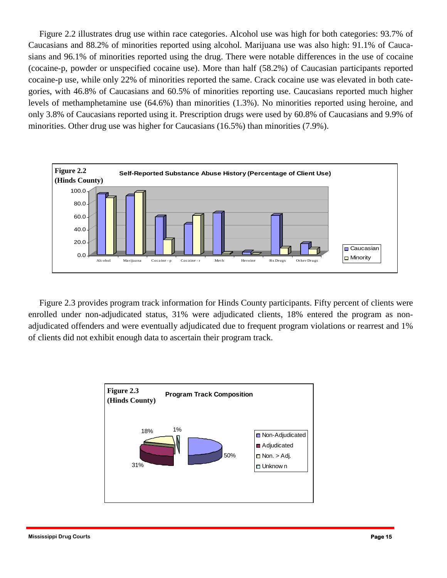Figure 2.2 illustrates drug use within race categories. Alcohol use was high for both categories: 93.7% of Caucasians and 88.2% of minorities reported using alcohol. Marijuana use was also high: 91.1% of Caucasians and 96.1% of minorities reported using the drug. There were notable differences in the use of cocaine (cocaine-p, powder or unspecified cocaine use). More than half (58.2%) of Caucasian participants reported cocaine-p use, while only 22% of minorities reported the same. Crack cocaine use was elevated in both categories, with 46.8% of Caucasians and 60.5% of minorities reporting use. Caucasians reported much higher levels of methamphetamine use (64.6%) than minorities (1.3%). No minorities reported using heroine, and only 3.8% of Caucasians reported using it. Prescription drugs were used by 60.8% of Caucasians and 9.9% of minorities. Other drug use was higher for Caucasians (16.5%) than minorities (7.9%).



 Figure 2.3 provides program track information for Hinds County participants. Fifty percent of clients were enrolled under non-adjudicated status, 31% were adjudicated clients, 18% entered the program as nonadjudicated offenders and were eventually adjudicated due to frequent program violations or rearrest and 1% of clients did not exhibit enough data to ascertain their program track.

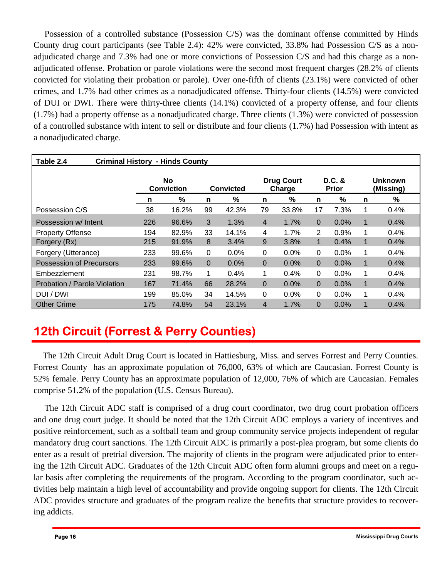Possession of a controlled substance (Possession C/S) was the dominant offense committed by Hinds County drug court participants (see Table 2.4): 42% were convicted, 33.8% had Possession C/S as a nonadjudicated charge and 7.3% had one or more convictions of Possession C/S and had this charge as a nonadjudicated offense. Probation or parole violations were the second most frequent charges (28.2% of clients convicted for violating their probation or parole). Over one-fifth of clients (23.1%) were convicted of other crimes, and 1.7% had other crimes as a nonadjudicated offense. Thirty-four clients (14.5%) were convicted of DUI or DWI. There were thirty-three clients (14.1%) convicted of a property offense, and four clients (1.7%) had a property offense as a nonadjudicated charge. Three clients (1.3%) were convicted of possession of a controlled substance with intent to sell or distribute and four clients (1.7%) had Possession with intent as a nonadjudicated charge.

| Table 2.4<br><b>Criminal History - Hinds County</b> |     |                                |          |                  |                             |       |                        |      |                             |      |
|-----------------------------------------------------|-----|--------------------------------|----------|------------------|-----------------------------|-------|------------------------|------|-----------------------------|------|
|                                                     |     | <b>No</b><br><b>Conviction</b> |          | <b>Convicted</b> | <b>Drug Court</b><br>Charge |       | D.C. &<br><b>Prior</b> |      | <b>Unknown</b><br>(Missing) |      |
|                                                     | n   | %                              | n        | $\%$             | n                           | %     | n                      | %    | n                           | %    |
| Possession C/S                                      | 38  | 16.2%                          | 99       | 42.3%            | 79                          | 33.8% | 17                     | 7.3% | 1                           | 0.4% |
| Possession w/ Intent                                | 226 | 96.6%                          | 3        | 1.3%             | $\overline{4}$              | 1.7%  | $\Omega$               | 0.0% | $\mathbf 1$                 | 0.4% |
| <b>Property Offense</b>                             | 194 | 82.9%                          | 33       | 14.1%            | 4                           | 1.7%  | 2                      | 0.9% | 1                           | 0.4% |
| Forgery (Rx)                                        | 215 | 91.9%                          | 8        | 3.4%             | 9                           | 3.8%  | 1                      | 0.4% | 1                           | 0.4% |
| Forgery (Utterance)                                 | 233 | 99.6%                          | 0        | 0.0%             | 0                           | 0.0%  | 0                      | 0.0% | 1                           | 0.4% |
| <b>Possession of Precursors</b>                     | 233 | 99.6%                          | $\Omega$ | 0.0%             | $\Omega$                    | 0.0%  | $\Omega$               | 0.0% | 1                           | 0.4% |
| Embezzlement                                        | 231 | 98.7%                          | 1        | 0.4%             | 1                           | 0.4%  | 0                      | 0.0% | 1                           | 0.4% |
| Probation / Parole Violation                        | 167 | 71.4%                          | 66       | 28.2%            | $\Omega$                    | 0.0%  | $\Omega$               | 0.0% | $\mathbf 1$                 | 0.4% |
| DUI / DWI                                           | 199 | 85.0%                          | 34       | 14.5%            | 0                           | 0.0%  | 0                      | 0.0% |                             | 0.4% |
| <b>Other Crime</b>                                  | 175 | 74.8%                          | 54       | 23.1%            | 4                           | 1.7%  | 0                      | 0.0% |                             | 0.4% |

# **12th Circuit (Forrest & Perry Counties)**

The 12th Circuit Adult Drug Court is located in Hattiesburg, Miss. and serves Forrest and Perry Counties. Forrest County has an approximate population of 76,000, 63% of which are Caucasian. Forrest County is 52% female. Perry County has an approximate population of 12,000, 76% of which are Caucasian. Females comprise 51.2% of the population (U.S. Census Bureau).

 The 12th Circuit ADC staff is comprised of a drug court coordinator, two drug court probation officers and one drug court judge. It should be noted that the 12th Circuit ADC employs a variety of incentives and positive reinforcement, such as a softball team and group community service projects independent of regular mandatory drug court sanctions. The 12th Circuit ADC is primarily a post-plea program, but some clients do enter as a result of pretrial diversion. The majority of clients in the program were adjudicated prior to entering the 12th Circuit ADC. Graduates of the 12th Circuit ADC often form alumni groups and meet on a regular basis after completing the requirements of the program. According to the program coordinator, such activities help maintain a high level of accountability and provide ongoing support for clients. The 12th Circuit ADC provides structure and graduates of the program realize the benefits that structure provides to recovering addicts.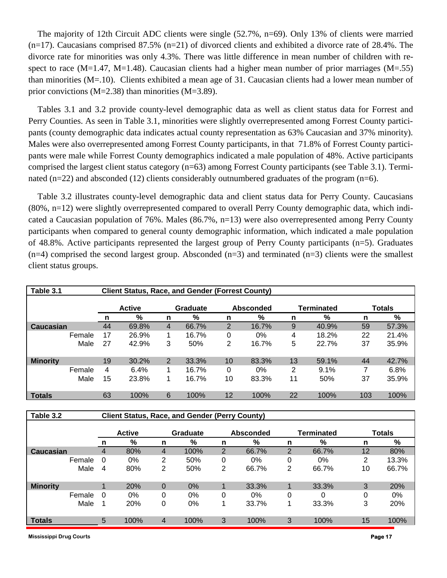The majority of 12th Circuit ADC clients were single (52.7%, n=69). Only 13% of clients were married  $(n=17)$ . Caucasians comprised 87.5%  $(n=21)$  of divorced clients and exhibited a divorce rate of 28.4%. The divorce rate for minorities was only 4.3%. There was little difference in mean number of children with respect to race (M=1.47, M=1.48). Caucasian clients had a higher mean number of prior marriages (M=.55) than minorities (M=.10). Clients exhibited a mean age of 31. Caucasian clients had a lower mean number of prior convictions (M=2.38) than minorities (M=3.89).

Tables 3.1 and 3.2 provide county-level demographic data as well as client status data for Forrest and Perry Counties. As seen in Table 3.1, minorities were slightly overrepresented among Forrest County participants (county demographic data indicates actual county representation as 63% Caucasian and 37% minority). Males were also overrepresented among Forrest County participants, in that 71.8% of Forrest County participants were male while Forrest County demographics indicated a male population of 48%. Active participants comprised the largest client status category (n=63) among Forrest County participants (see Table 3.1). Terminated (n=22) and absconded (12) clients considerably outnumbered graduates of the program (n=6).

Table 3.2 illustrates county-level demographic data and client status data for Perry County. Caucasians (80%, n=12) were slightly overrepresented compared to overall Perry County demographic data, which indicated a Caucasian population of 76%. Males (86.7%, n=13) were also overrepresented among Perry County participants when compared to general county demographic information, which indicated a male population of 48.8%. Active participants represented the largest group of Perry County participants (n=5). Graduates  $(n=4)$  comprised the second largest group. Absconded  $(n=3)$  and terminated  $(n=3)$  clients were the smallest client status groups.

| Table 3.1       |                           | <b>Client Status, Race, and Gender (Forrest County)</b> |                |       |                  |       |                |               |     |       |
|-----------------|---------------------------|---------------------------------------------------------|----------------|-------|------------------|-------|----------------|---------------|-----|-------|
|                 | <b>Active</b><br>Graduate |                                                         |                |       | <b>Absconded</b> |       | Terminated     | <b>Totals</b> |     |       |
|                 | %<br>n                    |                                                         | n              | %     | n                | %     | n              | %             | n   | %     |
| Caucasian       | 44                        | 69.8%                                                   | 4              | 66.7% | $\overline{2}$   | 16.7% | 9              | 40.9%         | 59  | 57.3% |
| Female          | 17                        | 26.9%                                                   |                | 16.7% | 0                | $0\%$ | 4              | 18.2%         | 22  | 21.4% |
| Male            | 27                        | 42.9%                                                   | 3              | 50%   | 2                | 16.7% | 5              | 22.7%         | 37  | 35.9% |
| <b>Minority</b> | 19                        | 30.2%                                                   | $\overline{2}$ | 33.3% | 10               | 83.3% | 13             | 59.1%         | 44  | 42.7% |
| Female          | 4                         | 6.4%                                                    | 1              | 16.7% | 0                | $0\%$ | $\overline{2}$ | 9.1%          |     | 6.8%  |
| Male            | 15                        | 23.8%                                                   |                | 16.7% | 10               | 83.3% | 11             | 50%           | 37  | 35.9% |
| <b>Totals</b>   | 63                        | 100%                                                    | 6              | 100%  | 12               | 100%  | 22             | 100%          | 103 | 100%  |

| Table 3.2       |        | <b>Client Status, Race, and Gender (Perry County)</b> |                |          |                |                  |                |            |               |       |  |
|-----------------|--------|-------------------------------------------------------|----------------|----------|----------------|------------------|----------------|------------|---------------|-------|--|
|                 |        | <b>Active</b>                                         |                | Graduate |                | <b>Absconded</b> |                | Terminated | <b>Totals</b> |       |  |
|                 | %<br>n |                                                       | %<br>n         |          | n              | %                |                | %<br>n     |               | %     |  |
| Caucasian       | 4      | 80%                                                   | 4              | 100%     | $\overline{2}$ | 66.7%            | $\overline{2}$ | 66.7%      | 12            | 80%   |  |
| Female          | 0      | $0\%$                                                 | 2              | 50%      | 0              | 0%               | 0              | 0%         | 2             | 13.3% |  |
| Male            | 4      | 80%                                                   | 2              | 50%      | 2              | 66.7%            | 2              | 66.7%      | 10            | 66.7% |  |
| <b>Minority</b> |        | 20%                                                   | $\overline{0}$ | $0\%$    |                | 33.3%            |                | 33.3%      | 3             | 20%   |  |
| Female          | 0      | 0%                                                    | 0              | 0%       | 0              | 0%               | 0              |            | 0             | 0%    |  |
| Male            |        | 20%                                                   | 0              | 0%       |                | 33.7%            |                | 33.3%      | 3             | 20%   |  |
| <b>Totals</b>   | 5      | 100%                                                  | $\overline{4}$ | 100%     | 3              | 100%             | 3              | 100%       | 15            | 100%  |  |

**Mississippi Drug Courts Page 17**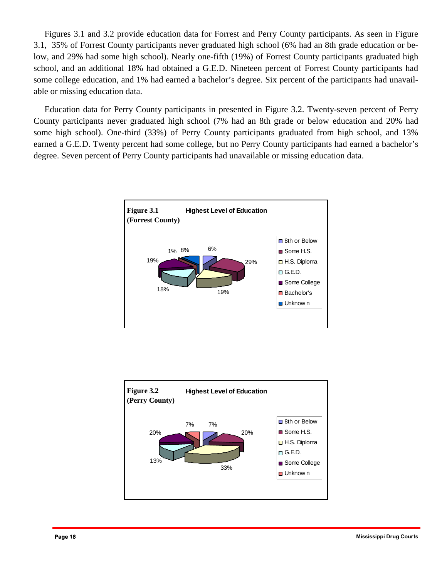Figures 3.1 and 3.2 provide education data for Forrest and Perry County participants. As seen in Figure 3.1, 35% of Forrest County participants never graduated high school (6% had an 8th grade education or below, and 29% had some high school). Nearly one-fifth (19%) of Forrest County participants graduated high school, and an additional 18% had obtained a G.E.D. Nineteen percent of Forrest County participants had some college education, and 1% had earned a bachelor's degree. Six percent of the participants had unavailable or missing education data.

 Education data for Perry County participants in presented in Figure 3.2. Twenty-seven percent of Perry some high school). One-third (33%) of Perry County participants graduated from high school, and 13% County participants never graduated high school (7% had an 8th grade or below education and 20% had earned a G.E.D. Twenty percent had some college, but no Perry County participants had earned a bachelor's degree. Seven percent of Perry County participants had unavailable or missing education data.



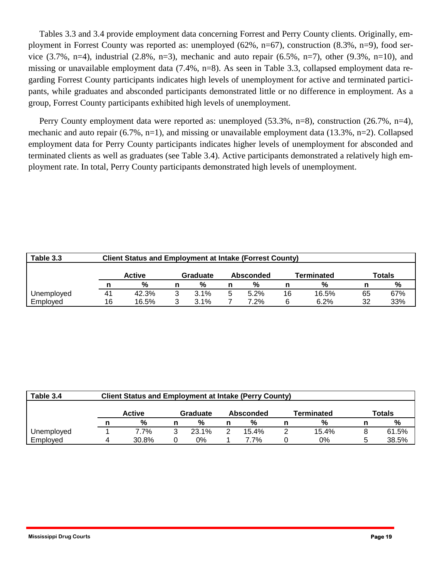Tables 3.3 and 3.4 provide employment data concerning Forrest and Perry County clients. Originally, employment in Forrest County was reported as: unemployed (62%, n=67), construction (8.3%, n=9), food service  $(3.7\%, n=4)$ , industrial  $(2.8\%, n=3)$ , mechanic and auto repair  $(6.5\%, n=7)$ , other  $(9.3\%, n=10)$ , and missing or unavailable employment data (7.4%, n=8). As seen in Table 3.3, collapsed employment data regarding Forrest County participants indicates high levels of unemployment for active and terminated participants, while graduates and absconded participants demonstrated little or no difference in employment. As a group, Forrest County participants exhibited high levels of unemployment.

 Perry County employment data were reported as: unemployed (53.3%, n=8), construction (26.7%, n=4), mechanic and auto repair (6.7%, n=1), and missing or unavailable employment data (13.3%, n=2). Collapsed employment data for Perry County participants indicates higher levels of unemployment for absconded and terminated clients as well as graduates (see Table 3.4). Active participants demonstrated a relatively high employment rate. In total, Perry County participants demonstrated high levels of unemployment.

| Table 3.3  | <b>Client Status and Employment at Intake (Forrest County)</b> |                                                      |  |         |   |      |    |       |    |     |  |
|------------|----------------------------------------------------------------|------------------------------------------------------|--|---------|---|------|----|-------|----|-----|--|
|            |                                                                | Terminated<br><b>Active</b><br>Graduate<br>Absconded |  |         |   |      |    |       |    |     |  |
|            |                                                                | %                                                    |  | %       |   | %    |    | %     |    | %   |  |
| Unemployed | 41                                                             | 42.3%                                                |  | $3.1\%$ | ວ | 5.2% | 16 | 16.5% | 65 | 67% |  |
| Employed   | 16                                                             | 16.5%                                                |  | $3.1\%$ |   | 7.2% | 6  | 6.2%  | 32 | 33% |  |

| Table 3.4  | <b>Client Status and Employment at Intake (Perry County)</b> |                                                                |   |       |  |       |  |       |  |       |  |  |  |  |
|------------|--------------------------------------------------------------|----------------------------------------------------------------|---|-------|--|-------|--|-------|--|-------|--|--|--|--|
|            |                                                              | Totals<br><b>Active</b><br>Terminated<br>Graduate<br>Absconded |   |       |  |       |  |       |  |       |  |  |  |  |
|            |                                                              | %                                                              |   | %     |  | %     |  | %     |  | %     |  |  |  |  |
| Unemployed |                                                              | 7.7%                                                           | 3 | 23.1% |  | 15.4% |  | 15.4% |  | 61.5% |  |  |  |  |
| Employed   |                                                              | 30.8%                                                          |   | 0%    |  | 7.7%  |  | 0%    |  | 38.5% |  |  |  |  |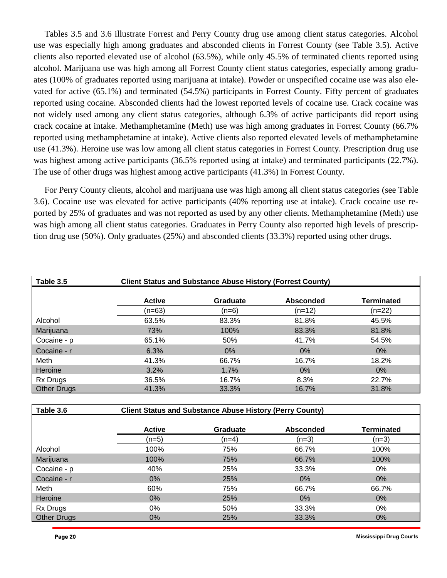crack cocaine at intake. Methamphetamine (Meth) use was high among graduates in Forrest County (66.7% Tables 3.5 and 3.6 illustrate Forrest and Perry County drug use among client status categories. Alcohol use was especially high among graduates and absconded clients in Forrest County (see Table 3.5). Active clients also reported elevated use of alcohol (63.5%), while only 45.5% of terminated clients reported using alcohol. Marijuana use was high among all Forrest County client status categories, especially among graduates (100% of graduates reported using marijuana at intake). Powder or unspecified cocaine use was also elevated for active (65.1%) and terminated (54.5%) participants in Forrest County. Fifty percent of graduates reported using cocaine. Absconded clients had the lowest reported levels of cocaine use. Crack cocaine was not widely used among any client status categories, although 6.3% of active participants did report using reported using methamphetamine at intake). Active clients also reported elevated levels of methamphetamine use (41.3%). Heroine use was low among all client status categories in Forrest County. Prescription drug use was highest among active participants (36.5% reported using at intake) and terminated participants (22.7%). The use of other drugs was highest among active participants (41.3%) in Forrest County.

For Perry County clients, alcohol and marijuana use was high among all client status categories (see Table 3.6). Cocaine use was elevated for active participants (40% reporting use at intake). Crack cocaine use reported by 25% of graduates and was not reported as used by any other clients. Methamphetamine (Meth) use was high among all client status categories. Graduates in Perry County also reported high levels of prescription drug use (50%). Only graduates (25%) and absconded clients (33.3%) reported using other drugs.

| Table 3.5          |               | <b>Client Status and Substance Abuse History (Forrest County)</b> |                  |                   |
|--------------------|---------------|-------------------------------------------------------------------|------------------|-------------------|
|                    | <b>Active</b> | <b>Graduate</b>                                                   | <b>Absconded</b> | <b>Terminated</b> |
|                    | (n=63)        | (n=6)                                                             | (n=12)           | $(n=22)$          |
| Alcohol            | 63.5%         | 83.3%                                                             | 81.8%            | 45.5%             |
| Marijuana          | 73%           | 100%                                                              | 83.3%            | 81.8%             |
| Cocaine - p        | 65.1%         | 50%                                                               | 41.7%            | 54.5%             |
| Cocaine - r        | 6.3%          | $0\%$                                                             | $0\%$            | $0\%$             |
| Meth               | 41.3%         | 66.7%                                                             | 16.7%            | 18.2%             |
| Heroine            | 3.2%          | 1.7%                                                              | $0\%$            | $0\%$             |
| Rx Drugs           | 36.5%         | 16.7%                                                             | 8.3%             | 22.7%             |
| <b>Other Drugs</b> | 41.3%         | 33.3%                                                             | 16.7%            | 31.8%             |

| Table 3.6          |               | <b>Client Status and Substance Abuse History (Perry County)</b> |                  |                   |
|--------------------|---------------|-----------------------------------------------------------------|------------------|-------------------|
|                    | <b>Active</b> | Graduate                                                        | <b>Absconded</b> | <b>Terminated</b> |
|                    | $(n=5)$       | (n=4)                                                           | $(n=3)$          | $(n=3)$           |
| Alcohol            | 100%          | 75%                                                             | 66.7%            | 100%              |
| Marijuana          | 100%          | 75%                                                             | 66.7%            | 100%              |
| Cocaine - p        | 40%           | 25%                                                             | 33.3%            | 0%                |
| Cocaine - r        | $0\%$         | 25%                                                             | 0%               | 0%                |
| Meth               | 60%           | 75%                                                             | 66.7%            | 66.7%             |
| Heroine            | 0%            | 25%                                                             | 0%               | $0\%$             |
| Rx Drugs           | 0%            | 50%                                                             | 33.3%            | 0%                |
| <b>Other Drugs</b> | $0\%$         | 25%                                                             | 33.3%            | $0\%$             |

**Page 20 Mississippi Drug Courts**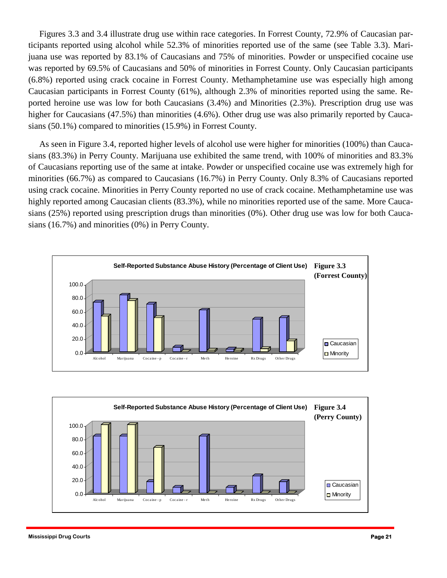Figures 3.3 and 3.4 illustrate drug use within race categories. In Forrest County, 72.9% of Caucasian participants reported using alcohol while 52.3% of minorities reported use of the same (see Table 3.3). Marijuana use was reported by 83.1% of Caucasians and 75% of minorities. Powder or unspecified cocaine use was reported by 69.5% of Caucasians and 50% of minorities in Forrest County. Only Caucasian participants (6.8%) reported using crack cocaine in Forrest County. Methamphetamine use was especially high among Caucasian participants in Forrest County (61%), although 2.3% of minorities reported using the same. Reported heroine use was low for both Caucasians (3.4%) and Minorities (2.3%). Prescription drug use was higher for Caucasians (47.5%) than minorities (4.6%). Other drug use was also primarily reported by Caucasians (50.1%) compared to minorities (15.9%) in Forrest County.

 As seen in Figure 3.4, reported higher levels of alcohol use were higher for minorities (100%) than Caucasians (83.3%) in Perry County. Marijuana use exhibited the same trend, with 100% of minorities and 83.3% of Caucasians reporting use of the same at intake. Powder or unspecified cocaine use was extremely high for minorities (66.7%) as compared to Caucasians (16.7%) in Perry County. Only 8.3% of Caucasians reported using crack cocaine. Minorities in Perry County reported no use of crack cocaine. Methamphetamine use was highly reported among Caucasian clients (83.3%), while no minorities reported use of the same. More Caucasians (25%) reported using prescription drugs than minorities (0%). Other drug use was low for both Caucasians (16.7%) and minorities (0%) in Perry County.



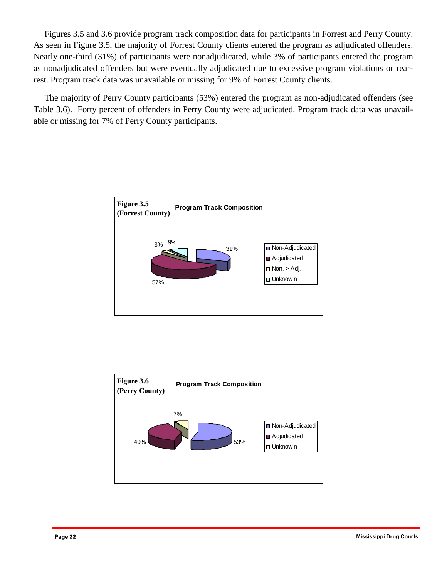Figures 3.5 and 3.6 provide program track composition data for participants in Forrest and Perry County. As seen in Figure 3.5, the majority of Forrest County clients entered the program as adjudicated offenders. Nearly one-third (31%) of participants were nonadjudicated, while 3% of participants entered the program as nonadjudicated offenders but were eventually adjudicated due to excessive program violations or rearrest. Program track data was unavailable or missing for 9% of Forrest County clients.

 The majority of Perry County participants (53%) entered the program as non-adjudicated offenders (see Table 3.6). Forty percent of offenders in Perry County were adjudicated. Program track data was unavailable or missing for 7% of Perry County participants.



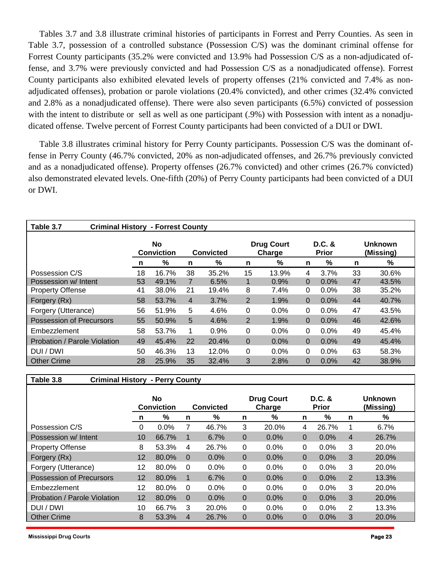Tables 3.7 and 3.8 illustrate criminal histories of participants in Forrest and Perry Counties. As seen in Table 3.7, possession of a controlled substance (Possession C/S) was the dominant criminal offense for Forrest County participants (35.2% were convicted and 13.9% had Possession C/S as a non-adjudicated offense, and 3.7% were previously convicted and had Possession C/S as a nonadjudicated offense). Forrest County participants also exhibited elevated levels of property offenses (21% convicted and 7.4% as nonadjudicated offenses), probation or parole violations (20.4% convicted), and other crimes (32.4% convicted and 2.8% as a nonadjudicated offense). There were also seven participants (6.5%) convicted of possession with the intent to distribute or sell as well as one participant (.9%) with Possession with intent as a nonadjudicated offense. Twelve percent of Forrest County participants had been convicted of a DUI or DWI.

Table 3.8 illustrates criminal history for Perry County participants. Possession C/S was the dominant offense in Perry County (46.7% convicted, 20% as non-adjudicated offenses, and 26.7% previously convicted and as a nonadjudicated offense). Property offenses (26.7% convicted) and other crimes (26.7% convicted) also demonstrated elevated levels. One-fifth (20%) of Perry County participants had been convicted of a DUI or DWI.

| Table 3.7<br><b>Criminal History - Forrest County</b> |                                |       |                  |       |                |                             |                          |         |                             |       |  |  |
|-------------------------------------------------------|--------------------------------|-------|------------------|-------|----------------|-----------------------------|--------------------------|---------|-----------------------------|-------|--|--|
|                                                       | <b>No</b><br><b>Conviction</b> |       | <b>Convicted</b> |       |                | <b>Drug Court</b><br>Charge | $D.C.$ &<br><b>Prior</b> |         | <b>Unknown</b><br>(Missing) |       |  |  |
|                                                       | n                              | %     | n                | %     | n              | %                           | n                        | %       | n                           | %     |  |  |
| Possession C/S                                        | 18                             | 16.7% | 38               | 35.2% | 15             | 13.9%                       | 4                        | 3.7%    | 33                          | 30.6% |  |  |
| Possession w/ Intent                                  | 53                             | 49.1% |                  | 6.5%  | $\mathbf 1$    | 0.9%                        | $\Omega$                 | 0.0%    | 47                          | 43.5% |  |  |
| <b>Property Offense</b>                               | 41                             | 38.0% | 21               | 19.4% | 8              | 7.4%                        | 0                        | $0.0\%$ | 38                          | 35.2% |  |  |
| Forgery (Rx)                                          | 58                             | 53.7% | $\overline{4}$   | 3.7%  | $\overline{2}$ | 1.9%                        | $\Omega$                 | 0.0%    | 44                          | 40.7% |  |  |
| Forgery (Utterance)                                   | 56                             | 51.9% | 5                | 4.6%  | 0              | 0.0%                        | 0                        | $0.0\%$ | 47                          | 43.5% |  |  |
| Possession of Precursors                              | 55                             | 50.9% | 5                | 4.6%  | 2              | 1.9%                        | $\Omega$                 | 0.0%    | 46                          | 42.6% |  |  |
| Embezzlement                                          | 58                             | 53.7% | 1                | 0.9%  | $\Omega$       | 0.0%                        | 0                        | $0.0\%$ | 49                          | 45.4% |  |  |
| Probation / Parole Violation                          | 49                             | 45.4% | 22               | 20.4% | $\overline{0}$ | 0.0%                        | $\mathbf{0}$             | 0.0%    | 49                          | 45.4% |  |  |
| DUI / DWI                                             | 50                             | 46.3% | 13               | 12.0% | 0              | $0.0\%$                     | 0                        | $0.0\%$ | 63                          | 58.3% |  |  |
| <b>Other Crime</b>                                    | 28                             | 25.9% | 35               | 32.4% | 3              | 2.8%                        | 0                        | 0.0%    | 42                          | 38.9% |  |  |

#### **Table 3.8 Criminal History - Perry County**

|                                 | <b>No</b><br><b>Conviction</b> |       |          | <b>Convicted</b> |          | <b>Drug Court</b><br>Charge |          | $D.C.$ &<br><b>Prior</b> |                | Unknown<br>(Missing) |
|---------------------------------|--------------------------------|-------|----------|------------------|----------|-----------------------------|----------|--------------------------|----------------|----------------------|
|                                 | n                              | %     | n        | %                | n        | %                           | n        | %                        | n              | %                    |
| Possession C/S                  | 0                              | 0.0%  |          | 46.7%            | 3        | 20.0%                       | 4        | 26.7%                    |                | 6.7%                 |
| Possession w/ Intent            | 10                             | 66.7% |          | 6.7%             | $\Omega$ | 0.0%                        | 0        | 0.0%                     | 4              | 26.7%                |
| <b>Property Offense</b>         | 8                              | 53.3% | 4        | 26.7%            | 0        | $0.0\%$                     | 0        | $0.0\%$                  | 3              | 20.0%                |
| Forgery (Rx)                    | 12                             | 80.0% | $\Omega$ | $0.0\%$          | $\Omega$ | 0.0%                        | 0        | $0.0\%$                  | 3              | 20.0%                |
| Forgery (Utterance)             | 12                             | 80.0% | 0        | 0.0%             | 0        | $0.0\%$                     | $\Omega$ | $0.0\%$                  | 3              | 20.0%                |
| <b>Possession of Precursors</b> | 12                             | 80.0% |          | 6.7%             | $\Omega$ | $0.0\%$                     | 0        | $0.0\%$                  | $\overline{2}$ | 13.3%                |
| Embezzlement                    | 12                             | 80.0% | 0        | 0.0%             | 0        | $0.0\%$                     | 0        | $0.0\%$                  | 3              | 20.0%                |
| Probation / Parole Violation    | 12                             | 80.0% | $\Omega$ | $0.0\%$          | $\Omega$ | $0.0\%$                     | 0        | $0.0\%$                  | 3              | 20.0%                |
| DUI / DWI                       | 10                             | 66.7% | 3        | 20.0%            | 0        | $0.0\%$                     | 0        | $0.0\%$                  | 2              | 13.3%                |
| <b>Other Crime</b>              | 8                              | 53.3% | 4        | 26.7%            | 0        | $0.0\%$                     | 0        | $0.0\%$                  | 3              | 20.0%                |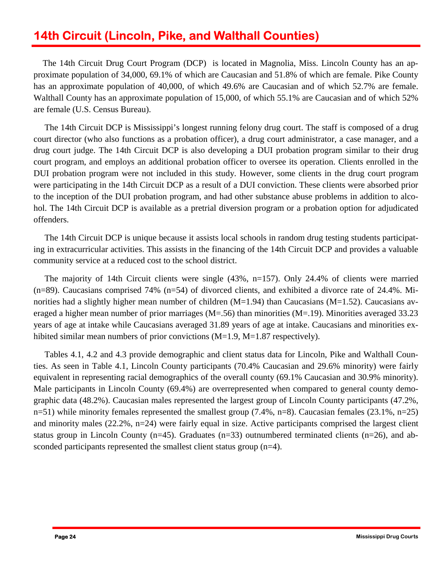# **14th Circuit (Lincoln, Pike, and Walthall Counties)**

The 14th Circuit Drug Court Program (DCP) is located in Magnolia, Miss. Lincoln County has an approximate population of 34,000, 69.1% of which are Caucasian and 51.8% of which are female. Pike County has an approximate population of 40,000, of which 49.6% are Caucasian and of which 52.7% are female. Walthall County has an approximate population of 15,000, of which 55.1% are Caucasian and of which 52% are female (U.S. Census Bureau).

 The 14th Circuit DCP is Mississippi's longest running felony drug court. The staff is composed of a drug court director (who also functions as a probation officer), a drug court administrator, a case manager, and a drug court judge. The 14th Circuit DCP is also developing a DUI probation program similar to their drug court program, and employs an additional probation officer to oversee its operation. Clients enrolled in the DUI probation program were not included in this study. However, some clients in the drug court program were participating in the 14th Circuit DCP as a result of a DUI conviction. These clients were absorbed prior to the inception of the DUI probation program, and had other substance abuse problems in addition to alcohol. The 14th Circuit DCP is available as a pretrial diversion program or a probation option for adjudicated offenders.

 The 14th Circuit DCP is unique because it assists local schools in random drug testing students participating in extracurricular activities. This assists in the financing of the 14th Circuit DCP and provides a valuable community service at a reduced cost to the school district.

 The majority of 14th Circuit clients were single (43%, n=157). Only 24.4% of clients were married (n=89). Caucasians comprised 74% (n=54) of divorced clients, and exhibited a divorce rate of 24.4%. Minorities had a slightly higher mean number of children  $(M=1.94)$  than Caucasians  $(M=1.52)$ . Caucasians averaged a higher mean number of prior marriages (M=.56) than minorities (M=.19). Minorities averaged 33.23 years of age at intake while Caucasians averaged 31.89 years of age at intake. Caucasians and minorities exhibited similar mean numbers of prior convictions (M=1.9, M=1.87 respectively).

Tables 4.1, 4.2 and 4.3 provide demographic and client status data for Lincoln, Pike and Walthall Counties. As seen in Table 4.1, Lincoln County participants (70.4% Caucasian and 29.6% minority) were fairly equivalent in representing racial demographics of the overall county (69.1% Caucasian and 30.9% minority). Male participants in Lincoln County (69.4%) are overrepresented when compared to general county demographic data (48.2%). Caucasian males represented the largest group of Lincoln County participants (47.2%, n=51) while minority females represented the smallest group (7.4%, n=8). Caucasian females (23.1%, n=25) and minority males (22.2%, n=24) were fairly equal in size. Active participants comprised the largest client status group in Lincoln County ( $n=45$ ). Graduates ( $n=33$ ) outnumbered terminated clients ( $n=26$ ), and absconded participants represented the smallest client status group (n=4).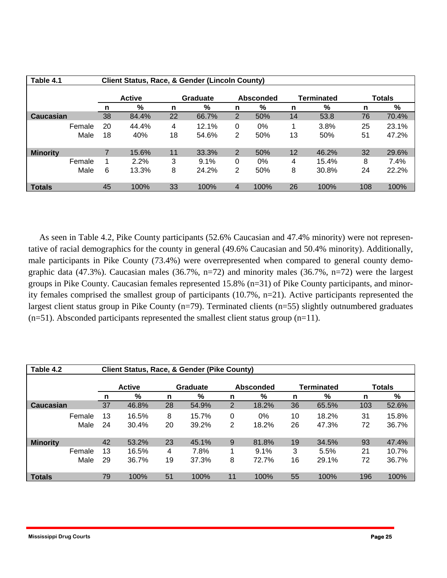| Table 4.1       |        | <b>Client Status, Race, &amp; Gender (Lincoln County)</b> |               |          |       |                             |      |    |       |     |       |  |  |
|-----------------|--------|-----------------------------------------------------------|---------------|----------|-------|-----------------------------|------|----|-------|-----|-------|--|--|
|                 |        |                                                           | <b>Active</b> | Graduate |       | <b>Totals</b><br>Terminated |      |    |       |     |       |  |  |
|                 |        | n                                                         | %             | n        | %     | n                           | %    | n  | %     | n   | %     |  |  |
| Caucasian       |        | 38                                                        | 84.4%         | 22       | 66.7% | 2                           | 50%  | 14 | 53.8  | 76  | 70.4% |  |  |
|                 | Female | 20                                                        | 44.4%         | 4        | 12.1% | 0                           | 0%   |    | 3.8%  | 25  | 23.1% |  |  |
|                 | Male   | 18                                                        | 40%           | 18       | 54.6% | 2                           | 50%  | 13 | 50%   | 51  | 47.2% |  |  |
| <b>Minority</b> |        |                                                           | 15.6%         | 11       | 33.3% | 2                           | 50%  | 12 | 46.2% | 32  | 29.6% |  |  |
|                 | Female |                                                           | 2.2%          | 3        | 9.1%  | 0                           | 0%   | 4  | 15.4% | 8   | 7.4%  |  |  |
|                 | Male   | 6                                                         | 13.3%         | 8        | 24.2% | 2                           | 50%  | 8  | 30.8% | 24  | 22.2% |  |  |
| <b>Totals</b>   |        | 45                                                        | 100%          | 33       | 100%  | 4                           | 100% | 26 | 100%  | 108 | 100%  |  |  |

tative of racial demographics for the county in general (49.6% Caucasian and 50.4% minority). Additionally, As seen in Table 4.2, Pike County participants (52.6% Caucasian and 47.4% minority) were not represenmale participants in Pike County (73.4%) were overrepresented when compared to general county demographic data (47.3%). Caucasian males (36.7%, n=72) and minority males (36.7%, n=72) were the largest groups in Pike County. Caucasian females represented 15.8% (n=31) of Pike County participants, and minority females comprised the smallest group of participants (10.7%, n=21). Active participants represented the largest client status group in Pike County (n=79). Terminated clients (n=55) slightly outnumbered graduates  $(n=51)$ . Absconded participants represented the smallest client status group  $(n=11)$ .

| Table 4.2       |    | <b>Client Status, Race, &amp; Gender (Pike County)</b> |    |          |    |                  |    |                   |     |               |  |  |  |
|-----------------|----|--------------------------------------------------------|----|----------|----|------------------|----|-------------------|-----|---------------|--|--|--|
|                 |    | <b>Active</b>                                          |    | Graduate |    | <b>Absconded</b> |    | <b>Terminated</b> |     | <b>Totals</b> |  |  |  |
|                 | n  | %                                                      | n  | %        | n  | %                | n  | %                 | n   | %             |  |  |  |
| Caucasian       | 37 | 46.8%                                                  | 28 | 54.9%    | 2  | 18.2%            | 36 | 65.5%             | 103 | 52.6%         |  |  |  |
| Female          | 13 | 16.5%                                                  | 8  | 15.7%    | 0  | $0\%$            | 10 | 18.2%             | 31  | 15.8%         |  |  |  |
| Male            | 24 | 30.4%                                                  | 20 | 39.2%    | 2  | 18.2%            | 26 | 47.3%             | 72  | 36.7%         |  |  |  |
| <b>Minority</b> | 42 | 53.2%                                                  | 23 | 45.1%    | 9  | 81.8%            | 19 | 34.5%             | 93  | 47.4%         |  |  |  |
| Female          | 13 | 16.5%                                                  | 4  | 7.8%     |    | 9.1%             | 3  | 5.5%              | 21  | 10.7%         |  |  |  |
| Male            | 29 | 36.7%                                                  | 19 | 37.3%    | 8  | 72.7%            | 16 | 29.1%             | 72  | 36.7%         |  |  |  |
| <b>Totals</b>   | 79 | 100%                                                   | 51 | 100%     | 11 | 100%             | 55 | 100%              | 196 | 100%          |  |  |  |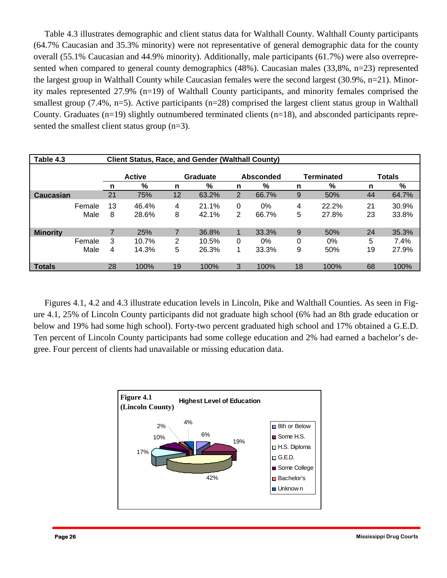Table 4.3 illustrates demographic and client status data for Walthall County. Walthall County participants (64.7% Caucasian and 35.3% minority) were not representative of general demographic data for the county overall (55.1% Caucasian and 44.9% minority). Additionally, male participants (61.7%) were also overrepresented when compared to general county demographics (48%). Caucasian males (33,8%, n=23) represented the largest group in Walthall County while Caucasian females were the second largest (30.9%, n=21). Minority males represented 27.9% (n=19) of Walthall County participants, and minority females comprised the smallest group (7.4%, n=5). Active participants (n=28) comprised the largest client status group in Walthall County. Graduates (n=19) slightly outnumbered terminated clients (n=18), and absconded participants represented the smallest client status group (n=3).

| Table 4.3                 |      |         | <b>Client Status, Race, and Gender (Walthall County)</b> |        |                                     |                     |             |        |                |               |                |  |  |  |
|---------------------------|------|---------|----------------------------------------------------------|--------|-------------------------------------|---------------------|-------------|--------|----------------|---------------|----------------|--|--|--|
|                           |      |         | <b>Active</b>                                            |        | <b>Graduate</b><br><b>Absconded</b> |                     |             |        | Terminated     | <b>Totals</b> |                |  |  |  |
|                           |      | n       | %                                                        | n      | %                                   | n                   | %           | n      | %              | n             | %              |  |  |  |
| Caucasian                 |      | 21      | 75%                                                      | 12     | 63.2%                               | $\overline{2}$      | 66.7%       | 9      | 50%            | 44            | 64.7%          |  |  |  |
| Female                    | Male | 13<br>8 | 46.4%<br>28.6%                                           | 4<br>8 | 21.1%<br>42.1%                      | 0<br>$\overline{2}$ | 0%<br>66.7% | 4<br>5 | 22.2%<br>27.8% | 21<br>23      | 30.9%<br>33.8% |  |  |  |
| <b>Minority</b><br>Female |      | 3       | 25%<br>10.7%                                             | 7<br>2 | 36.8%<br>10.5%                      | $\blacksquare$<br>0 | 33.3%<br>0% | 9<br>0 | 50%<br>0%      | 24<br>5       | 35.3%<br>7.4%  |  |  |  |
|                           | Male | 4       | 14.3%                                                    | 5      | 26.3%                               | 1                   | 33.3%       | 9      | 50%            | 19            | 27.9%          |  |  |  |
| <b>Totals</b>             |      | 28      | 100%                                                     | 19     | 100%                                | 3                   | 100%        | 18     | 100%           | 68            | 100%           |  |  |  |

 Figures 4.1, 4.2 and 4.3 illustrate education levels in Lincoln, Pike and Walthall Counties. As seen in Figure 4.1, 25% of Lincoln County participants did not graduate high school (6% had an 8th grade education or below and 19% had some high school). Forty-two percent graduated high school and 17% obtained a G.E.D. Ten percent of Lincoln County participants had some college education and 2% had earned a bachelor's degree. Four percent of clients had unavailable or missing education data.

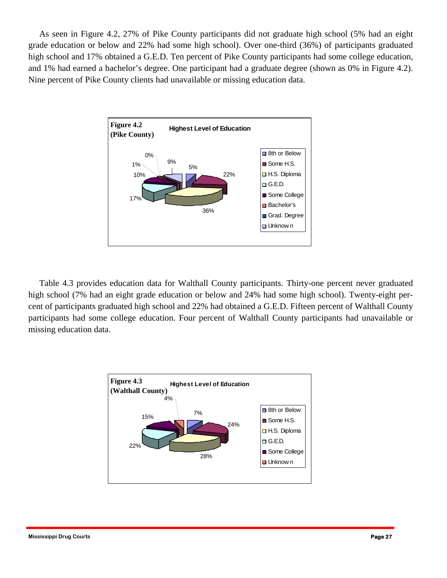As seen in Figure 4.2, 27% of Pike County participants did not graduate high school (5% had an eight grade education or below and 22% had some high school). Over one-third (36%) of participants graduated high school and 17% obtained a G.E.D. Ten percent of Pike County participants had some college education, and 1% had earned a bachelor's degree. One participant had a graduate degree (shown as 0% in Figure 4.2). Nine percent of Pike County clients had unavailable or missing education data.



 Table 4.3 provides education data for Walthall County participants. Thirty-one percent never graduated high school (7% had an eight grade education or below and 24% had some high school). Twenty-eight percent of participants graduated high school and 22% had obtained a G.E.D. Fifteen percent of Walthall County participants had some college education. Four percent of Walthall County participants had unavailable or missing education data.

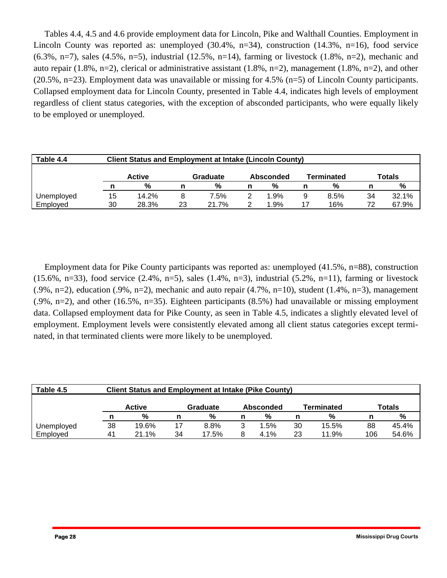(20.5%, n=23). Employment data was unavailable or missing for 4.5% (n=5) of Lincoln County participants. Tables 4.4, 4.5 and 4.6 provide employment data for Lincoln, Pike and Walthall Counties. Employment in Lincoln County was reported as: unemployed  $(30.4\%, n=34)$ , construction  $(14.3\%, n=16)$ , food service (6.3%, n=7), sales (4.5%, n=5), industrial (12.5%, n=14), farming or livestock (1.8%, n=2), mechanic and auto repair (1.8%, n=2), clerical or administrative assistant (1.8%, n=2), management (1.8%, n=2), and other Collapsed employment data for Lincoln County, presented in Table 4.4, indicates high levels of employment regardless of client status categories, with the exception of absconded participants, who were equally likely to be employed or unemployed.

| Table 4.4  | <b>Client Status and Employment at Intake (Lincoln County)</b> |                                                                |    |       |  |         |   |      |    |       |  |  |  |
|------------|----------------------------------------------------------------|----------------------------------------------------------------|----|-------|--|---------|---|------|----|-------|--|--|--|
|            |                                                                | <b>Active</b><br>Totals<br>Graduate<br>Terminated<br>Absconded |    |       |  |         |   |      |    |       |  |  |  |
|            |                                                                | %                                                              |    | %     |  | %       | n | %    |    | %     |  |  |  |
| Unemployed | 15                                                             | 14.2%                                                          |    | 7.5%  |  | $1.9\%$ | 9 | 8.5% | 34 | 32.1% |  |  |  |
| Employed   | 30                                                             | 28.3%                                                          | 23 | 21.7% |  | 1.9%    |   | 16%  | 72 | 67.9% |  |  |  |

 Employment data for Pike County participants was reported as: unemployed (41.5%, n=88), construction (15.6%, n=33), food service (2.4%, n=5), sales (1.4%, n=3), industrial (5.2%, n=11), farming or livestock  $(0.9\%, n=2)$ , education  $(0.9\%, n=2)$ , mechanic and auto repair  $(4.7\%, n=10)$ , student  $(1.4\%, n=3)$ , management  $(0.9\%$ , n=2), and other (16.5%, n=35). Eighteen participants (8.5%) had unavailable or missing employment data. Collapsed employment data for Pike County, as seen in Table 4.5, indicates a slightly elevated level of employment. Employment levels were consistently elevated among all client status categories except terminated, in that terminated clients were more likely to be unemployed.

| Table 4.5              |          | <b>Client Status and Employment at Intake (Pike County)</b>    |          |               |        |              |          |                |           |                |  |  |  |  |
|------------------------|----------|----------------------------------------------------------------|----------|---------------|--------|--------------|----------|----------------|-----------|----------------|--|--|--|--|
|                        |          | Totals<br><b>Active</b><br>Terminated<br>Graduate<br>Absconded |          |               |        |              |          |                |           |                |  |  |  |  |
|                        |          | %                                                              |          | %             |        | %            |          | %              |           | %              |  |  |  |  |
| Unemployed<br>Employed | 38<br>41 | 19.6%<br>21.1%                                                 | 17<br>34 | 8.8%<br>17.5% | 3<br>8 | l.5%<br>4.1% | 30<br>23 | 15.5%<br>11.9% | 88<br>106 | 45.4%<br>54.6% |  |  |  |  |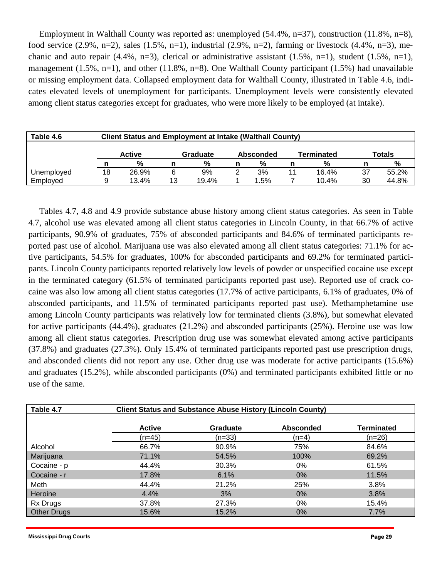Employment in Walthall County was reported as: unemployed (54.4%, n=37), construction (11.8%, n=8), food service (2.9%, n=2), sales (1.5%, n=1), industrial (2.9%, n=2), farming or livestock (4.4%, n=3), mechanic and auto repair (4.4%, n=3), clerical or administrative assistant (1.5%, n=1), student (1.5%, n=1), management (1.5%, n=1), and other (11.8%, n=8). One Walthall County participant (1.5%) had unavailable or missing employment data. Collapsed employment data for Walthall County, illustrated in Table 4.6, indicates elevated levels of unemployment for participants. Unemployment levels were consistently elevated among client status categories except for graduates, who were more likely to be employed (at intake).

| Table 4.6  |    | <b>Client Status and Employment at Intake (Walthall County)</b>       |    |       |  |         |  |       |    |       |  |  |  |
|------------|----|-----------------------------------------------------------------------|----|-------|--|---------|--|-------|----|-------|--|--|--|
|            |    | Terminated<br><b>Totals</b><br><b>Active</b><br>Absconded<br>Graduate |    |       |  |         |  |       |    |       |  |  |  |
|            |    | %                                                                     |    | %     |  | %       |  | %     |    | %     |  |  |  |
| Unemployed | 18 | 26.9%                                                                 | 6  | 9%    |  | 3%      |  | 16.4% | 37 | 55.2% |  |  |  |
| Employed   |    | 13.4%                                                                 | 13 | 19.4% |  | $1.5\%$ |  | 10.4% | 30 | 44.8% |  |  |  |

Tables 4.7, 4.8 and 4.9 provide substance abuse history among client status categories. As seen in Table 4.7, alcohol use was elevated among all client status categories in Lincoln County, in that 66.7% of active participants, 90.9% of graduates, 75% of absconded participants and 84.6% of terminated participants reported past use of alcohol. Marijuana use was also elevated among all client status categories: 71.1% for active participants, 54.5% for graduates, 100% for absconded participants and 69.2% for terminated participants. Lincoln County participants reported relatively low levels of powder or unspecified cocaine use except in the terminated category (61.5% of terminated participants reported past use). Reported use of crack cocaine was also low among all client status categories (17.7% of active participants, 6.1% of graduates, 0% of absconded participants, and 11.5% of terminated participants reported past use). Methamphetamine use among Lincoln County participants was relatively low for terminated clients (3.8%), but somewhat elevated for active participants (44.4%), graduates (21.2%) and absconded participants (25%). Heroine use was low among all client status categories. Prescription drug use was somewhat elevated among active participants (37.8%) and graduates (27.3%). Only 15.4% of terminated participants reported past use prescription drugs, and absconded clients did not report any use. Other drug use was moderate for active participants (15.6%) and graduates (15.2%), while absconded participants (0%) and terminated participants exhibited little or no use of the same.

| Table 4.7          |               | <b>Client Status and Substance Abuse History (Lincoln County)</b> |                  |            |
|--------------------|---------------|-------------------------------------------------------------------|------------------|------------|
|                    | <b>Active</b> | <b>Graduate</b>                                                   | <b>Absconded</b> | Terminated |
|                    | (n=45)        | (n=33)                                                            | (n=4)            | (n=26)     |
| Alcohol            | 66.7%         | 90.9%                                                             | 75%              | 84.6%      |
| Marijuana          | 71.1%         | 54.5%                                                             | 100%             | 69.2%      |
| Cocaine - p        | 44.4%         | 30.3%                                                             | $0\%$            | 61.5%      |
| Cocaine - r        | 17.8%         | 6.1%                                                              | $0\%$            | 11.5%      |
| Meth               | 44.4%         | 21.2%                                                             | 25%              | 3.8%       |
| Heroine            | 4.4%          | 3%                                                                | $0\%$            | 3.8%       |
| Rx Drugs           | 37.8%         | 27.3%                                                             | $0\%$            | 15.4%      |
| <b>Other Drugs</b> | 15.6%         | 15.2%                                                             | 0%               | 7.7%       |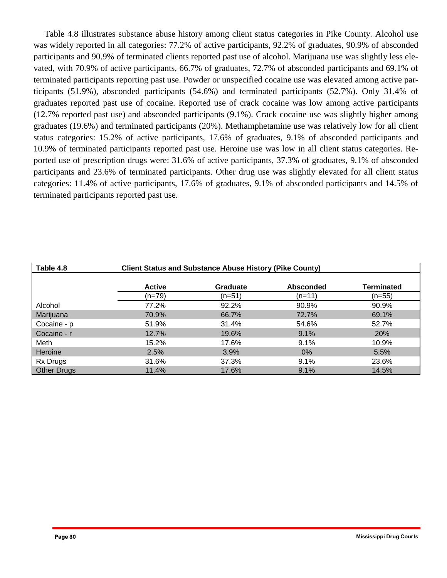Table 4.8 illustrates substance abuse history among client status categories in Pike County. Alcohol use was widely reported in all categories: 77.2% of active participants, 92.2% of graduates, 90.9% of absconded participants and 90.9% of terminated clients reported past use of alcohol. Marijuana use was slightly less elevated, with 70.9% of active participants, 66.7% of graduates, 72.7% of absconded participants and 69.1% of terminated participants reporting past use. Powder or unspecified cocaine use was elevated among active participants (51.9%), absconded participants (54.6%) and terminated participants (52.7%). Only 31.4% of graduates reported past use of cocaine. Reported use of crack cocaine was low among active participants (12.7% reported past use) and absconded participants (9.1%). Crack cocaine use was slightly higher among graduates (19.6%) and terminated participants (20%). Methamphetamine use was relatively low for all client status categories: 15.2% of active participants, 17.6% of graduates, 9.1% of absconded participants and 10.9% of terminated participants reported past use. Heroine use was low in all client status categories. Reported use of prescription drugs were: 31.6% of active participants, 37.3% of graduates, 9.1% of absconded participants and 23.6% of terminated participants. Other drug use was slightly elevated for all client status categories: 11.4% of active participants, 17.6% of graduates, 9.1% of absconded participants and 14.5% of terminated participants reported past use.

| Table 4.8          |               | <b>Client Status and Substance Abuse History (Pike County)</b> |                  |                   |
|--------------------|---------------|----------------------------------------------------------------|------------------|-------------------|
|                    | <b>Active</b> | <b>Graduate</b>                                                | <b>Absconded</b> | <b>Terminated</b> |
|                    | $(n=79)$      | (n=51)                                                         | (n=11)           | $(n=55)$          |
| Alcohol            | 77.2%         | 92.2%                                                          | 90.9%            | 90.9%             |
| Marijuana          | 70.9%         | 66.7%                                                          | 72.7%            | 69.1%             |
| Cocaine - p        | 51.9%         | 31.4%                                                          | 54.6%            | 52.7%             |
| Cocaine - r        | 12.7%         | 19.6%                                                          | 9.1%             | 20%               |
| Meth               | 15.2%         | 17.6%                                                          | 9.1%             | 10.9%             |
| Heroine            | 2.5%          | 3.9%                                                           | $0\%$            | 5.5%              |
| Rx Drugs           | 31.6%         | 37.3%                                                          | 9.1%             | 23.6%             |
| <b>Other Drugs</b> | 11.4%         | 17.6%                                                          | 9.1%             | 14.5%             |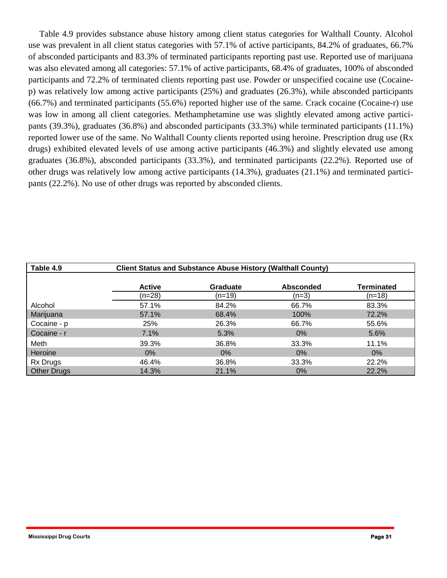Table 4.9 provides substance abuse history among client status categories for Walthall County. Alcohol use was prevalent in all client status categories with 57.1% of active participants, 84.2% of graduates, 66.7% of absconded participants and 83.3% of terminated participants reporting past use. Reported use of marijuana was also elevated among all categories: 57.1% of active participants, 68.4% of graduates, 100% of absconded participants and 72.2% of terminated clients reporting past use. Powder or unspecified cocaine use (Cocainep) was relatively low among active participants (25%) and graduates (26.3%), while absconded participants (66.7%) and terminated participants (55.6%) reported higher use of the same. Crack cocaine (Cocaine-r) use was low in among all client categories. Methamphetamine use was slightly elevated among active participants (39.3%), graduates (36.8%) and absconded participants (33.3%) while terminated participants (11.1%) reported lower use of the same. No Walthall County clients reported using heroine. Prescription drug use (Rx drugs) exhibited elevated levels of use among active participants (46.3%) and slightly elevated use among graduates (36.8%), absconded participants (33.3%), and terminated participants (22.2%). Reported use of other drugs was relatively low among active participants (14.3%), graduates (21.1%) and terminated participants (22.2%). No use of other drugs was reported by absconded clients.

| Table 4.9          |               | <b>Client Status and Substance Abuse History (Walthall County)</b> |                  |                   |
|--------------------|---------------|--------------------------------------------------------------------|------------------|-------------------|
|                    | <b>Active</b> | <b>Graduate</b>                                                    | <b>Absconded</b> | <b>Terminated</b> |
|                    | (n=28)        | (n=19)                                                             | $(n=3)$          | $(n=18)$          |
| Alcohol            | 57.1%         | 84.2%                                                              | 66.7%            | 83.3%             |
| Marijuana          | 57.1%         | 68.4%                                                              | 100%             | 72.2%             |
| Cocaine - p        | 25%           | 26.3%                                                              | 66.7%            | 55.6%             |
| Cocaine - r        | 7.1%          | 5.3%                                                               | $0\%$            | 5.6%              |
| Meth               | 39.3%         | 36.8%                                                              | 33.3%            | 11.1%             |
| Heroine            | $0\%$         | $0\%$                                                              | $0\%$            | $0\%$             |
| <b>Rx Drugs</b>    | 46.4%         | 36.8%                                                              | 33.3%            | 22.2%             |
| <b>Other Drugs</b> | 14.3%         | 21.1%                                                              | $0\%$            | 22.2%             |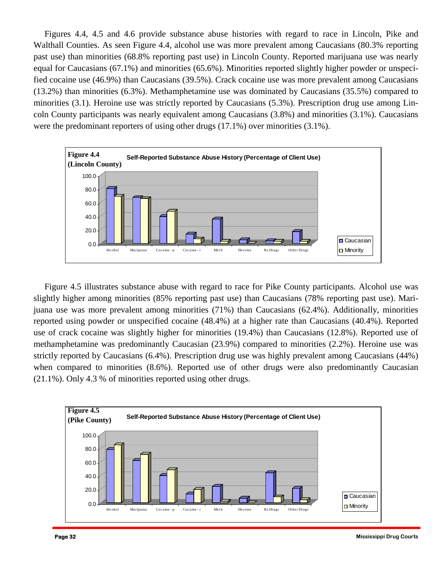Figures 4.4, 4.5 and 4.6 provide substance abuse histories with regard to race in Lincoln, Pike and Walthall Counties. As seen Figure 4.4, alcohol use was more prevalent among Caucasians (80.3% reporting past use) than minorities (68.8% reporting past use) in Lincoln County. Reported marijuana use was nearly equal for Caucasians (67.1%) and minorities (65.6%). Minorities reported slightly higher powder or unspecified cocaine use (46.9%) than Caucasians (39.5%). Crack cocaine use was more prevalent among Caucasians (13.2%) than minorities (6.3%). Methamphetamine use was dominated by Caucasians (35.5%) compared to minorities (3.1). Heroine use was strictly reported by Caucasians (5.3%). Prescription drug use among Lincoln County participants was nearly equivalent among Caucasians (3.8%) and minorities (3.1%). Caucasians were the predominant reporters of using other drugs (17.1%) over minorities (3.1%).



 Figure 4.5 illustrates substance abuse with regard to race for Pike County participants. Alcohol use was slightly higher among minorities (85% reporting past use) than Caucasians (78% reporting past use). Marijuana use was more prevalent among minorities (71%) than Caucasians (62.4%). Additionally, minorities reported using powder or unspecified cocaine (48.4%) at a higher rate than Caucasians (40.4%). Reported use of crack cocaine was slightly higher for minorities (19.4%) than Caucasians (12.8%). Reported use of methamphetamine was predominantly Caucasian (23.9%) compared to minorities (2.2%). Heroine use was strictly reported by Caucasians (6.4%). Prescription drug use was highly prevalent among Caucasians (44%) when compared to minorities (8.6%). Reported use of other drugs were also predominantly Caucasian (21.1%). Only 4.3 % of minorities reported using other drugs.

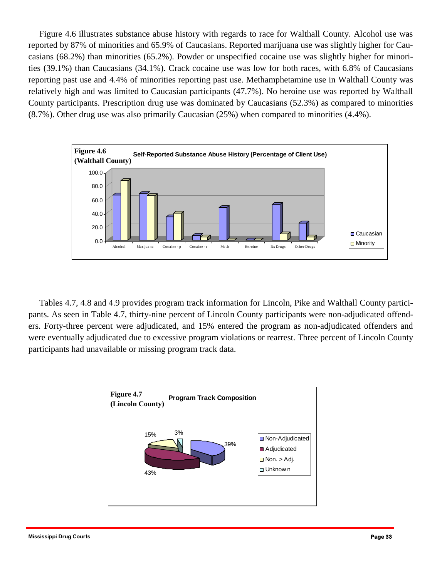reporting past use and 4.4% of minorities reporting past use. Methamphetamine use in Walthall County was relatively high and was limited to Caucasian participants (47.7%). No heroine use was reported by Walthall Figure 4.6 illustrates substance abuse history with regards to race for Walthall County. Alcohol use was reported by 87% of minorities and 65.9% of Caucasians. Reported marijuana use was slightly higher for Caucasians (68.2%) than minorities (65.2%). Powder or unspecified cocaine use was slightly higher for minorities (39.1%) than Caucasians (34.1%). Crack cocaine use was low for both races, with 6.8% of Caucasians County participants. Prescription drug use was dominated by Caucasians (52.3%) as compared to minorities (8.7%). Other drug use was also primarily Caucasian (25%) when compared to minorities (4.4%).



 Tables 4.7, 4.8 and 4.9 provides program track information for Lincoln, Pike and Walthall County participants. As seen in Table 4.7, thirty-nine percent of Lincoln County participants were non-adjudicated offenders. Forty-three percent were adjudicated, and 15% entered the program as non-adjudicated offenders and were eventually adjudicated due to excessive program violations or rearrest. Three percent of Lincoln County participants had unavailable or missing program track data.

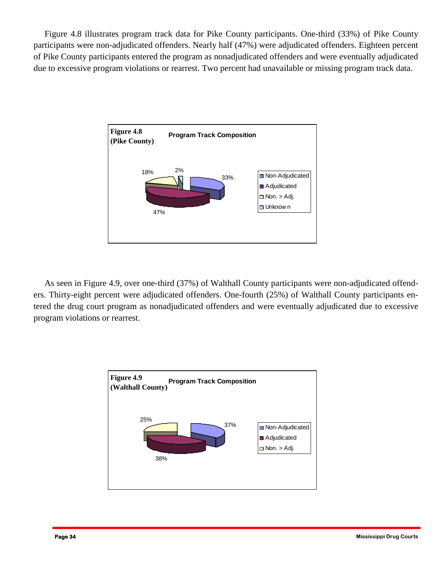Figure 4.8 illustrates program track data for Pike County participants. One-third (33%) of Pike County participants were non-adjudicated offenders. Nearly half (47%) were adjudicated offenders. Eighteen percent of Pike County participants entered the program as nonadjudicated offenders and were eventually adjudicated due to excessive program violations or rearrest. Two percent had unavailable or missing program track data.



As seen in Figure 4.9, over one-third (37%) of Walthall County participants were non-adjudicated offenders. Thirty-eight percent were adjudicated offenders. One-fourth (25%) of Walthall County participants entered the drug court program as nonadjudicated offenders and were eventually adjudicated due to excessive program violations or rearrest.

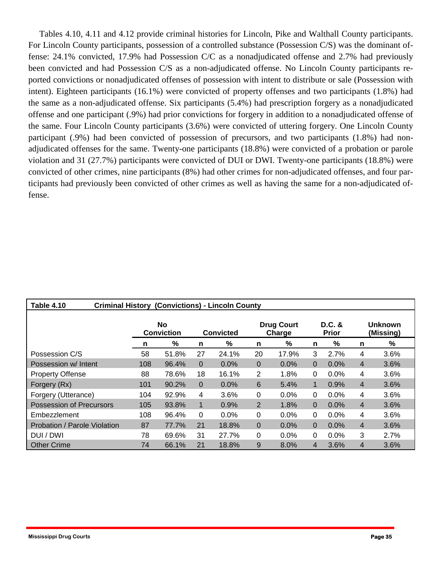Tables 4.10, 4.11 and 4.12 provide criminal histories for Lincoln, Pike and Walthall County participants. For Lincoln County participants, possession of a controlled substance (Possession C/S) was the dominant offense: 24.1% convicted, 17.9% had Possession C/C as a nonadjudicated offense and 2.7% had previously been convicted and had Possession C/S as a non-adjudicated offense. No Lincoln County participants reported convictions or nonadjudicated offenses of possession with intent to distribute or sale (Possession with intent). Eighteen participants (16.1%) were convicted of property offenses and two participants (1.8%) had the same as a non-adjudicated offense. Six participants (5.4%) had prescription forgery as a nonadjudicated offense and one participant (.9%) had prior convictions for forgery in addition to a nonadjudicated offense of the same. Four Lincoln County participants (3.6%) were convicted of uttering forgery. One Lincoln County participant (.9%) had been convicted of possession of precursors, and two participants (1.8%) had nonadjudicated offenses for the same. Twenty-one participants (18.8%) were convicted of a probation or parole violation and 31 (27.7%) participants were convicted of DUI or DWI. Twenty-one participants (18.8%) were convicted of other crimes, nine participants (8%) had other crimes for non-adjudicated offenses, and four participants had previously been convicted of other crimes as well as having the same for a non-adjudicated offense.

| Table 4.10<br><b>Criminal History (Convictions) - Lincoln County</b> |                                |       |          |           |              |                             |                          |      |                             |      |  |  |  |
|----------------------------------------------------------------------|--------------------------------|-------|----------|-----------|--------------|-----------------------------|--------------------------|------|-----------------------------|------|--|--|--|
|                                                                      | <b>No</b><br><b>Conviction</b> |       |          | Convicted |              | <b>Drug Court</b><br>Charge | $D.C.$ &<br><b>Prior</b> |      | <b>Unknown</b><br>(Missing) |      |  |  |  |
|                                                                      | n                              | %     | n        | %         | n            | %                           | n                        | %    | n                           | %    |  |  |  |
| Possession C/S                                                       | 58                             | 51.8% | 27       | 24.1%     | 20           | 17.9%                       | 3                        | 2.7% | 4                           | 3.6% |  |  |  |
| Possession w/ Intent                                                 | 108                            | 96.4% | $\Omega$ | 0.0%      | $\mathbf{0}$ | 0.0%                        | $\Omega$                 | 0.0% | 4                           | 3.6% |  |  |  |
| <b>Property Offense</b>                                              | 88                             | 78.6% | 18       | 16.1%     | 2            | 1.8%                        | $\Omega$                 | 0.0% | 4                           | 3.6% |  |  |  |
| Forgery (Rx)                                                         | 101                            | 90.2% | $\Omega$ | 0.0%      | 6            | 5.4%                        | 1                        | 0.9% | $\overline{4}$              | 3.6% |  |  |  |
| Forgery (Utterance)                                                  | 104                            | 92.9% | 4        | 3.6%      | 0            | 0.0%                        | $\Omega$                 | 0.0% | 4                           | 3.6% |  |  |  |
| Possession of Precursors                                             | 105                            | 93.8% | 1        | 0.9%      | 2            | 1.8%                        | $\Omega$                 | 0.0% | 4                           | 3.6% |  |  |  |
| Embezzlement                                                         | 108                            | 96.4% | $\Omega$ | 0.0%      | 0            | 0.0%                        | 0                        | 0.0% | 4                           | 3.6% |  |  |  |
| Probation / Parole Violation                                         | 87                             | 77.7% | 21       | 18.8%     | $\mathbf{0}$ | 0.0%                        | $\Omega$                 | 0.0% | 4                           | 3.6% |  |  |  |
| DUI / DWI                                                            | 78                             | 69.6% | 31       | 27.7%     | 0            | 0.0%                        | 0                        | 0.0% | 3                           | 2.7% |  |  |  |
| <b>Other Crime</b>                                                   | 74                             | 66.1% | 21       | 18.8%     | 9            | 8.0%                        | 4                        | 3.6% | 4                           | 3.6% |  |  |  |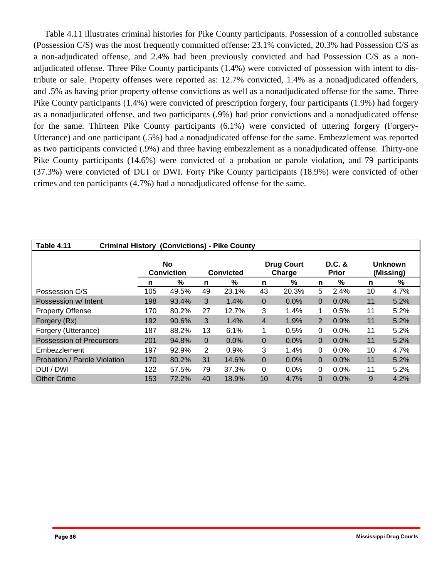Pike County participants (1.4%) were convicted of prescription forgery, four participants (1.9%) had forgery Table 4.11 illustrates criminal histories for Pike County participants. Possession of a controlled substance (Possession C/S) was the most frequently committed offense: 23.1% convicted, 20.3% had Possession C/S as a non-adjudicated offense, and 2.4% had been previously convicted and had Possession C/S as a nonadjudicated offense. Three Pike County participants (1.4%) were convicted of possession with intent to distribute or sale. Property offenses were reported as: 12.7% convicted, 1.4% as a nonadjudicated offenders, and .5% as having prior property offense convictions as well as a nonadjudicated offense for the same. Three as a nonadjudicated offense, and two participants (.9%) had prior convictions and a nonadjudicated offense for the same. Thirteen Pike County participants (6.1%) were convicted of uttering forgery (Forgery-Utterance) and one participant (.5%) had a nonadjudicated offense for the same. Embezzlement was reported as two participants convicted (.9%) and three having embezzlement as a nonadjudicated offense. Thirty-one Pike County participants (14.6%) were convicted of a probation or parole violation, and 79 participants (37.3%) were convicted of DUI or DWI. Forty Pike County participants (18.9%) were convicted of other crimes and ten participants (4.7%) had a nonadjudicated offense for the same.

| Table 4.11<br><b>Criminal History (Convictions) - Pike County</b> |     |                                |                  |         |                             |         |                        |         |    |                             |  |  |
|-------------------------------------------------------------------|-----|--------------------------------|------------------|---------|-----------------------------|---------|------------------------|---------|----|-----------------------------|--|--|
|                                                                   |     | <b>No</b><br><b>Conviction</b> | <b>Convicted</b> |         | <b>Drug Court</b><br>Charge |         | D.C. &<br><b>Prior</b> |         |    | <b>Unknown</b><br>(Missing) |  |  |
|                                                                   | n   | %                              | n                | %       | n                           | %       | n                      | %       | n  | %                           |  |  |
| Possession C/S                                                    | 105 | 49.5%                          | 49               | 23.1%   | 43                          | 20.3%   | 5                      | 2.4%    | 10 | 4.7%                        |  |  |
| Possession w/ Intent                                              | 198 | 93.4%                          | 3                | 1.4%    | $\overline{0}$              | 0.0%    | $\Omega$               | 0.0%    | 11 | 5.2%                        |  |  |
| <b>Property Offense</b>                                           | 170 | 80.2%                          | 27               | 12.7%   | 3                           | 1.4%    | 1                      | 0.5%    | 11 | 5.2%                        |  |  |
| Forgery (Rx)                                                      | 192 | 90.6%                          | 3                | 1.4%    | 4                           | 1.9%    | 2                      | 0.9%    | 11 | 5.2%                        |  |  |
| Forgery (Utterance)                                               | 187 | 88.2%                          | 13               | 6.1%    | 1                           | 0.5%    | 0                      | $0.0\%$ | 11 | 5.2%                        |  |  |
| <b>Possession of Precursors</b>                                   | 201 | 94.8%                          | $\Omega$         | $0.0\%$ | $\mathbf{0}$                | $0.0\%$ | $\Omega$               | 0.0%    | 11 | 5.2%                        |  |  |
| Embezzlement                                                      | 197 | 92.9%                          | 2                | 0.9%    | 3                           | 1.4%    | 0                      | 0.0%    | 10 | 4.7%                        |  |  |
| Probation / Parole Violation                                      | 170 | 80.2%                          | 31               | 14.6%   | 0                           | $0.0\%$ | $\Omega$               | 0.0%    | 11 | 5.2%                        |  |  |
| DUI / DWI                                                         | 122 | 57.5%                          | 79               | 37.3%   | 0                           | 0.0%    | 0                      | 0.0%    | 11 | 5.2%                        |  |  |
| <b>Other Crime</b>                                                | 153 | 72.2%                          | 40               | 18.9%   | 10                          | 4.7%    | 0                      | 0.0%    | 9  | 4.2%                        |  |  |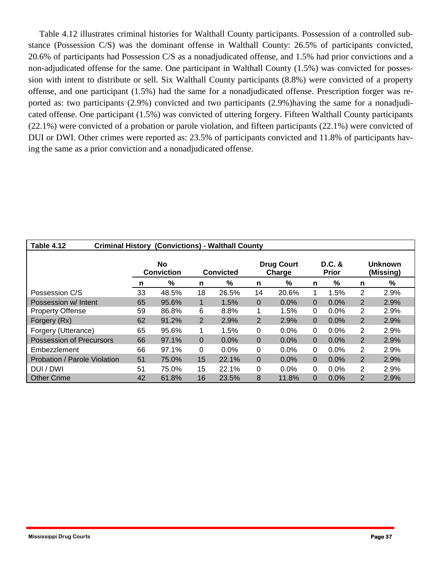Table 4.12 illustrates criminal histories for Walthall County participants. Possession of a controlled substance (Possession C/S) was the dominant offense in Walthall County: 26.5% of participants convicted, 20.6% of participants had Possession C/S as a nonadjudicated offense, and 1.5% had prior convictions and a non-adjudicated offense for the same. One participant in Walthall County (1.5%) was convicted for possession with intent to distribute or sell. Six Walthall County participants (8.8%) were convicted of a property offense, and one participant (1.5%) had the same for a nonadjudicated offense. Prescription forger was reported as: two participants (2.9%) convicted and two participants (2.9%)having the same for a nonadjudicated offense. One participant (1.5%) was convicted of uttering forgery. Fifteen Walthall County participants (22.1%) were convicted of a probation or parole violation, and fifteen participants (22.1%) were convicted of DUI or DWI. Other crimes were reported as: 23.5% of participants convicted and 11.8% of participants having the same as a prior conviction and a nonadjudicated offense.

| Table 4.12<br><b>Criminal History (Convictions) - Walthall County</b> |                         |       |                |                                          |                |         |          |                          |                             |      |  |  |
|-----------------------------------------------------------------------|-------------------------|-------|----------------|------------------------------------------|----------------|---------|----------|--------------------------|-----------------------------|------|--|--|
|                                                                       | No<br><b>Conviction</b> |       |                | <b>Drug Court</b><br>Charge<br>Convicted |                |         |          | $D.C.$ &<br><b>Prior</b> | <b>Unknown</b><br>(Missing) |      |  |  |
|                                                                       | n                       | ℅     | n              | %                                        | n              | %       | n        | %                        | n                           | %    |  |  |
| Possession C/S                                                        | 33                      | 48.5% | 18             | 26.5%                                    | 14             | 20.6%   |          | 1.5%                     | 2                           | 2.9% |  |  |
| Possession w/ Intent                                                  | 65                      | 95.6% | 1              | 1.5%                                     | 0              | 0.0%    | 0        | 0.0%                     | $\overline{2}$              | 2.9% |  |  |
| <b>Property Offense</b>                                               | 59                      | 86.8% | 6              | 8.8%                                     | 1              | 1.5%    | 0        | $0.0\%$                  | 2                           | 2.9% |  |  |
| Forgery (Rx)                                                          | 62                      | 91.2% | $\overline{2}$ | 2.9%                                     | 2              | 2.9%    | $\Omega$ | 0.0%                     | 2                           | 2.9% |  |  |
| Forgery (Utterance)                                                   | 65                      | 95.6% |                | 1.5%                                     | 0              | $0.0\%$ | 0        | $0.0\%$                  | 2                           | 2.9% |  |  |
| <b>Possession of Precursors</b>                                       | 66                      | 97.1% | 0              | 0.0%                                     | $\overline{0}$ | 0.0%    | $\Omega$ | $0.0\%$                  | 2                           | 2.9% |  |  |
| Embezzlement                                                          | 66                      | 97.1% | 0              | 0.0%                                     | 0              | 0.0%    | 0        | $0.0\%$                  | 2                           | 2.9% |  |  |
| <b>Probation / Parole Violation</b>                                   | 51                      | 75.0% | 15             | 22.1%                                    | $\overline{0}$ | 0.0%    | $\Omega$ | $0.0\%$                  | 2                           | 2.9% |  |  |
| DUI / DWI                                                             | 51                      | 75.0% | 15             | 22.1%                                    | 0              | $0.0\%$ | 0        | $0.0\%$                  | 2                           | 2.9% |  |  |
| <b>Other Crime</b>                                                    | 42                      | 61.8% | 16             | 23.5%                                    | 8              | 11.8%   | $\Omega$ | 0.0%                     | $\overline{2}$              | 2.9% |  |  |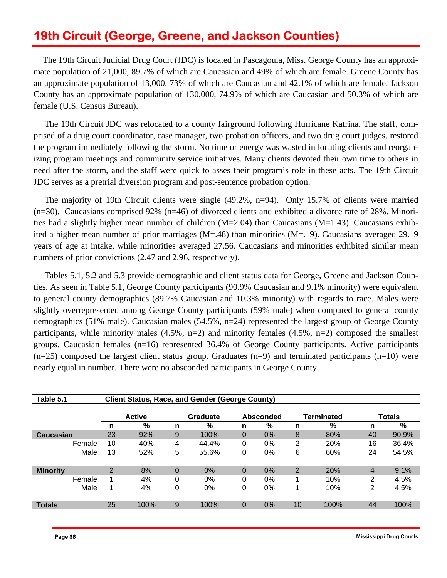# **19th Circuit (George, Greene, and Jackson Counties)**

The 19th Circuit Judicial Drug Court (JDC) is located in Pascagoula, Miss. George County has an approximate population of 21,000, 89.7% of which are Caucasian and 49% of which are female. Greene County has an approximate population of 13,000, 73% of which are Caucasian and 42.1% of which are female. Jackson County has an approximate population of 130,000, 74.9% of which are Caucasian and 50.3% of which are female (U.S. Census Bureau).

The 19th Circuit JDC was relocated to a county fairground following Hurricane Katrina. The staff, comprised of a drug court coordinator, case manager, two probation officers, and two drug court judges, restored the program immediately following the storm. No time or energy was wasted in locating clients and reorganizing program meetings and community service initiatives. Many clients devoted their own time to others in need after the storm, and the staff were quick to asses their program's role in these acts. The 19th Circuit JDC serves as a pretrial diversion program and post-sentence probation option.

 The majority of 19th Circuit clients were single (49.2%, n=94). Only 15.7% of clients were married (n=30). Caucasians comprised 92% (n=46) of divorced clients and exhibited a divorce rate of 28%. Minorities had a slightly higher mean number of children (M=2.04) than Caucasians (M=1.43). Caucasians exhibited a higher mean number of prior marriages (M=.48) than minorities (M=.19). Caucasians averaged 29.19 years of age at intake, while minorities averaged 27.56. Caucasians and minorities exhibited similar mean numbers of prior convictions  $(2.47 \text{ and } 2.96, \text{ respectively}).$ 

 Tables 5.1, 5.2 and 5.3 provide demographic and client status data for George, Greene and Jackson Counties. As seen in Table 5.1, George County participants (90.9% Caucasian and 9.1% minority) were equivalent to general county demographics (89.7% Caucasian and 10.3% minority) with regards to race. Males were slightly overrepresented among George County participants (59% male) when compared to general county demographics (51% male). Caucasian males (54.5%, n=24) represented the largest group of George County participants, while minority males (4.5%, n=2) and minority females (4.5%, n=2) composed the smallest groups. Caucasian females (n=16) represented 36.4% of George County participants. Active participants  $(n=25)$  composed the largest client status group. Graduates  $(n=9)$  and terminated participants  $(n=10)$  were nearly equal in number. There were no absconded participants in George County.

| Table 5.1       |        | <b>Client Status, Race, and Gender (George County)</b> |               |          |          |          |           |                |                   |    |               |  |
|-----------------|--------|--------------------------------------------------------|---------------|----------|----------|----------|-----------|----------------|-------------------|----|---------------|--|
|                 |        |                                                        |               |          |          |          |           |                |                   |    |               |  |
|                 |        |                                                        | <b>Active</b> |          | Graduate |          | Absconded |                | <b>Terminated</b> |    | <b>Totals</b> |  |
|                 |        | n                                                      | %             | n        | %        | n        | %         | n              | %                 | n  | %             |  |
| Caucasian       |        | 23                                                     | 92%           | 9        | 100%     | 0        | $0\%$     | 8              | 80%               | 40 | 90.9%         |  |
|                 | Female | 10                                                     | 40%           | 4        | 44.4%    | 0        | 0%        | 2              | 20%               | 16 | 36.4%         |  |
|                 | Male   | 13                                                     | 52%           | 5        | 55.6%    | 0        | 0%        | 6              | 60%               | 24 | 54.5%         |  |
| <b>Minority</b> |        | $\overline{2}$                                         | 8%            | $\Omega$ | 0%       | $\Omega$ | 0%        | $\overline{2}$ | 20%               | 4  | 9.1%          |  |
|                 | Female |                                                        | 4%            | $\Omega$ | 0%       | 0        | 0%        |                | 10%               | 2  | 4.5%          |  |
|                 | Male   |                                                        | 4%            | 0        | 0%       | 0        | 0%        |                | 10%               | 2  | 4.5%          |  |
| <b>Totals</b>   |        | 25                                                     | 100%          | 9        | 100%     | $\Omega$ | 0%        | 10             | 100%              | 44 | 100%          |  |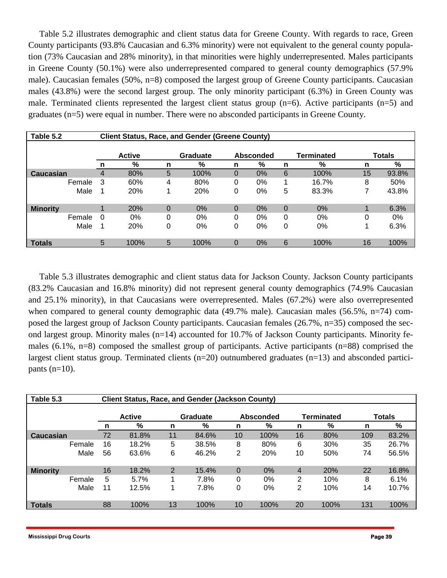Table 5.2 illustrates demographic and client status data for Greene County. With regards to race, Green County participants (93.8% Caucasian and 6.3% minority) were not equivalent to the general county population (73% Caucasian and 28% minority), in that minorities were highly underrepresented. Males participants in Greene County (50.1%) were also underrepresented compared to general county demographics (57.9% male). Caucasian females (50%, n=8) composed the largest group of Greene County participants. Caucasian males (43.8%) were the second largest group. The only minority participant (6.3%) in Green County was male. Terminated clients represented the largest client status group (n=6). Active participants (n=5) and graduates (n=5) were equal in number. There were no absconded participants in Greene County.

| Table 5.2       |          | <b>Client Status, Race, and Gender (Greene County)</b> |          |       |          |       |   |                                    |    |       |  |  |  |
|-----------------|----------|--------------------------------------------------------|----------|-------|----------|-------|---|------------------------------------|----|-------|--|--|--|
|                 |          | <b>Active</b><br>Graduate<br><b>Absconded</b>          |          |       |          |       |   | <b>Totals</b><br><b>Terminated</b> |    |       |  |  |  |
|                 | n        | %                                                      | n        | %     | n        | %     | n | %                                  | n  | %     |  |  |  |
| Caucasian       | 4        | 80%                                                    | 5        | 100%  | 0        | $0\%$ | 6 | 100%                               | 15 | 93.8% |  |  |  |
| Female          | 3        | 60%                                                    | 4        | 80%   | 0        | 0%    |   | 16.7%                              | 8  | 50%   |  |  |  |
| Male            | 1        | 20%                                                    |          | 20%   | 0        | 0%    | 5 | 83.3%                              | 7  | 43.8% |  |  |  |
| <b>Minority</b> |          | 20%                                                    | $\Omega$ | $0\%$ | $\Omega$ | $0\%$ | 0 | $0\%$                              | 4  | 6.3%  |  |  |  |
| Female          | $\Omega$ | $0\%$                                                  | 0        | 0%    | 0        | 0%    | 0 | 0%                                 | 0  | 0%    |  |  |  |
| Male            | 1        | 20%                                                    | 0        | 0%    | 0        | 0%    | 0 | 0%                                 | 1  | 6.3%  |  |  |  |
| <b>Totals</b>   | 5        | 100%                                                   | 5        | 100%  | 0        | 0%    | 6 | 100%                               | 16 | 100%  |  |  |  |

Table 5.3 illustrates demographic and client status data for Jackson County. Jackson County participants (83.2% Caucasian and 16.8% minority) did not represent general county demographics (74.9% Caucasian and 25.1% minority), in that Caucasians were overrepresented. Males (67.2%) were also overrepresented when compared to general county demographic data (49.7% male). Caucasian males (56.5%, n=74) composed the largest group of Jackson County participants. Caucasian females (26.7%, n=35) composed the second largest group. Minority males  $(n=14)$  accounted for 10.7% of Jackson County participants. Minority females (6.1%, n=8) composed the smallest group of participants. Active participants (n=88) comprised the largest client status group. Terminated clients (n=20) outnumbered graduates (n=13) and absconded participants  $(n=10)$ .

| Table 5.3       |      | Client Status, Race, and Gender (Jackson County) |       |                |          |                |                  |                |                   |     |               |  |  |
|-----------------|------|--------------------------------------------------|-------|----------------|----------|----------------|------------------|----------------|-------------------|-----|---------------|--|--|
|                 |      | <b>Active</b>                                    |       |                | Graduate |                | <b>Absconded</b> |                | <b>Terminated</b> |     | <b>Totals</b> |  |  |
|                 |      |                                                  | %     | n              | %        | n              | %                | n              | %                 | n   | %             |  |  |
| Caucasian       |      | 72                                               | 81.8% | 11             | 84.6%    | 10             | 100%             | 16             | 80%               | 109 | 83.2%         |  |  |
| Female          |      | 16                                               | 18.2% | 5              | 38.5%    | 8              | 80%              | 6              | 30%               | 35  | 26.7%         |  |  |
|                 | Male | 56                                               | 63.6% | 6              | 46.2%    | $\overline{2}$ | 20%              | 10             | 50%               | 74  | 56.5%         |  |  |
| <b>Minority</b> |      | 16                                               | 18.2% | $\overline{2}$ | 15.4%    | $\overline{0}$ | $0\%$            | $\overline{4}$ | 20%               | 22  | 16.8%         |  |  |
| Female          |      | 5                                                | 5.7%  |                | 7.8%     | 0              | 0%               | $\overline{2}$ | 10%               | 8   | 6.1%          |  |  |
|                 | Male | 11                                               | 12.5% |                | 7.8%     | 0              | 0%               | $\overline{2}$ | 10%               | 14  | 10.7%         |  |  |
| <b>Totals</b>   |      | 88                                               | 100%  | 13             | 100%     | 10             | 100%             | 20             | 100%              | 131 | 100%          |  |  |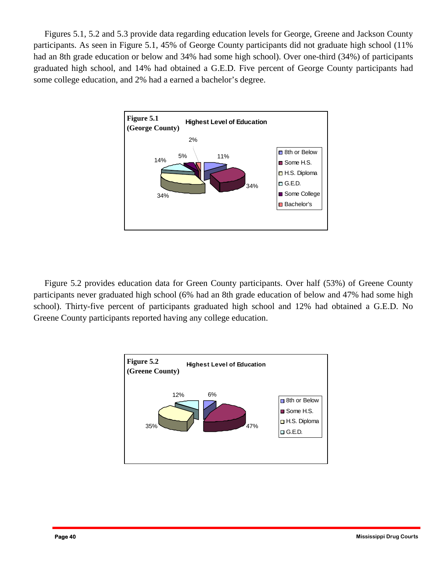Figures 5.1, 5.2 and 5.3 provide data regarding education levels for George, Greene and Jackson County participants. As seen in Figure 5.1, 45% of George County participants did not graduate high school (11% had an 8th grade education or below and 34% had some high school). Over one-third (34%) of participants graduated high school, and 14% had obtained a G.E.D. Five percent of George County participants had some college education, and 2% had a earned a bachelor's degree.



 Figure 5.2 provides education data for Green County participants. Over half (53%) of Greene County participants never graduated high school (6% had an 8th grade education of below and 47% had some high school). Thirty-five percent of participants graduated high school and 12% had obtained a G.E.D. No Greene County participants reported having any college education.

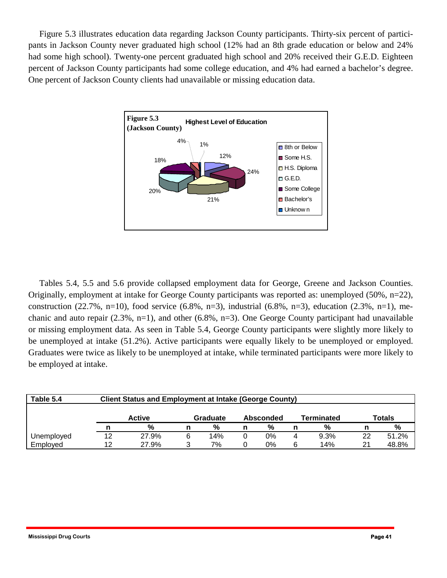Figure 5.3 illustrates education data regarding Jackson County participants. Thirty-six percent of participants in Jackson County never graduated high school (12% had an 8th grade education or below and 24% had some high school). Twenty-one percent graduated high school and 20% received their G.E.D. Eighteen percent of Jackson County participants had some college education, and 4% had earned a bachelor's degree. One percent of Jackson County clients had unavailable or missing education data.



 Tables 5.4, 5.5 and 5.6 provide collapsed employment data for George, Greene and Jackson Counties. Originally, employment at intake for George County participants was reported as: unemployed (50%, n=22), construction (22.7%, n=10), food service (6.8%, n=3), industrial (6.8%, n=3), education (2.3%, n=1), mechanic and auto repair (2.3%, n=1), and other (6.8%, n=3). One George County participant had unavailable or missing employment data. As seen in Table 5.4, George County participants were slightly more likely to be unemployed at intake (51.2%). Active participants were equally likely to be unemployed or employed. Graduates were twice as likely to be unemployed at intake, while terminated participants were more likely to be employed at intake.

| Table 5.4  | <b>Client Status and Employment at Intake (George County)</b> |                                                                       |   |     |  |    |   |      |    |       |  |  |
|------------|---------------------------------------------------------------|-----------------------------------------------------------------------|---|-----|--|----|---|------|----|-------|--|--|
|            |                                                               | Totals<br><b>Active</b><br><b>Terminated</b><br>Graduate<br>Absconded |   |     |  |    |   |      |    |       |  |  |
|            |                                                               | %                                                                     |   | %   |  | %  |   | %    |    | %     |  |  |
| Unemployed | 12                                                            | 27.9%                                                                 | 6 | 14% |  | 0% | 4 | 9.3% | 22 | 51.2% |  |  |
| Employed   | 12                                                            | 27.9%                                                                 |   | 7%  |  | 0% | 6 | 14%  | 21 | 48.8% |  |  |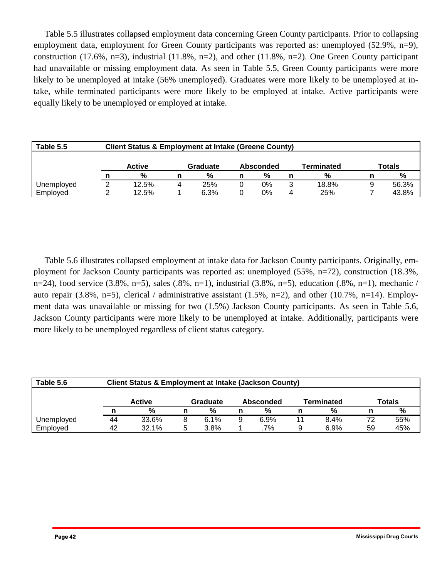Table 5.5 illustrates collapsed employment data concerning Green County participants. Prior to collapsing employment data, employment for Green County participants was reported as: unemployed (52.9%, n=9), construction (17.6%, n=3), industrial (11.8%, n=2), and other (11.8%, n=2). One Green County participant had unavailable or missing employment data. As seen in Table 5.5, Green County participants were more likely to be unemployed at intake (56% unemployed). Graduates were more likely to be unemployed at intake, while terminated participants were more likely to be employed at intake. Active participants were equally likely to be unemployed or employed at intake.

| Table 5.5  | <b>Client Status &amp; Employment at Intake (Greene County)</b> |               |   |          |   |           |   |            |  |        |  |  |  |  |
|------------|-----------------------------------------------------------------|---------------|---|----------|---|-----------|---|------------|--|--------|--|--|--|--|
|            |                                                                 |               |   |          |   |           |   |            |  |        |  |  |  |  |
|            |                                                                 | <b>Active</b> |   | Graduate |   | Absconded |   | Terminated |  | Totals |  |  |  |  |
|            |                                                                 | %             |   | %        | n | %         |   | %          |  | %      |  |  |  |  |
| Unemployed | ⌒                                                               | 12.5%         | 4 | 25%      |   | 0%        | ว | 18.8%      |  | 56.3%  |  |  |  |  |
| Employed   |                                                                 | 12.5%         |   | 6.3%     |   | 0%        | 4 | 25%        |  | 43.8%  |  |  |  |  |

 Table 5.6 illustrates collapsed employment at intake data for Jackson County participants. Originally, employment for Jackson County participants was reported as: unemployed (55%, n=72), construction (18.3%, n=24), food service  $(3.8\%, n=5)$ , sales  $(.8\%, n=1)$ , industrial  $(3.8\%, n=5)$ , education  $(.8\%, n=1)$ , mechanic / auto repair (3.8%, n=5), clerical / administrative assistant (1.5%, n=2), and other (10.7%, n=14). Employment data was unavailable or missing for two (1.5%) Jackson County participants. As seen in Table 5.6, Jackson County participants were more likely to be unemployed at intake. Additionally, participants were more likely to be unemployed regardless of client status category.

| Table 5.6  | <b>Client Status &amp; Employment at Intake (Jackson County)</b> |                                                                |  |      |   |      |    |      |    |     |  |  |  |  |
|------------|------------------------------------------------------------------|----------------------------------------------------------------|--|------|---|------|----|------|----|-----|--|--|--|--|
|            |                                                                  | Terminated<br>Totals<br><b>Active</b><br>Graduate<br>Absconded |  |      |   |      |    |      |    |     |  |  |  |  |
|            |                                                                  | %                                                              |  | $\%$ | n | %    | n  | %    |    | %   |  |  |  |  |
| Unemployed | 44                                                               | 33.6%                                                          |  | 6.1% | 9 | 6.9% | 11 | 8.4% | 72 | 55% |  |  |  |  |
| Employed   | 42                                                               | 32.1%                                                          |  | 3.8% |   | .7%  | 9  | 6.9% | 59 | 45% |  |  |  |  |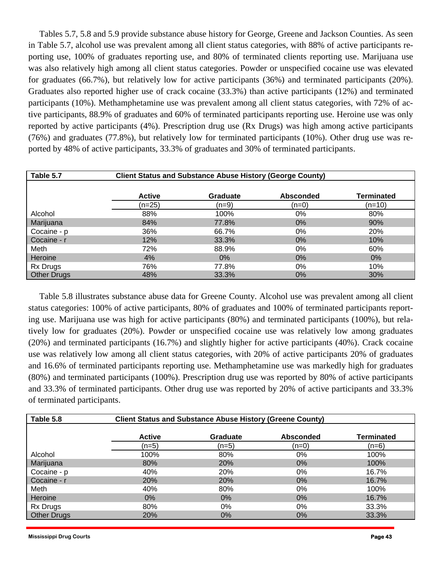Tables 5.7, 5.8 and 5.9 provide substance abuse history for George, Greene and Jackson Counties. As seen in Table 5.7, alcohol use was prevalent among all client status categories, with 88% of active participants reporting use, 100% of graduates reporting use, and 80% of terminated clients reporting use. Marijuana use was also relatively high among all client status categories. Powder or unspecified cocaine use was elevated for graduates (66.7%), but relatively low for active participants (36%) and terminated participants (20%). Graduates also reported higher use of crack cocaine (33.3%) than active participants (12%) and terminated participants (10%). Methamphetamine use was prevalent among all client status categories, with 72% of active participants, 88.9% of graduates and 60% of terminated participants reporting use. Heroine use was only reported by active participants (4%). Prescription drug use (Rx Drugs) was high among active participants (76%) and graduates (77.8%), but relatively low for terminated participants (10%). Other drug use was reported by 48% of active participants, 33.3% of graduates and 30% of terminated participants.

| Table 5.7          |               | <b>Client Status and Substance Abuse History (George County)</b> |                  |                   |
|--------------------|---------------|------------------------------------------------------------------|------------------|-------------------|
|                    | <b>Active</b> | Graduate                                                         | <b>Absconded</b> | <b>Terminated</b> |
|                    | $(n=25)$      | (n=9)                                                            | (n=0)            | $(n=10)$          |
| Alcohol            | 88%           | 100%                                                             | 0%               | 80%               |
| Marijuana          | 84%           | 77.8%                                                            | $0\%$            | 90%               |
| Cocaine - p        | 36%           | 66.7%                                                            | 0%               | 20%               |
| Cocaine - r        | 12%           | 33.3%                                                            | $0\%$            | 10%               |
| Meth               | 72%           | 88.9%                                                            | 0%               | 60%               |
| Heroine            | 4%            | $0\%$                                                            | $0\%$            | $0\%$             |
| Rx Drugs           | 76%           | 77.8%                                                            | 0%               | 10%               |
| <b>Other Drugs</b> | 48%           | 33.3%                                                            | $0\%$            | 30%               |

 Table 5.8 illustrates substance abuse data for Greene County. Alcohol use was prevalent among all client status categories: 100% of active participants, 80% of graduates and 100% of terminated participants reporting use. Marijuana use was high for active participants (80%) and terminated participants (100%), but relatively low for graduates (20%). Powder or unspecified cocaine use was relatively low among graduates (20%) and terminated participants (16.7%) and slightly higher for active participants (40%). Crack cocaine use was relatively low among all client status categories, with 20% of active participants 20% of graduates and 16.6% of terminated participants reporting use. Methamphetamine use was markedly high for graduates (80%) and terminated participants (100%). Prescription drug use was reported by 80% of active participants and 33.3% of terminated participants. Other drug use was reported by 20% of active participants and 33.3% of terminated participants.

| Table 5.8          |               | <b>Client Status and Substance Abuse History (Greene County)</b> |                  |                   |
|--------------------|---------------|------------------------------------------------------------------|------------------|-------------------|
|                    | <b>Active</b> | <b>Graduate</b>                                                  | <b>Absconded</b> | <b>Terminated</b> |
|                    | (n=5)         | (n=5)                                                            | (n=0)            | (n=6)             |
| Alcohol            | 100%          | 80%                                                              | $0\%$            | 100%              |
| Marijuana          | 80%           | <b>20%</b>                                                       | $0\%$            | 100%              |
| Cocaine - p        | 40%           | 20%                                                              | $0\%$            | 16.7%             |
| Cocaine - r        | <b>20%</b>    | <b>20%</b>                                                       | $0\%$            | 16.7%             |
| Meth               | 40%           | 80%                                                              | 0%               | 100%              |
| Heroine            | $0\%$         | $0\%$                                                            | $0\%$            | 16.7%             |
| Rx Drugs           | 80%           | $0\%$                                                            | $0\%$            | 33.3%             |
| <b>Other Drugs</b> | 20%           | $0\%$                                                            | $0\%$            | 33.3%             |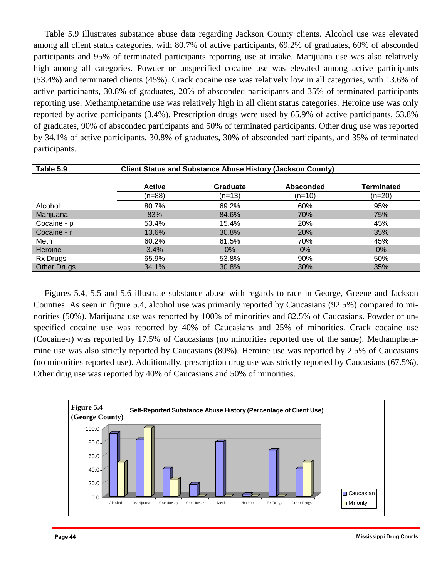Table 5.9 illustrates substance abuse data regarding Jackson County clients. Alcohol use was elevated among all client status categories, with 80.7% of active participants, 69.2% of graduates, 60% of absconded participants and 95% of terminated participants reporting use at intake. Marijuana use was also relatively high among all categories. Powder or unspecified cocaine use was elevated among active participants (53.4%) and terminated clients (45%). Crack cocaine use was relatively low in all categories, with 13.6% of active participants, 30.8% of graduates, 20% of absconded participants and 35% of terminated participants reporting use. Methamphetamine use was relatively high in all client status categories. Heroine use was only reported by active participants (3.4%). Prescription drugs were used by 65.9% of active participants, 53.8% of graduates, 90% of absconded participants and 50% of terminated participants. Other drug use was reported by 34.1% of active participants, 30.8% of graduates, 30% of absconded participants, and 35% of terminated participants.

| Table 5.9          |               | <b>Client Status and Substance Abuse History (Jackson County)</b> |                  |                   |
|--------------------|---------------|-------------------------------------------------------------------|------------------|-------------------|
|                    | <b>Active</b> | <b>Graduate</b>                                                   | <b>Absconded</b> | <b>Terminated</b> |
|                    | $(n=88)$      | $(n=13)$                                                          | $(n=10)$         | $(n=20)$          |
| Alcohol            | 80.7%         | 69.2%                                                             | 60%              | 95%               |
| Marijuana          | 83%           | 84.6%                                                             | 70%              | 75%               |
| Cocaine - p        | 53.4%         | 15.4%                                                             | 20%              | 45%               |
| Cocaine - r        | 13.6%         | 30.8%                                                             | 20%              | 35%               |
| Meth               | 60.2%         | 61.5%                                                             | 70%              | 45%               |
| Heroine            | 3.4%          | $0\%$                                                             | $0\%$            | $0\%$             |
| Rx Drugs           | 65.9%         | 53.8%                                                             | 90%              | 50%               |
| <b>Other Drugs</b> | 34.1%         | 30.8%                                                             | 30%              | 35%               |

Figures 5.4, 5.5 and 5.6 illustrate substance abuse with regards to race in George, Greene and Jackson Counties. As seen in figure 5.4, alcohol use was primarily reported by Caucasians (92.5%) compared to minorities (50%). Marijuana use was reported by 100% of minorities and 82.5% of Caucasians. Powder or unspecified cocaine use was reported by 40% of Caucasians and 25% of minorities. Crack cocaine use (Cocaine-r) was reported by 17.5% of Caucasians (no minorities reported use of the same). Methamphetamine use was also strictly reported by Caucasians (80%). Heroine use was reported by 2.5% of Caucasians (no minorities reported use). Additionally, prescription drug use was strictly reported by Caucasians (67.5%). Other drug use was reported by 40% of Caucasians and 50% of minorities.

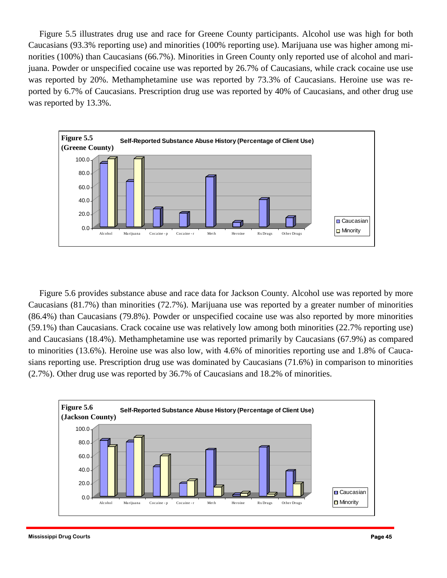norities (100%) than Caucasians (66.7%). Minorities in Green County only reported use of alcohol and mari-Figure 5.5 illustrates drug use and race for Greene County participants. Alcohol use was high for both Caucasians (93.3% reporting use) and minorities (100% reporting use). Marijuana use was higher among mijuana. Powder or unspecified cocaine use was reported by 26.7% of Caucasians, while crack cocaine use use was reported by 20%. Methamphetamine use was reported by 73.3% of Caucasians. Heroine use was reported by 6.7% of Caucasians. Prescription drug use was reported by 40% of Caucasians, and other drug use was reported by 13.3%.



 Figure 5.6 provides substance abuse and race data for Jackson County. Alcohol use was reported by more Caucasians (81.7%) than minorities (72.7%). Marijuana use was reported by a greater number of minorities (86.4%) than Caucasians (79.8%). Powder or unspecified cocaine use was also reported by more minorities (59.1%) than Caucasians. Crack cocaine use was relatively low among both minorities (22.7% reporting use) and Caucasians (18.4%). Methamphetamine use was reported primarily by Caucasians (67.9%) as compared to minorities (13.6%). Heroine use was also low, with 4.6% of minorities reporting use and 1.8% of Caucasians reporting use. Prescription drug use was dominated by Caucasians (71.6%) in comparison to minorities (2.7%). Other drug use was reported by 36.7% of Caucasians and 18.2% of minorities.

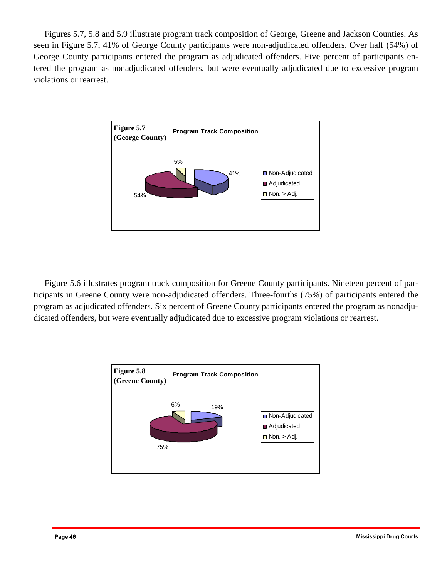Figures 5.7, 5.8 and 5.9 illustrate program track composition of George, Greene and Jackson Counties. As seen in Figure 5.7, 41% of George County participants were non-adjudicated offenders. Over half (54%) of George County participants entered the program as adjudicated offenders. Five percent of participants entered the program as nonadjudicated offenders, but were eventually adjudicated due to excessive program violations or rearrest.



 Figure 5.6 illustrates program track composition for Greene County participants. Nineteen percent of participants in Greene County were non-adjudicated offenders. Three-fourths (75%) of participants entered the program as adjudicated offenders. Six percent of Greene County participants entered the program as nonadjudicated offenders, but were eventually adjudicated due to excessive program violations or rearrest.

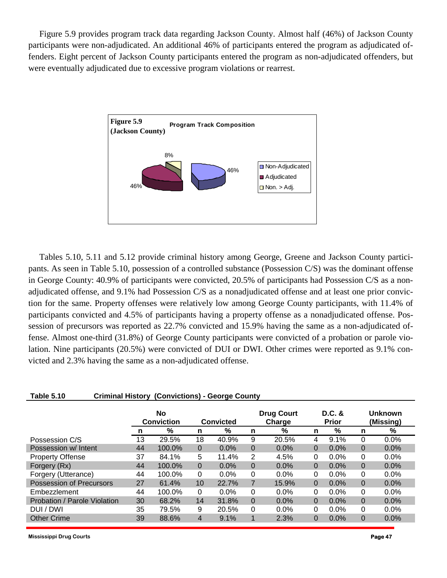Figure 5.9 provides program track data regarding Jackson County. Almost half (46%) of Jackson County participants were non-adjudicated. An additional 46% of participants entered the program as adjudicated offenders. Eight percent of Jackson County participants entered the program as non-adjudicated offenders, but were eventually adjudicated due to excessive program violations or rearrest.



 Tables 5.10, 5.11 and 5.12 provide criminal history among George, Greene and Jackson County participants. As seen in Table 5.10, possession of a controlled substance (Possession C/S) was the dominant offense in George County: 40.9% of participants were convicted, 20.5% of participants had Possession C/S as a nonadjudicated offense, and 9.1% had Possession C/S as a nonadjudicated offense and at least one prior conviction for the same. Property offenses were relatively low among George County participants, with 11.4% of participants convicted and 4.5% of participants having a property offense as a nonadjudicated offense. Possession of precursors was reported as 22.7% convicted and 15.9% having the same as a non-adjudicated offense. Almost one-third (31.8%) of George County participants were convicted of a probation or parole violation. Nine participants (20.5%) were convicted of DUI or DWI. Other crimes were reported as 9.1% convicted and 2.3% having the same as a non-adjudicated offense.

| <b>Table 5.10</b><br><b>Criminal History (Convictions) - George County</b> |                         |        |          |                  |                             |         |          |                          |                             |         |  |
|----------------------------------------------------------------------------|-------------------------|--------|----------|------------------|-----------------------------|---------|----------|--------------------------|-----------------------------|---------|--|
|                                                                            | No<br><b>Conviction</b> |        |          | <b>Convicted</b> | <b>Drug Court</b><br>Charge |         |          | $D.C.$ &<br><b>Prior</b> | <b>Unknown</b><br>(Missing) |         |  |
|                                                                            | n                       | %      | n        | %                | n                           | %       | n        | %                        | n                           | %       |  |
| Possession C/S                                                             | 13                      | 29.5%  | 18       | 40.9%            | 9                           | 20.5%   | 4        | 9.1%                     | 0                           | 0.0%    |  |
| Possession w/ Intent                                                       | 44                      | 100.0% | 0        | $0.0\%$          | $\Omega$                    | $0.0\%$ | $\Omega$ | $0.0\%$                  | 0                           | $0.0\%$ |  |
| <b>Property Offense</b>                                                    | 37                      | 84.1%  | 5        | 11.4%            | 2                           | 4.5%    | $\Omega$ | $0.0\%$                  | 0                           | 0.0%    |  |
| Forgery (Rx)                                                               | 44                      | 100.0% | $\Omega$ | 0.0%             | $\Omega$                    | 0.0%    | 0        | 0.0%                     | 0                           | 0.0%    |  |
| Forgery (Utterance)                                                        | 44                      | 100.0% | 0        | $0.0\%$          | $\Omega$                    | $0.0\%$ | $\Omega$ | $0.0\%$                  | 0                           | 0.0%    |  |
| <b>Possession of Precursors</b>                                            | 27                      | 61.4%  | 10       | 22.7%            | 7                           | 15.9%   | $\Omega$ | 0.0%                     | 0                           | 0.0%    |  |
| Embezzlement                                                               | 44                      | 100.0% | 0        | $0.0\%$          | $\Omega$                    | $0.0\%$ | $\Omega$ | $0.0\%$                  | 0                           | $0.0\%$ |  |
| Probation / Parole Violation                                               | 30                      | 68.2%  | 14       | 31.8%            | $\Omega$                    | 0.0%    | $\Omega$ | 0.0%                     | 0                           | 0.0%    |  |
| DUI / DWI                                                                  | 35                      | 79.5%  | 9        | 20.5%            | $\Omega$                    | $0.0\%$ | $\Omega$ | $0.0\%$                  | $\Omega$                    | 0.0%    |  |
| <b>Other Crime</b>                                                         | 39                      | 88.6%  | 4        | 9.1%             |                             | 2.3%    | 0        | 0.0%                     | 0                           | 0.0%    |  |
|                                                                            |                         |        |          |                  |                             |         |          |                          |                             |         |  |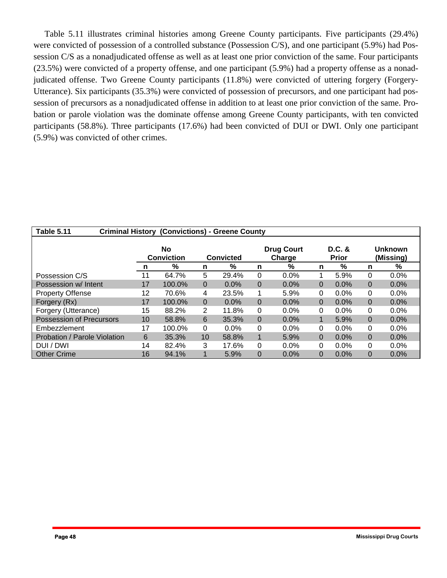Table 5.11 illustrates criminal histories among Greene County participants. Five participants (29.4%) were convicted of possession of a controlled substance (Possession C/S), and one participant (5.9%) had Possession C/S as a nonadjudicated offense as well as at least one prior conviction of the same. Four participants (23.5%) were convicted of a property offense, and one participant (5.9%) had a property offense as a nonadjudicated offense. Two Greene County participants (11.8%) were convicted of uttering forgery (Forgery-Utterance). Six participants (35.3%) were convicted of possession of precursors, and one participant had possession of precursors as a nonadjudicated offense in addition to at least one prior conviction of the same. Probation or parole violation was the dominate offense among Greene County participants, with ten convicted participants (58.8%). Three participants (17.6%) had been convicted of DUI or DWI. Only one participant (5.9%) was convicted of other crimes.

| <b>Table 5.11</b>            | (Convictions) - Greene County<br><b>Criminal History</b> |                         |          |                  |          |                             |                        |         |   |                             |  |  |
|------------------------------|----------------------------------------------------------|-------------------------|----------|------------------|----------|-----------------------------|------------------------|---------|---|-----------------------------|--|--|
|                              |                                                          | No<br><b>Conviction</b> |          | <b>Convicted</b> |          | <b>Drug Court</b><br>Charge | D.C. &<br><b>Prior</b> |         |   | <b>Unknown</b><br>(Missing) |  |  |
|                              | n                                                        | %                       | n        | %                | n        | %                           | n                      | %       | n | %                           |  |  |
| Possession C/S               | 11                                                       | 64.7%                   | 5        | 29.4%            | $\Omega$ | 0.0%                        |                        | 5.9%    | 0 | $0.0\%$                     |  |  |
| Possession w/ Intent         | 17                                                       | 100.0%                  | $\Omega$ | $0.0\%$          | $\Omega$ | 0.0%                        | 0                      | 0.0%    | 0 | $0.0\%$                     |  |  |
| <b>Property Offense</b>      | 12                                                       | 70.6%                   | 4        | 23.5%            |          | 5.9%                        | $\Omega$               | $0.0\%$ | 0 | $0.0\%$                     |  |  |
| Forgery (Rx)                 | 17                                                       | 100.0%                  | $\Omega$ | $0.0\%$          | 0        | 0.0%                        | $\Omega$               | $0.0\%$ | 0 | $0.0\%$                     |  |  |
| Forgery (Utterance)          | 15                                                       | 88.2%                   | 2        | 11.8%            | $\Omega$ | 0.0%                        | $\Omega$               | $0.0\%$ | 0 | $0.0\%$                     |  |  |
| Possession of Precursors     | 10                                                       | 58.8%                   | 6        | 35.3%            | $\Omega$ | 0.0%                        |                        | 5.9%    | 0 | $0.0\%$                     |  |  |
| Embezzlement                 | 17                                                       | 100.0%                  | $\Omega$ | $0.0\%$          | $\Omega$ | 0.0%                        | 0                      | $0.0\%$ | 0 | $0.0\%$                     |  |  |
| Probation / Parole Violation | 6                                                        | 35.3%                   | 10       | 58.8%            | 1        | 5.9%                        | $\Omega$               | 0.0%    | 0 | $0.0\%$                     |  |  |
| DUI / DWI                    | 14                                                       | 82.4%                   | 3        | 17.6%            | $\Omega$ | 0.0%                        | 0                      | $0.0\%$ | 0 | $0.0\%$                     |  |  |
| <b>Other Crime</b>           | 16                                                       | 94.1%                   |          | 5.9%             | 0        | 0.0%                        | 0                      | 0.0%    | 0 | 0.0%                        |  |  |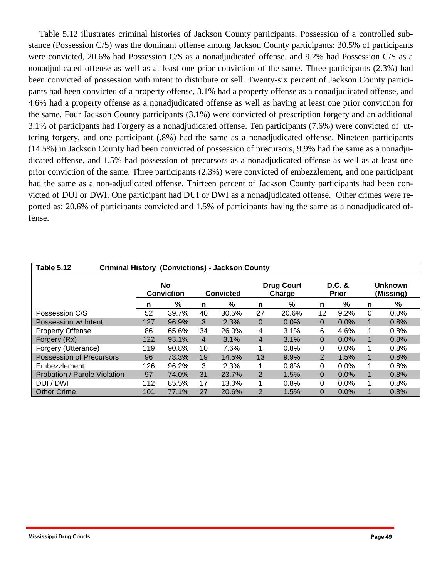Table 5.12 illustrates criminal histories of Jackson County participants. Possession of a controlled substance (Possession C/S) was the dominant offense among Jackson County participants: 30.5% of participants were convicted, 20.6% had Possession C/S as a nonadjudicated offense, and 9.2% had Possession C/S as a nonadjudicated offense as well as at least one prior conviction of the same. Three participants (2.3%) had been convicted of possession with intent to distribute or sell. Twenty-six percent of Jackson County participants had been convicted of a property offense, 3.1% had a property offense as a nonadjudicated offense, and 4.6% had a property offense as a nonadjudicated offense as well as having at least one prior conviction for the same. Four Jackson County participants (3.1%) were convicted of prescription forgery and an additional 3.1% of participants had Forgery as a nonadjudicated offense. Ten participants (7.6%) were convicted of uttering forgery, and one participant (.8%) had the same as a nonadjudicated offense. Nineteen participants (14.5%) in Jackson County had been convicted of possession of precursors, 9.9% had the same as a nonadjudicated offense, and 1.5% had possession of precursors as a nonadjudicated offense as well as at least one prior conviction of the same. Three participants (2.3%) were convicted of embezzlement, and one participant had the same as a non-adjudicated offense. Thirteen percent of Jackson County participants had been convicted of DUI or DWI. One participant had DUI or DWI as a nonadjudicated offense. Other crimes were reported as: 20.6% of participants convicted and 1.5% of participants having the same as a nonadjudicated offense.

| <b>Table 5.12</b>            | <b>Criminal History (Convictions) - Jackson County</b> |                                |                  |       |                |                             |                        |         |   |                             |  |  |
|------------------------------|--------------------------------------------------------|--------------------------------|------------------|-------|----------------|-----------------------------|------------------------|---------|---|-----------------------------|--|--|
|                              |                                                        | <b>No</b><br><b>Conviction</b> | <b>Convicted</b> |       |                | <b>Drug Court</b><br>Charge | D.C. &<br><b>Prior</b> |         |   | <b>Unknown</b><br>(Missing) |  |  |
|                              | n                                                      | %                              | n                | %     | n              | %                           | n                      | %       | n | %                           |  |  |
| Possession C/S               | 52                                                     | 39.7%                          | 40               | 30.5% | 27             | 20.6%                       | 12                     | 9.2%    | 0 | $0.0\%$                     |  |  |
| Possession w/ Intent         | 127                                                    | 96.9%                          | 3                | 2.3%  | $\mathbf{0}$   | 0.0%                        | $\Omega$               | 0.0%    | 1 | 0.8%                        |  |  |
| <b>Property Offense</b>      | 86                                                     | 65.6%                          | 34               | 26.0% | 4              | 3.1%                        | 6                      | 4.6%    | 1 | 0.8%                        |  |  |
| Forgery (Rx)                 | 122                                                    | 93.1%                          | $\overline{4}$   | 3.1%  | 4              | 3.1%                        | $\Omega$               | 0.0%    | 1 | 0.8%                        |  |  |
| Forgery (Utterance)          | 119                                                    | 90.8%                          | 10               | 7.6%  | 1              | 0.8%                        | 0                      | $0.0\%$ |   | 0.8%                        |  |  |
| Possession of Precursors     | 96                                                     | 73.3%                          | 19               | 14.5% | 13             | 9.9%                        | $\overline{2}$         | 1.5%    | 1 | 0.8%                        |  |  |
| Embezzlement                 | 126                                                    | 96.2%                          | 3                | 2.3%  |                | 0.8%                        | 0                      | $0.0\%$ |   | 0.8%                        |  |  |
| Probation / Parole Violation | 97                                                     | 74.0%                          | 31               | 23.7% | $\overline{2}$ | 1.5%                        | $\Omega$               | 0.0%    |   | 0.8%                        |  |  |
| DUI / DWI                    | 112                                                    | 85.5%                          | 17               | 13.0% | 1              | 0.8%                        | 0                      | $0.0\%$ | 1 | 0.8%                        |  |  |
| <b>Other Crime</b>           | 101                                                    | 77.1%                          | 27               | 20.6% | 2              | 1.5%                        | 0                      | 0.0%    |   | 0.8%                        |  |  |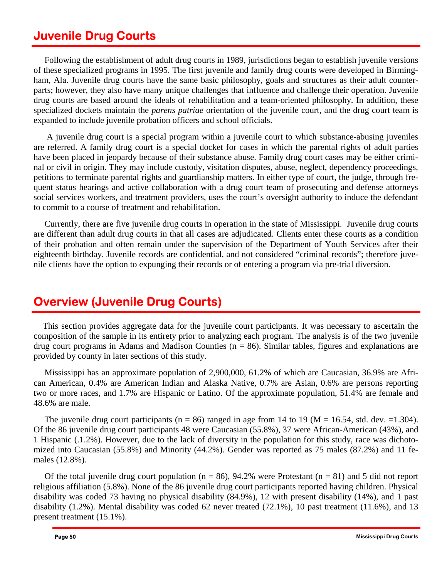### **Juvenile Drug Courts**

 Following the establishment of adult drug courts in 1989, jurisdictions began to establish juvenile versions of these specialized programs in 1995. The first juvenile and family drug courts were developed in Birmingham, Ala. Juvenile drug courts have the same basic philosophy, goals and structures as their adult counterparts; however, they also have many unique challenges that influence and challenge their operation. Juvenile drug courts are based around the ideals of rehabilitation and a team-oriented philosophy. In addition, these specialized dockets maintain the *parens patriae* orientation of the juvenile court, and the drug court team is expanded to include juvenile probation officers and school officials.

 are referred. A family drug court is a special docket for cases in which the parental rights of adult parties nal or civil in origin. They may include custody, visitation disputes, abuse, neglect, dependency proceedings, A juvenile drug court is a special program within a juvenile court to which substance-abusing juveniles have been placed in jeopardy because of their substance abuse. Family drug court cases may be either crimipetitions to terminate parental rights and guardianship matters. In either type of court, the judge, through frequent status hearings and active collaboration with a drug court team of prosecuting and defense attorneys social services workers, and treatment providers, uses the court's oversight authority to induce the defendant to commit to a course of treatment and rehabilitation.

 Currently, there are five juvenile drug courts in operation in the state of Mississippi. Juvenile drug courts are different than adult drug courts in that all cases are adjudicated. Clients enter these courts as a condition of their probation and often remain under the supervision of the Department of Youth Services after their eighteenth birthday. Juvenile records are confidential, and not considered "criminal records"; therefore juvenile clients have the option to expunging their records or of entering a program via pre-trial diversion.

# **Overview (Juvenile Drug Courts)**

This section provides aggregate data for the juvenile court participants. It was necessary to ascertain the composition of the sample in its entirety prior to analyzing each program. The analysis is of the two juvenile drug court programs in Adams and Madison Counties ( $n = 86$ ). Similar tables, figures and explanations are provided by county in later sections of this study.

 Mississippi has an approximate population of 2,900,000, 61.2% of which are Caucasian, 36.9% are African American, 0.4% are American Indian and Alaska Native, 0.7% are Asian, 0.6% are persons reporting two or more races, and 1.7% are Hispanic or Latino. Of the approximate population, 51.4% are female and 48.6% are male.

The juvenile drug court participants ( $n = 86$ ) ranged in age from 14 to 19 ( $M = 16.54$ , std. dev.  $= 1.304$ ). Of the 86 juvenile drug court participants 48 were Caucasian (55.8%), 37 were African-American (43%), and 1 Hispanic (.1.2%). However, due to the lack of diversity in the population for this study, race was dichotomized into Caucasian (55.8%) and Minority (44.2%). Gender was reported as 75 males (87.2%) and 11 females (12.8%).

 disability (1.2%). Mental disability was coded 62 never treated (72.1%), 10 past treatment (11.6%), and 13 present treatment (15.1%). Of the total juvenile drug court population ( $n = 86$ ), 94.2% were Protestant ( $n = 81$ ) and 5 did not report religious affiliation (5.8%). None of the 86 juvenile drug court participants reported having children. Physical disability was coded 73 having no physical disability (84.9%), 12 with present disability (14%), and 1 past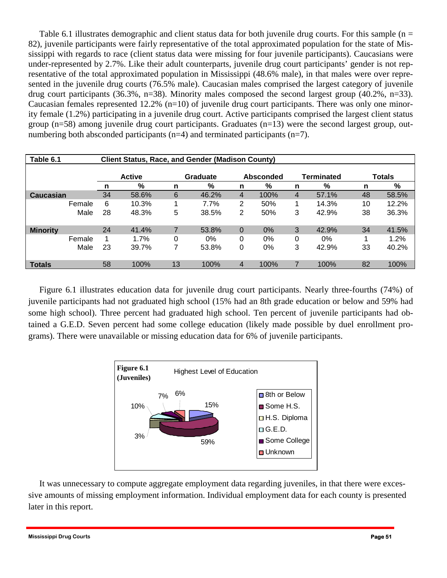Table 6.1 illustrates demographic and client status data for both juvenile drug courts. For this sample ( $n =$ 82), juvenile participants were fairly representative of the total approximated population for the state of Mississippi with regards to race (client status data were missing for four juvenile participants). Caucasians were under-represented by 2.7%. Like their adult counterparts, juvenile drug court participants' gender is not representative of the total approximated population in Mississippi (48.6% male), in that males were over represented in the juvenile drug courts (76.5% male). Caucasian males comprised the largest category of juvenile drug court participants (36.3%, n=38). Minority males composed the second largest group (40.2%, n=33). Caucasian females represented 12.2% (n=10) of juvenile drug court participants. There was only one minority female (1.2%) participating in a juvenile drug court. Active participants comprised the largest client status group (n=58) among juvenile drug court participants. Graduates (n=13) were the second largest group, outnumbering both absconded participants (n=4) and terminated participants (n=7).

| Table 6.1       |        | <b>Client Status, Race, and Gender (Madison County)</b> |               |    |                       |                |       |   |                   |               |       |  |
|-----------------|--------|---------------------------------------------------------|---------------|----|-----------------------|----------------|-------|---|-------------------|---------------|-------|--|
|                 |        |                                                         | <b>Active</b> |    | Graduate<br>Absconded |                |       |   | <b>Terminated</b> | <b>Totals</b> |       |  |
|                 |        | n                                                       | %             | n  | %                     | n              | %     | n | %                 | n             | %     |  |
| Caucasian       |        | 34                                                      | 58.6%         | 6  | 46.2%                 | 4              | 100%  | 4 | 57.1%             | 48            | 58.5% |  |
|                 | Female | 6                                                       | 10.3%         |    | 7.7%                  | $\overline{2}$ | 50%   | 1 | 14.3%             | 10            | 12.2% |  |
|                 | Male   | 28                                                      | 48.3%         | 5  | 38.5%                 | $\overline{2}$ | 50%   | 3 | 42.9%             | 38            | 36.3% |  |
| <b>Minority</b> |        | 24                                                      | 41.4%         | 7  | 53.8%                 | $\overline{0}$ | $0\%$ | 3 | 42.9%             | 34            | 41.5% |  |
|                 | Female | 1                                                       | 1.7%          | 0  | 0%                    | 0              | 0%    | 0 | 0%                |               | 1.2%  |  |
|                 | Male   | 23                                                      | 39.7%         | 7  | 53.8%                 | 0              | $0\%$ | 3 | 42.9%             | 33            | 40.2% |  |
| <b>Totals</b>   |        | 58                                                      | 100%          | 13 | 100%                  | 4              | 100%  |   | 100%              | 82            | 100%  |  |

Figure 6.1 illustrates education data for juvenile drug court participants. Nearly three-fourths (74%) of juvenile participants had not graduated high school (15% had an 8th grade education or below and 59% had some high school). Three percent had graduated high school. Ten percent of juvenile participants had obtained a G.E.D. Seven percent had some college education (likely made possible by duel enrollment programs). There were unavailable or missing education data for 6% of juvenile participants.



 It was unnecessary to compute aggregate employment data regarding juveniles, in that there were excessive amounts of missing employment information. Individual employment data for each county is presented later in this report.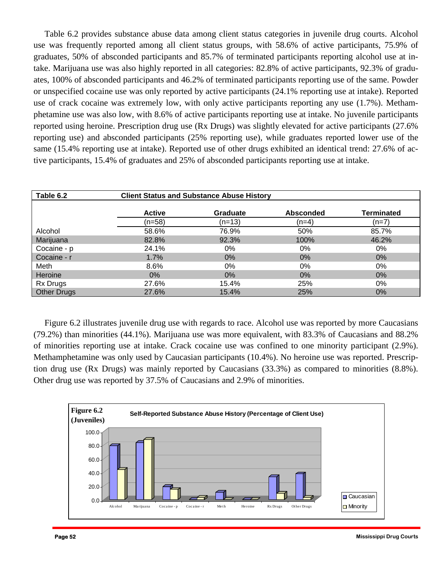Table 6.2 provides substance abuse data among client status categories in juvenile drug courts. Alcohol use was frequently reported among all client status groups, with 58.6% of active participants, 75.9% of graduates, 50% of absconded participants and 85.7% of terminated participants reporting alcohol use at intake. Marijuana use was also highly reported in all categories: 82.8% of active participants, 92.3% of graduates, 100% of absconded participants and 46.2% of terminated participants reporting use of the same. Powder or unspecified cocaine use was only reported by active participants (24.1% reporting use at intake). Reported use of crack cocaine was extremely low, with only active participants reporting any use (1.7%). Methamphetamine use was also low, with 8.6% of active participants reporting use at intake. No juvenile participants reported using heroine. Prescription drug use (Rx Drugs) was slightly elevated for active participants (27.6% reporting use) and absconded participants (25% reporting use), while graduates reported lower use of the same (15.4% reporting use at intake). Reported use of other drugs exhibited an identical trend: 27.6% of active participants, 15.4% of graduates and 25% of absconded participants reporting use at intake.

| Table 6.2          |               | <b>Client Status and Substance Abuse History</b> |                  |                   |
|--------------------|---------------|--------------------------------------------------|------------------|-------------------|
|                    | <b>Active</b> | <b>Graduate</b>                                  | <b>Absconded</b> | <b>Terminated</b> |
|                    | (n=58)        | (n=13)                                           | (n=4)            | (n=7)             |
| Alcohol            | 58.6%         | 76.9%                                            | 50%              | 85.7%             |
| Marijuana          | 82.8%         | 92.3%                                            | 100%             | 46.2%             |
| Cocaine - p        | 24.1%         | $0\%$                                            | 0%               | 0%                |
| Cocaine - r        | $1.7\%$       | $0\%$                                            | $0\%$            | $0\%$             |
| Meth               | 8.6%          | 0%                                               | 0%               | 0%                |
| Heroine            | $0\%$         | $0\%$                                            | $0\%$            | $0\%$             |
| <b>Rx Drugs</b>    | 27.6%         | 15.4%                                            | 25%              | 0%                |
| <b>Other Drugs</b> | 27.6%         | 15.4%                                            | 25%              | $0\%$             |

 Figure 6.2 illustrates juvenile drug use with regards to race. Alcohol use was reported by more Caucasians (79.2%) than minorities (44.1%). Marijuana use was more equivalent, with 83.3% of Caucasians and 88.2% of minorities reporting use at intake. Crack cocaine use was confined to one minority participant (2.9%). Methamphetamine was only used by Caucasian participants (10.4%). No heroine use was reported. Prescription drug use (Rx Drugs) was mainly reported by Caucasians (33.3%) as compared to minorities (8.8%). Other drug use was reported by 37.5% of Caucasians and 2.9% of minorities.

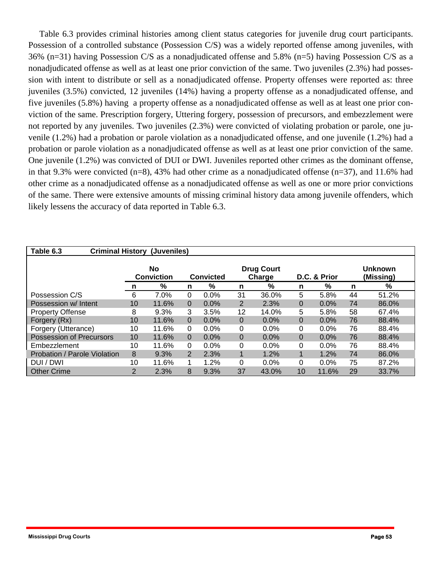Table 6.3 provides criminal histories among client status categories for juvenile drug court participants. Possession of a controlled substance (Possession C/S) was a widely reported offense among juveniles, with 36% (n=31) having Possession C/S as a nonadjudicated offense and 5.8% (n=5) having Possession C/S as a nonadjudicated offense as well as at least one prior conviction of the same. Two juveniles (2.3%) had possession with intent to distribute or sell as a nonadjudicated offense. Property offenses were reported as: three juveniles (3.5%) convicted, 12 juveniles (14%) having a property offense as a nonadjudicated offense, and five juveniles (5.8%) having a property offense as a nonadjudicated offense as well as at least one prior conviction of the same. Prescription forgery, Uttering forgery, possession of precursors, and embezzlement were not reported by any juveniles. Two juveniles (2.3%) were convicted of violating probation or parole, one juvenile (1.2%) had a probation or parole violation as a nonadjudicated offense, and one juvenile (1.2%) had a probation or parole violation as a nonadjudicated offense as well as at least one prior conviction of the same. One juvenile (1.2%) was convicted of DUI or DWI. Juveniles reported other crimes as the dominant offense, in that 9.3% were convicted  $(n=8)$ , 43% had other crime as a nonadjudicated offense  $(n=37)$ , and 11.6% had other crime as a nonadjudicated offense as a nonadjudicated offense as well as one or more prior convictions of the same. There were extensive amounts of missing criminal history data among juvenile offenders, which likely lessens the accuracy of data reported in Table 6.3.

| Table 6.3                       |                         | <b>Criminal History (Juveniles)</b> |                |                                                 |          |         |          |              |    |                             |  |
|---------------------------------|-------------------------|-------------------------------------|----------------|-------------------------------------------------|----------|---------|----------|--------------|----|-----------------------------|--|
|                                 | No<br><b>Conviction</b> |                                     |                | <b>Drug Court</b><br><b>Convicted</b><br>Charge |          |         |          | D.C. & Prior |    | <b>Unknown</b><br>(Missing) |  |
|                                 | n                       | %                                   | n              | %                                               | n        | %       | n        | %            | n  | %                           |  |
| Possession C/S                  | 6                       | 7.0%                                | 0              | 0.0%                                            | 31       | 36.0%   | 5        | 5.8%         | 44 | 51.2%                       |  |
| Possession w/ Intent            | 10                      | 11.6%                               | 0              | $0.0\%$                                         | 2        | 2.3%    | 0        | $0.0\%$      | 74 | 86.0%                       |  |
| <b>Property Offense</b>         | 8                       | 9.3%                                | 3              | 3.5%                                            | 12       | 14.0%   | 5        | 5.8%         | 58 | 67.4%                       |  |
| Forgery (Rx)                    | 10                      | 11.6%                               | $\Omega$       | $0.0\%$                                         | $\Omega$ | $0.0\%$ | 0        | $0.0\%$      | 76 | 88.4%                       |  |
| Forgery (Utterance)             | 10                      | 11.6%                               | 0              | $0.0\%$                                         | $\Omega$ | $0.0\%$ | $\Omega$ | $0.0\%$      | 76 | 88.4%                       |  |
| <b>Possession of Precursors</b> | 10                      | 11.6%                               | $\Omega$       | $0.0\%$                                         | $\Omega$ | $0.0\%$ | 0        | $0.0\%$      | 76 | 88.4%                       |  |
| Embezzlement                    | 10                      | 11.6%                               | 0              | $0.0\%$                                         | $\Omega$ | $0.0\%$ | 0        | $0.0\%$      | 76 | 88.4%                       |  |
| Probation / Parole Violation    | 8                       | 9.3%                                | $\overline{2}$ | 2.3%                                            |          | 1.2%    | 1        | 1.2%         | 74 | 86.0%                       |  |
| DUI / DWI                       | 10                      | 11.6%                               |                | 1.2%                                            | $\Omega$ | $0.0\%$ | 0        | $0.0\%$      | 75 | 87.2%                       |  |
| <b>Other Crime</b>              | $\overline{2}$          | 2.3%                                | 8              | 9.3%                                            | 37       | 43.0%   | 10       | 11.6%        | 29 | 33.7%                       |  |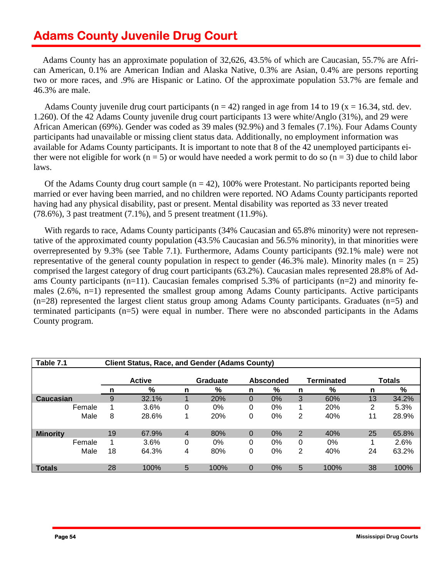# **Adams County Juvenile Drug Court**

Adams County has an approximate population of 32,626, 43.5% of which are Caucasian, 55.7% are African American, 0.1% are American Indian and Alaska Native, 0.3% are Asian, 0.4% are persons reporting two or more races, and .9% are Hispanic or Latino. Of the approximate population 53.7% are female and 46.3% are male.

Adams County juvenile drug court participants ( $n = 42$ ) ranged in age from 14 to 19 ( $x = 16.34$ , std. dev. 1.260). Of the 42 Adams County juvenile drug court participants 13 were white/Anglo (31%), and 29 were African American (69%). Gender was coded as 39 males (92.9%) and 3 females (7.1%). Four Adams County participants had unavailable or missing client status data. Additionally, no employment information was available for Adams County participants. It is important to note that 8 of the 42 unemployed participants either were not eligible for work (n = 5) or would have needed a work permit to do so (n = 3) due to child labor laws.

Of the Adams County drug court sample  $(n = 42)$ , 100% were Protestant. No participants reported being married or ever having been married, and no children were reported. NO Adams County participants reported having had any physical disability, past or present. Mental disability was reported as 33 never treated (78.6%), 3 past treatment (7.1%), and 5 present treatment (11.9%).

tative of the approximated county population (43.5% Caucasian and 56.5% minority), in that minorities were With regards to race, Adams County participants (34% Caucasian and 65.8% minority) were not represenoverrepresented by 9.3% (see Table 7.1). Furthermore, Adams County participants (92.1% male) were not representative of the general county population in respect to gender (46.3% male). Minority males ( $n = 25$ ) comprised the largest category of drug court participants (63.2%). Caucasian males represented 28.8% of Adams County participants (n=11). Caucasian females comprised 5.3% of participants (n=2) and minority females (2.6%, n=1) represented the smallest group among Adams County participants. Active participants (n=28) represented the largest client status group among Adams County participants. Graduates (n=5) and terminated participants (n=5) were equal in number. There were no absconded participants in the Adams County program.

| Table 7.1       |      | <b>Client Status, Race, and Gender (Adams County)</b> |       |             |                              |   |       |                |       |    |               |  |
|-----------------|------|-------------------------------------------------------|-------|-------------|------------------------------|---|-------|----------------|-------|----|---------------|--|
|                 |      | <b>Active</b>                                         |       |             | Graduate<br><b>Absconded</b> |   |       |                |       |    | <b>Totals</b> |  |
|                 |      |                                                       | %     | n           | %                            | n | %     | n              | %     | n  | %             |  |
| Caucasian       |      | 9                                                     | 32.1% |             | 20%                          | 0 | $0\%$ | 3              | 60%   | 13 | 34.2%         |  |
| Female          |      |                                                       | 3.6%  | 0           | $0\%$                        | 0 | $0\%$ | 4              | 20%   | 2  | 5.3%          |  |
|                 | Male | 8                                                     | 28.6% |             | 20%                          | 0 | 0%    | 2              | 40%   | 11 | 28.9%         |  |
|                 |      |                                                       |       |             |                              |   |       |                |       |    |               |  |
| <b>Minority</b> |      | 19                                                    | 67.9% | 4           | 80%                          | 0 | 0%    | $\overline{2}$ | 40%   | 25 | 65.8%         |  |
| Female          |      |                                                       | 3.6%  | $\mathbf 0$ | $0\%$                        | 0 | 0%    | 0              | $0\%$ |    | 2.6%          |  |
|                 | Male | 18                                                    | 64.3% | 4           | 80%                          | 0 | 0%    | 2              | 40%   | 24 | 63.2%         |  |
|                 |      |                                                       |       |             |                              |   |       |                |       |    |               |  |
| <b>Totals</b>   |      | 28                                                    | 100%  | 5           | 100%                         | 0 | 0%    | 5              | 100%  | 38 | 100%          |  |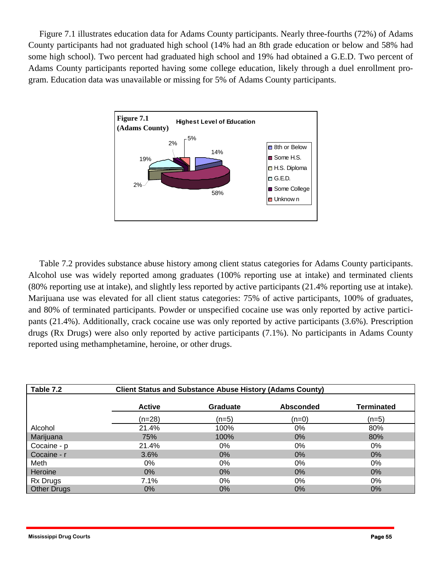Figure 7.1 illustrates education data for Adams County participants. Nearly three-fourths (72%) of Adams County participants had not graduated high school (14% had an 8th grade education or below and 58% had some high school). Two percent had graduated high school and 19% had obtained a G.E.D. Two percent of Adams County participants reported having some college education, likely through a duel enrollment program. Education data was unavailable or missing for 5% of Adams County participants.



 Table 7.2 provides substance abuse history among client status categories for Adams County participants. Alcohol use was widely reported among graduates (100% reporting use at intake) and terminated clients (80% reporting use at intake), and slightly less reported by active participants (21.4% reporting use at intake). Marijuana use was elevated for all client status categories: 75% of active participants, 100% of graduates, and 80% of terminated participants. Powder or unspecified cocaine use was only reported by active participants (21.4%). Additionally, crack cocaine use was only reported by active participants (3.6%). Prescription drugs (Rx Drugs) were also only reported by active participants (7.1%). No participants in Adams County reported using methamphetamine, heroine, or other drugs.

| Table 7.2          |               | <b>Client Status and Substance Abuse History (Adams County)</b> |                  |                   |
|--------------------|---------------|-----------------------------------------------------------------|------------------|-------------------|
|                    | <b>Active</b> | Graduate                                                        | <b>Absconded</b> | <b>Terminated</b> |
|                    | $(n=28)$      | (n=5)                                                           | $(n=0)$          | $(n=5)$           |
| Alcohol            | 21.4%         | 100%                                                            | 0%               | 80%               |
| Marijuana          | 75%           | 100%                                                            | $0\%$            | 80%               |
| Cocaine - p        | 21.4%         | 0%                                                              | 0%               | 0%                |
| Cocaine - r        | 3.6%          | 0%                                                              | $0\%$            | 0%                |
| Meth               | 0%            | 0%                                                              | 0%               | 0%                |
| Heroine            | $0\%$         | $0\%$                                                           | $0\%$            | $0\%$             |
| Rx Drugs           | 7.1%          | 0%                                                              | 0%               | 0%                |
| <b>Other Drugs</b> | 0%            | $0\%$                                                           | $0\%$            | $0\%$             |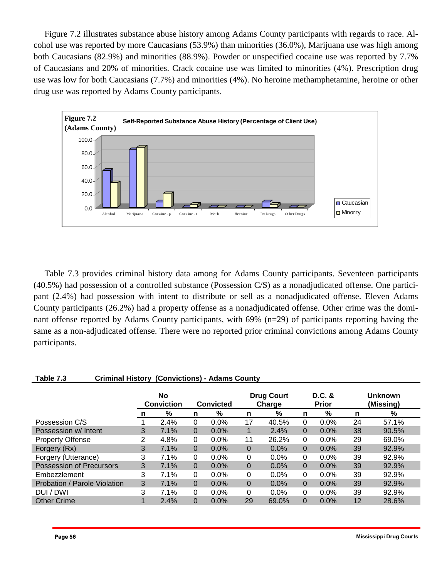Figure 7.2 illustrates substance abuse history among Adams County participants with regards to race. Alcohol use was reported by more Caucasians (53.9%) than minorities (36.0%), Marijuana use was high among both Caucasians (82.9%) and minorities (88.9%). Powder or unspecified cocaine use was reported by 7.7% of Caucasians and 20% of minorities. Crack cocaine use was limited to minorities (4%). Prescription drug use was low for both Caucasians (7.7%) and minorities (4%). No heroine methamphetamine, heroine or other drug use was reported by Adams County participants.



Table 7.3 provides criminal history data among for Adams County participants. Seventeen participants (40.5%) had possession of a controlled substance (Possession C/S) as a nonadjudicated offense. One participant (2.4%) had possession with intent to distribute or sell as a nonadjudicated offense. Eleven Adams County participants (26.2%) had a property offense as a nonadjudicated offense. Other crime was the dominant offense reported by Adams County participants, with 69% (n=29) of participants reporting having the same as a non-adjudicated offense. There were no reported prior criminal convictions among Adams County participants.

#### **Table 7.3 Criminal History (Convictions) - Adams County**

|                                 | No<br><b>Conviction</b> |      | <b>Convicted</b> |         | <b>Drug Court</b><br>Charge |         | D.C. &<br><b>Prior</b> |         |    | Unknown<br>(Missing) |
|---------------------------------|-------------------------|------|------------------|---------|-----------------------------|---------|------------------------|---------|----|----------------------|
|                                 | n                       | %    | n                | %       | n                           | %       | n                      | %       | n  | %                    |
| Possession C/S                  |                         | 2.4% | 0                | 0.0%    | 17                          | 40.5%   | 0                      | 0.0%    | 24 | 57.1%                |
| Possession w/ Intent            | 3                       | 7.1% | 0                | 0.0%    |                             | 2.4%    | 0                      | 0.0%    | 38 | 90.5%                |
| <b>Property Offense</b>         | ⌒                       | 4.8% | 0                | 0.0%    | 11                          | 26.2%   | 0                      | 0.0%    | 29 | 69.0%                |
| Forgery (Rx)                    | 3                       | 7.1% | 0                | $0.0\%$ | 0                           | $0.0\%$ | 0                      | $0.0\%$ | 39 | 92.9%                |
| Forgery (Utterance)             | 3                       | 7.1% | 0                | $0.0\%$ | 0                           | 0.0%    | 0                      | $0.0\%$ | 39 | 92.9%                |
| <b>Possession of Precursors</b> | 3                       | 7.1% | $\Omega$         | $0.0\%$ | $\overline{0}$              | $0.0\%$ | 0                      | $0.0\%$ | 39 | 92.9%                |
| Embezzlement                    | 3                       | 7.1% | 0                | $0.0\%$ | 0                           | 0.0%    | 0                      | $0.0\%$ | 39 | 92.9%                |
| Probation / Parole Violation    | 3                       | 7.1% | $\Omega$         | $0.0\%$ | 0                           | $0.0\%$ | 0                      | $0.0\%$ | 39 | 92.9%                |
| DUI / DWI                       | 3                       | 7.1% | 0                | $0.0\%$ | 0                           | 0.0%    | 0                      | 0.0%    | 39 | 92.9%                |
| <b>Other Crime</b>              |                         | 2.4% | 0                | $0.0\%$ | 29                          | 69.0%   | 0                      | 0.0%    | 12 | 28.6%                |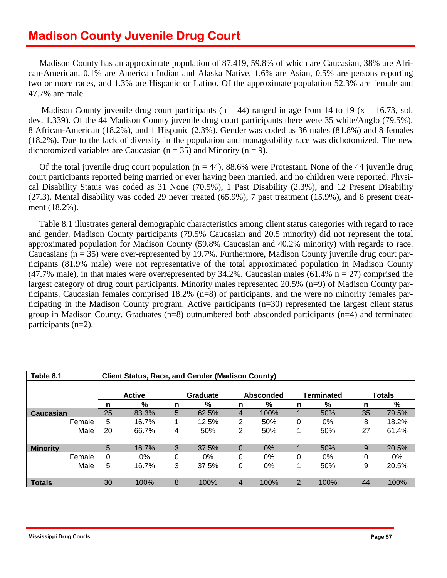Madison County has an approximate population of 87,419, 59.8% of which are Caucasian, 38% are African-American, 0.1% are American Indian and Alaska Native, 1.6% are Asian, 0.5% are persons reporting two or more races, and 1.3% are Hispanic or Latino. Of the approximate population 52.3% are female and 47.7% are male.

Madison County juvenile drug court participants ( $n = 44$ ) ranged in age from 14 to 19 ( $x = 16.73$ , std. dev. 1.339). Of the 44 Madison County juvenile drug court participants there were 35 white/Anglo (79.5%), 8 African-American (18.2%), and 1 Hispanic (2.3%). Gender was coded as 36 males (81.8%) and 8 females (18.2%). Due to the lack of diversity in the population and manageability race was dichotomized. The new dichotomized variables are Caucasian ( $n = 35$ ) and Minority ( $n = 9$ ).

Of the total juvenile drug court population ( $n = 44$ ), 88.6% were Protestant. None of the 44 juvenile drug court participants reported being married or ever having been married, and no children were reported. Physical Disability Status was coded as 31 None (70.5%), 1 Past Disability (2.3%), and 12 Present Disability (27.3). Mental disability was coded 29 never treated (65.9%), 7 past treatment (15.9%), and 8 present treatment (18.2%).

 Table 8.1 illustrates general demographic characteristics among client status categories with regard to race and gender. Madison County participants (79.5% Caucasian and 20.5 minority) did not represent the total approximated population for Madison County (59.8% Caucasian and 40.2% minority) with regards to race. Caucasians ( $n = 35$ ) were over-represented by 19.7%. Furthermore, Madison County juvenile drug court participants (81.9% male) were not representative of the total approximated population in Madison County (47.7% male), in that males were overrepresented by  $34.2\%$ . Caucasian males (61.4% n = 27) comprised the largest category of drug court participants. Minority males represented 20.5% (n=9) of Madison County participants. Caucasian females comprised 18.2% (n=8) of participants, and the were no minority females participating in the Madison County program. Active participants (n=30) represented the largest client status group in Madison County. Graduates (n=8) outnumbered both absconded participants (n=4) and terminated participants (n=2).

| Table 8.1       |        |               | <b>Client Status, Race, and Gender (Madison County)</b> |          |       |                |                  |   |            |    |               |  |  |  |
|-----------------|--------|---------------|---------------------------------------------------------|----------|-------|----------------|------------------|---|------------|----|---------------|--|--|--|
|                 |        |               |                                                         |          |       |                |                  |   |            |    |               |  |  |  |
|                 |        | <b>Active</b> |                                                         | Graduate |       |                | <b>Absconded</b> |   | Terminated |    | <b>Totals</b> |  |  |  |
|                 |        | n             | %                                                       | n        | %     | n              | %                | n | %          | n  | %             |  |  |  |
| Caucasian       |        | 25            | 83.3%                                                   | 5        | 62.5% | 4              | 100%             |   | 50%        | 35 | 79.5%         |  |  |  |
|                 | Female | 5             | 16.7%                                                   |          | 12.5% | 2              | 50%              | 0 | $0\%$      | 8  | 18.2%         |  |  |  |
|                 | Male   | 20            | 66.7%                                                   | 4        | 50%   | 2              | 50%              |   | 50%        | 27 | 61.4%         |  |  |  |
| <b>Minority</b> |        | 5             | 16.7%                                                   | 3        | 37.5% | $\overline{0}$ | 0%               | 1 | 50%        | 9  | 20.5%         |  |  |  |
|                 | Female | 0             | $0\%$                                                   | $\Omega$ | $0\%$ | 0              | 0%               | 0 | $0\%$      | 0  | 0%            |  |  |  |
|                 | Male   | 5             | 16.7%                                                   | 3        | 37.5% | 0              | 0%               |   | 50%        | 9  | 20.5%         |  |  |  |
| <b>Totals</b>   |        | 30            | 100%                                                    | 8        | 100%  | 4              | 100%             | 2 | 100%       | 44 | 100%          |  |  |  |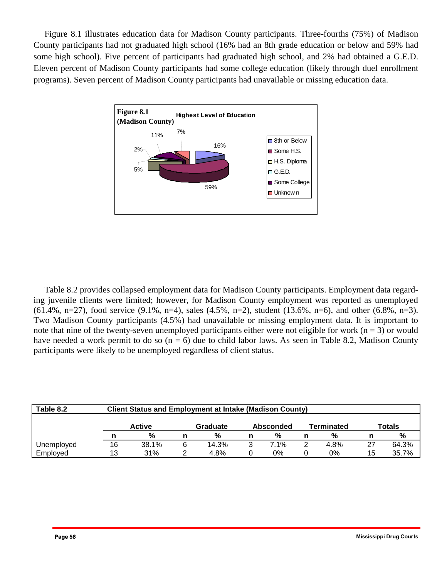Figure 8.1 illustrates education data for Madison County participants. Three-fourths (75%) of Madison County participants had not graduated high school (16% had an 8th grade education or below and 59% had some high school). Five percent of participants had graduated high school, and 2% had obtained a G.E.D. Eleven percent of Madison County participants had some college education (likely through duel enrollment programs). Seven percent of Madison County participants had unavailable or missing education data.



 Table 8.2 provides collapsed employment data for Madison County participants. Employment data regarding juvenile clients were limited; however, for Madison County employment was reported as unemployed  $(61.4\%, n=27)$ , food service  $(9.1\%, n=4)$ , sales  $(4.5\%, n=2)$ , student  $(13.6\%, n=6)$ , and other  $(6.8\%, n=3)$ . Two Madison County participants (4.5%) had unavailable or missing employment data. It is important to note that nine of the twenty-seven unemployed participants either were not eligible for work ( $n = 3$ ) or would have needed a work permit to do so  $(n = 6)$  due to child labor laws. As seen in Table 8.2, Madison County participants were likely to be unemployed regardless of client status.

| Table 8.2  | <b>Client Status and Employment at Intake (Madison County)</b> |       |          |       |           |      |            |      |        |       |
|------------|----------------------------------------------------------------|-------|----------|-------|-----------|------|------------|------|--------|-------|
|            | <b>Active</b>                                                  |       | Graduate |       | Absconded |      | Terminated |      | Totals |       |
|            |                                                                | %     |          | %     | n         | %    |            | %    |        | %     |
| Unemployed | 16                                                             | 38.1% | 6        | 14.3% | 3         | 7.1% |            | 4.8% | 27     | 64.3% |
| Employed   | 13                                                             | 31%   |          | 4.8%  |           | 0%   |            | 0%   | 15     | 35.7% |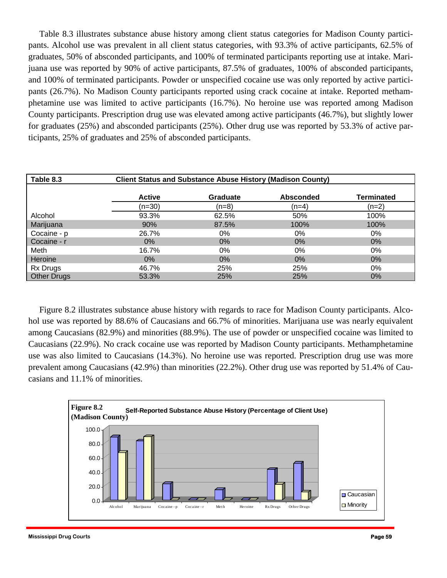Table 8.3 illustrates substance abuse history among client status categories for Madison County participants. Alcohol use was prevalent in all client status categories, with 93.3% of active participants, 62.5% of graduates, 50% of absconded participants, and 100% of terminated participants reporting use at intake. Marijuana use was reported by 90% of active participants, 87.5% of graduates, 100% of absconded participants, and 100% of terminated participants. Powder or unspecified cocaine use was only reported by active participants (26.7%). No Madison County participants reported using crack cocaine at intake. Reported methamphetamine use was limited to active participants (16.7%). No heroine use was reported among Madison County participants. Prescription drug use was elevated among active participants (46.7%), but slightly lower for graduates (25%) and absconded participants (25%). Other drug use was reported by 53.3% of active participants, 25% of graduates and 25% of absconded participants.

| Table 8.3          | <b>Client Status and Substance Abuse History (Madison County)</b> |                 |                  |                   |  |  |  |  |  |
|--------------------|-------------------------------------------------------------------|-----------------|------------------|-------------------|--|--|--|--|--|
|                    | <b>Active</b>                                                     | <b>Graduate</b> | <b>Absconded</b> | <b>Terminated</b> |  |  |  |  |  |
|                    | $(n=30)$                                                          | (n=8)           | (n=4)            | $(n=2)$           |  |  |  |  |  |
| Alcohol            | 93.3%                                                             | 62.5%           | 50%              | 100%              |  |  |  |  |  |
| Marijuana          | 90%                                                               | 87.5%           | 100%             | 100%              |  |  |  |  |  |
| Cocaine - p        | 26.7%                                                             | 0%              | $0\%$            | 0%                |  |  |  |  |  |
| Cocaine - r        | $0\%$                                                             | $0\%$           | $0\%$            | $0\%$             |  |  |  |  |  |
| Meth               | 16.7%                                                             | 0%              | $0\%$            | 0%                |  |  |  |  |  |
| Heroine            | $0\%$                                                             | 0%              | $0\%$            | $0\%$             |  |  |  |  |  |
| Rx Drugs           | 46.7%                                                             | 25%             | 25%              | 0%                |  |  |  |  |  |
| <b>Other Drugs</b> | 53.3%                                                             | 25%             | 25%              | $0\%$             |  |  |  |  |  |

 Figure 8.2 illustrates substance abuse history with regards to race for Madison County participants. Alcohol use was reported by 88.6% of Caucasians and 66.7% of minorities. Marijuana use was nearly equivalent among Caucasians (82.9%) and minorities (88.9%). The use of powder or unspecified cocaine was limited to Caucasians (22.9%). No crack cocaine use was reported by Madison County participants. Methamphetamine use was also limited to Caucasians (14.3%). No heroine use was reported. Prescription drug use was more prevalent among Caucasians (42.9%) than minorities (22.2%). Other drug use was reported by 51.4% of Caucasians and 11.1% of minorities.

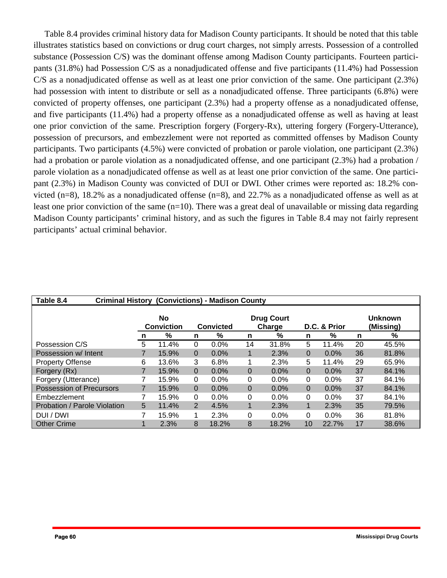Table 8.4 provides criminal history data for Madison County participants. It should be noted that this table illustrates statistics based on convictions or drug court charges, not simply arrests. Possession of a controlled substance (Possession C/S) was the dominant offense among Madison County participants. Fourteen participants (31.8%) had Possession C/S as a nonadjudicated offense and five participants (11.4%) had Possession C/S as a nonadjudicated offense as well as at least one prior conviction of the same. One participant (2.3%) had possession with intent to distribute or sell as a nonadjudicated offense. Three participants (6.8%) were convicted of property offenses, one participant (2.3%) had a property offense as a nonadjudicated offense, and five participants (11.4%) had a property offense as a nonadjudicated offense as well as having at least one prior conviction of the same. Prescription forgery (Forgery-Rx), uttering forgery (Forgery-Utterance), possession of precursors, and embezzlement were not reported as committed offenses by Madison County participants. Two participants (4.5%) were convicted of probation or parole violation, one participant (2.3%) had a probation or parole violation as a nonadjudicated offense, and one participant (2.3%) had a probation / parole violation as a nonadjudicated offense as well as at least one prior conviction of the same. One participant (2.3%) in Madison County was convicted of DUI or DWI. Other crimes were reported as: 18.2% convicted (n=8), 18.2% as a nonadjudicated offense (n=8), and 22.7% as a nonadjudicated offense as well as at least one prior conviction of the same  $(n=10)$ . There was a great deal of unavailable or missing data regarding Madison County participants' criminal history, and as such the figures in Table 8.4 may not fairly represent participants' actual criminal behavior.

| Table 8.4<br><b>Criminal History (Convictions) - Madison County</b> |                                |       |                |                                                                 |          |         |          |         |                             |       |  |
|---------------------------------------------------------------------|--------------------------------|-------|----------------|-----------------------------------------------------------------|----------|---------|----------|---------|-----------------------------|-------|--|
|                                                                     | <b>No</b><br><b>Conviction</b> |       |                | <b>Drug Court</b><br>Charge<br>D.C. & Prior<br><b>Convicted</b> |          |         |          |         | <b>Unknown</b><br>(Missing) |       |  |
|                                                                     | n                              | %     | n              | %                                                               | n        | %       | n        | %       | n                           | %     |  |
| Possession C/S                                                      | 5                              | 11.4% | $\Omega$       | 0.0%                                                            | 14       | 31.8%   | 5        | 11.4%   | 20                          | 45.5% |  |
| Possession w/ Intent                                                | 7                              | 15.9% | $\Omega$       | 0.0%                                                            | 1        | 2.3%    | $\Omega$ | $0.0\%$ | 36                          | 81.8% |  |
| <b>Property Offense</b>                                             | 6                              | 13.6% | 3              | 6.8%                                                            |          | 2.3%    | 5        | 11.4%   | 29                          | 65.9% |  |
| Forgery (Rx)                                                        | 7                              | 15.9% | $\Omega$       | 0.0%                                                            | $\Omega$ | 0.0%    | $\Omega$ | $0.0\%$ | 37                          | 84.1% |  |
| Forgery (Utterance)                                                 |                                | 15.9% | $\Omega$       | $0.0\%$                                                         | 0        | $0.0\%$ | 0        | $0.0\%$ | 37                          | 84.1% |  |
| <b>Possession of Precursors</b>                                     |                                | 15.9% | $\Omega$       | 0.0%                                                            | 0        | $0.0\%$ | $\Omega$ | $0.0\%$ | 37                          | 84.1% |  |
| Embezzlement                                                        | 7                              | 15.9% | $\Omega$       | $0.0\%$                                                         | 0        | $0.0\%$ | 0        | $0.0\%$ | 37                          | 84.1% |  |
| Probation / Parole Violation                                        | 5                              | 11.4% | $\overline{2}$ | 4.5%                                                            | 1        | 2.3%    | 1        | 2.3%    | 35                          | 79.5% |  |
| DUI / DWI                                                           |                                | 15.9% |                | 2.3%                                                            | 0        | 0.0%    | 0        | $0.0\%$ | 36                          | 81.8% |  |
| <b>Other Crime</b>                                                  |                                | 2.3%  | 8              | 18.2%                                                           | 8        | 18.2%   | 10       | 22.7%   | 17                          | 38.6% |  |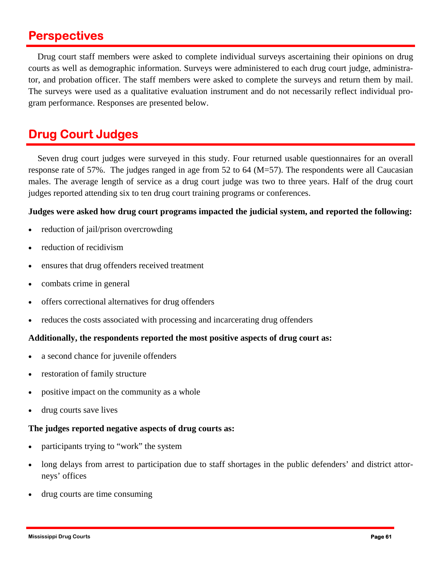### **Perspectives**

 tor, and probation officer. The staff members were asked to complete the surveys and return them by mail. Drug court staff members were asked to complete individual surveys ascertaining their opinions on drug courts as well as demographic information. Surveys were administered to each drug court judge, administra-The surveys were used as a qualitative evaluation instrument and do not necessarily reflect individual program performance. Responses are presented below.

# **Drug Court Judges**

Seven drug court judges were surveyed in this study. Four returned usable questionnaires for an overall response rate of 57%. The judges ranged in age from 52 to 64 (M=57). The respondents were all Caucasian males. The average length of service as a drug court judge was two to three years. Half of the drug court judges reported attending six to ten drug court training programs or conferences.

#### **Judges were asked how drug court programs impacted the judicial system, and reported the following:**

- reduction of jail/prison overcrowding
- reduction of recidivism
- ensures that drug offenders received treatment
- combats crime in general
- offers correctional alternatives for drug offenders
- reduces the costs associated with processing and incarcerating drug offenders

#### **Additionally, the respondents reported the most positive aspects of drug court as:**

- a second chance for juvenile offenders
- restoration of family structure
- positive impact on the community as a whole
- drug courts save lives

#### **The judges reported negative aspects of drug courts as:**

- participants trying to "work" the system
- long delays from arrest to participation due to staff shortages in the public defenders' and district attorneys' offices
- drug courts are time consuming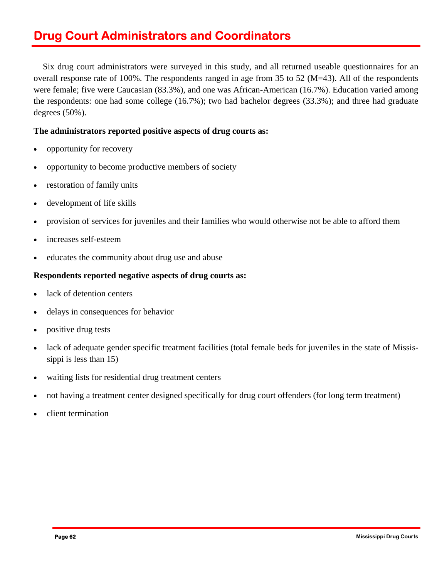# **Drug Court Administrators and Coordinators**

Six drug court administrators were surveyed in this study, and all returned useable questionnaires for an overall response rate of 100%. The respondents ranged in age from 35 to 52 (M=43). All of the respondents were female; five were Caucasian (83.3%), and one was African-American (16.7%). Education varied among the respondents: one had some college (16.7%); two had bachelor degrees (33.3%); and three had graduate degrees (50%).

#### **The administrators reported positive aspects of drug courts as:**

- opportunity for recovery
- opportunity to become productive members of society
- restoration of family units
- development of life skills
- provision of services for juveniles and their families who would otherwise not be able to afford them
- increases self-esteem
- educates the community about drug use and abuse

#### **Respondents reported negative aspects of drug courts as:**

- lack of detention centers
- delays in consequences for behavior
- positive drug tests
- lack of adequate gender specific treatment facilities (total female beds for juveniles in the state of Mississippi is less than 15)
- waiting lists for residential drug treatment centers
- not having a treatment center designed specifically for drug court offenders (for long term treatment)
- client termination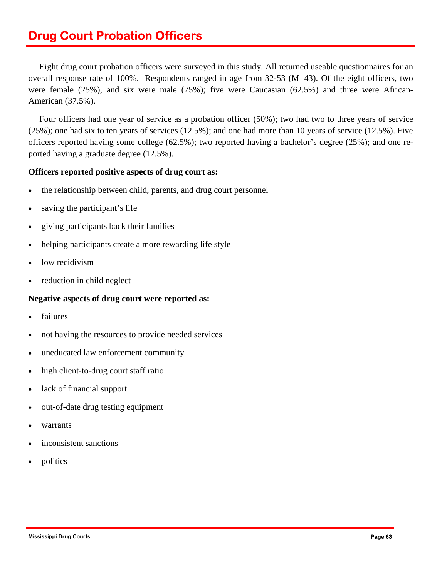# **Drug Court Probation Officers**

 Eight drug court probation officers were surveyed in this study. All returned useable questionnaires for an overall response rate of 100%. Respondents ranged in age from  $32-53$  (M=43). Of the eight officers, two were female (25%), and six were male (75%); five were Caucasian (62.5%) and three were African-American (37.5%).

Four officers had one year of service as a probation officer (50%); two had two to three years of service (25%); one had six to ten years of services (12.5%); and one had more than 10 years of service (12.5%). Five officers reported having some college (62.5%); two reported having a bachelor's degree (25%); and one reported having a graduate degree (12.5%).

#### **Officers reported positive aspects of drug court as:**

- the relationship between child, parents, and drug court personnel
- saving the participant's life
- giving participants back their families
- helping participants create a more rewarding life style
- low recidivism
- reduction in child neglect

#### **Negative aspects of drug court were reported as:**

- **failures**
- not having the resources to provide needed services
- uneducated law enforcement community
- high client-to-drug court staff ratio
- lack of financial support
- out-of-date drug testing equipment
- warrants
- inconsistent sanctions
- politics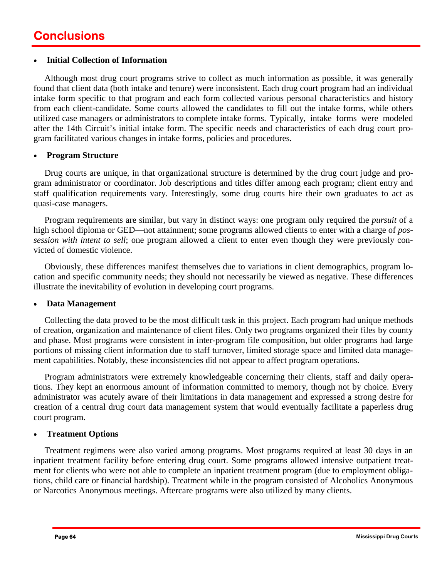#### • **Initial Collection of Information**

Although most drug court programs strive to collect as much information as possible, it was generally found that client data (both intake and tenure) were inconsistent. Each drug court program had an individual intake form specific to that program and each form collected various personal characteristics and history from each client-candidate. Some courts allowed the candidates to fill out the intake forms, while others utilized case managers or administrators to complete intake forms. Typically, intake forms were modeled after the 14th Circuit's initial intake form. The specific needs and characteristics of each drug court program facilitated various changes in intake forms, policies and procedures.

#### • **Program Structure**

Drug courts are unique, in that organizational structure is determined by the drug court judge and program administrator or coordinator. Job descriptions and titles differ among each program; client entry and staff qualification requirements vary. Interestingly, some drug courts hire their own graduates to act as quasi-case managers.

 Program requirements are similar, but vary in distinct ways: one program only required the *pursuit* of a high school diploma or GED—not attainment; some programs allowed clients to enter with a charge of *possession with intent to sell*; one program allowed a client to enter even though they were previously convicted of domestic violence.

 Obviously, these differences manifest themselves due to variations in client demographics, program location and specific community needs; they should not necessarily be viewed as negative. These differences illustrate the inevitability of evolution in developing court programs.

#### • **Data Management**

 ment capabilities. Notably, these inconsistencies did not appear to affect program operations. Collecting the data proved to be the most difficult task in this project. Each program had unique methods of creation, organization and maintenance of client files. Only two programs organized their files by county and phase. Most programs were consistent in inter-program file composition, but older programs had large portions of missing client information due to staff turnover, limited storage space and limited data manage-

 Program administrators were extremely knowledgeable concerning their clients, staff and daily operations. They kept an enormous amount of information committed to memory, though not by choice. Every administrator was acutely aware of their limitations in data management and expressed a strong desire for creation of a central drug court data management system that would eventually facilitate a paperless drug court program.

#### • **Treatment Options**

Treatment regimens were also varied among programs. Most programs required at least 30 days in an inpatient treatment facility before entering drug court. Some programs allowed intensive outpatient treatment for clients who were not able to complete an inpatient treatment program (due to employment obligations, child care or financial hardship). Treatment while in the program consisted of Alcoholics Anonymous or Narcotics Anonymous meetings. Aftercare programs were also utilized by many clients.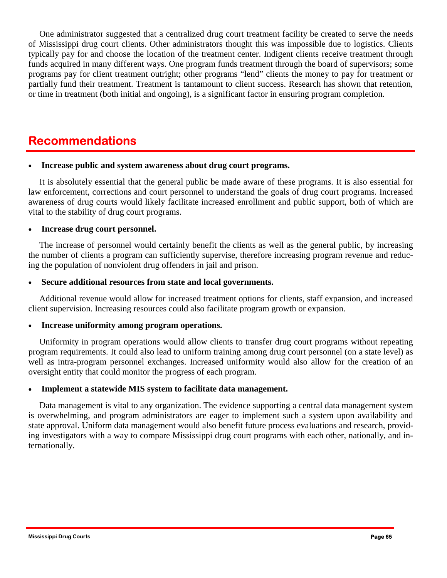One administrator suggested that a centralized drug court treatment facility be created to serve the needs of Mississippi drug court clients. Other administrators thought this was impossible due to logistics. Clients typically pay for and choose the location of the treatment center. Indigent clients receive treatment through funds acquired in many different ways. One program funds treatment through the board of supervisors; some programs pay for client treatment outright; other programs "lend" clients the money to pay for treatment or partially fund their treatment. Treatment is tantamount to client success. Research has shown that retention, or time in treatment (both initial and ongoing), is a significant factor in ensuring program completion.

### **Recommendations**

#### • **Increase public and system awareness about drug court programs.**

It is absolutely essential that the general public be made aware of these programs. It is also essential for law enforcement, corrections and court personnel to understand the goals of drug court programs. Increased awareness of drug courts would likely facilitate increased enrollment and public support, both of which are vital to the stability of drug court programs.

#### • **Increase drug court personnel.**

The increase of personnel would certainly benefit the clients as well as the general public, by increasing the number of clients a program can sufficiently supervise, therefore increasing program revenue and reducing the population of nonviolent drug offenders in jail and prison.

#### • **Secure additional resources from state and local governments.**

 Additional revenue would allow for increased treatment options for clients, staff expansion, and increased client supervision. Increasing resources could also facilitate program growth or expansion.

#### • **Increase uniformity among program operations.**

 Uniformity in program operations would allow clients to transfer drug court programs without repeating program requirements. It could also lead to uniform training among drug court personnel (on a state level) as well as intra-program personnel exchanges. Increased uniformity would also allow for the creation of an oversight entity that could monitor the progress of each program.

#### • **Implement a statewide MIS system to facilitate data management.**

 Data management is vital to any organization. The evidence supporting a central data management system is overwhelming, and program administrators are eager to implement such a system upon availability and state approval. Uniform data management would also benefit future process evaluations and research, providing investigators with a way to compare Mississippi drug court programs with each other, nationally, and internationally.